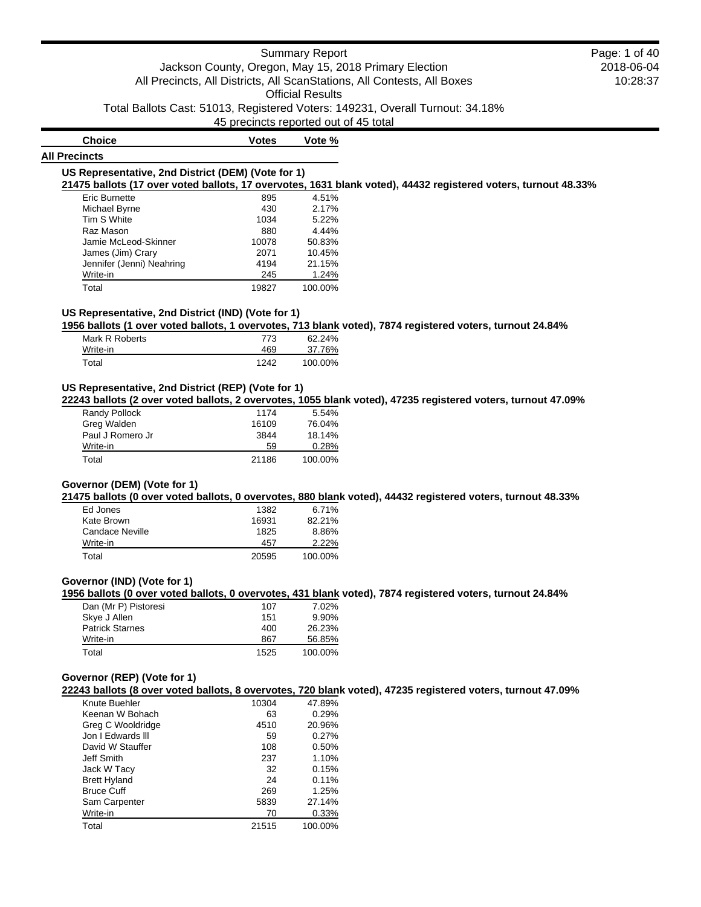45 precincts reported out of 45 total

**Choice Votes Vote %**

## **All Precincts**

#### **US Representative, 2nd District (DEM) (Vote for 1)**

**21475 ballots (17 over voted ballots, 17 overvotes, 1631 blank voted), 44432 registered voters, turnout 48.33%**

| <b>Eric Burnette</b>      | 895   | 4.51%   |
|---------------------------|-------|---------|
| Michael Byrne             | 430   | 2.17%   |
| Tim S White               | 1034  | 5.22%   |
| Raz Mason                 | 880   | 4.44%   |
| Jamie McLeod-Skinner      | 10078 | 50.83%  |
| James (Jim) Crary         | 2071  | 10.45%  |
| Jennifer (Jenni) Neahring | 4194  | 21.15%  |
| Write-in                  | 245   | 1.24%   |
| Total                     | 19827 | 100.00% |

## **US Representative, 2nd District (IND) (Vote for 1)**

**1956 ballots (1 over voted ballots, 1 overvotes, 713 blank voted), 7874 registered voters, turnout 24.84%**

| Mark R Roberts | 773  | 62.24%  |
|----------------|------|---------|
| Write-in       | 469  | 37.76%  |
| Total          | 1242 | 100.00% |

## **US Representative, 2nd District (REP) (Vote for 1)**

**22243 ballots (2 over voted ballots, 2 overvotes, 1055 blank voted), 47235 registered voters, turnout 47.09%**

| Randy Pollock    | 1174  | 5.54%   |
|------------------|-------|---------|
| Greg Walden      | 16109 | 76.04%  |
| Paul J Romero Jr | 3844  | 18.14%  |
| Write-in         | 59    | 0.28%   |
| Total            | 21186 | 100.00% |

## **Governor (DEM) (Vote for 1)**

**21475 ballots (0 over voted ballots, 0 overvotes, 880 blank voted), 44432 registered voters, turnout 48.33%**

| Ed Jones        | 1382  | 6.71%   |
|-----------------|-------|---------|
| Kate Brown      | 16931 | 82.21%  |
| Candace Neville | 1825  | 8.86%   |
| Write-in        | 457   | 2.22%   |
| Total           | 20595 | 100.00% |

### **Governor (IND) (Vote for 1)**

**1956 ballots (0 over voted ballots, 0 overvotes, 431 blank voted), 7874 registered voters, turnout 24.84%**

| Dan (Mr P) Pistoresi   | 107  | 7.02%    |
|------------------------|------|----------|
| Skye J Allen           | 151  | $9.90\%$ |
| <b>Patrick Starnes</b> | 400  | 26.23%   |
| Write-in               | 867  | 56.85%   |
| Total                  | 1525 | 100.00%  |

#### **Governor (REP) (Vote for 1)**

**22243 ballots (8 over voted ballots, 8 overvotes, 720 blank voted), 47235 registered voters, turnout 47.09%**

| Knute Buehler       | 10304 | 47.89%  |
|---------------------|-------|---------|
| Keenan W Bohach     | 63    | 0.29%   |
| Greg C Wooldridge   | 4510  | 20.96%  |
| Jon I Edwards III   | 59    | 0.27%   |
| David W Stauffer    | 108   | 0.50%   |
| Jeff Smith          | 237   | 1.10%   |
| Jack W Tacy         | 32    | 0.15%   |
| <b>Brett Hyland</b> | 24    | 0.11%   |
| <b>Bruce Cuff</b>   | 269   | 1.25%   |
| Sam Carpenter       | 5839  | 27.14%  |
| Write-in            | 70    | 0.33%   |
| Total               | 21515 | 100.00% |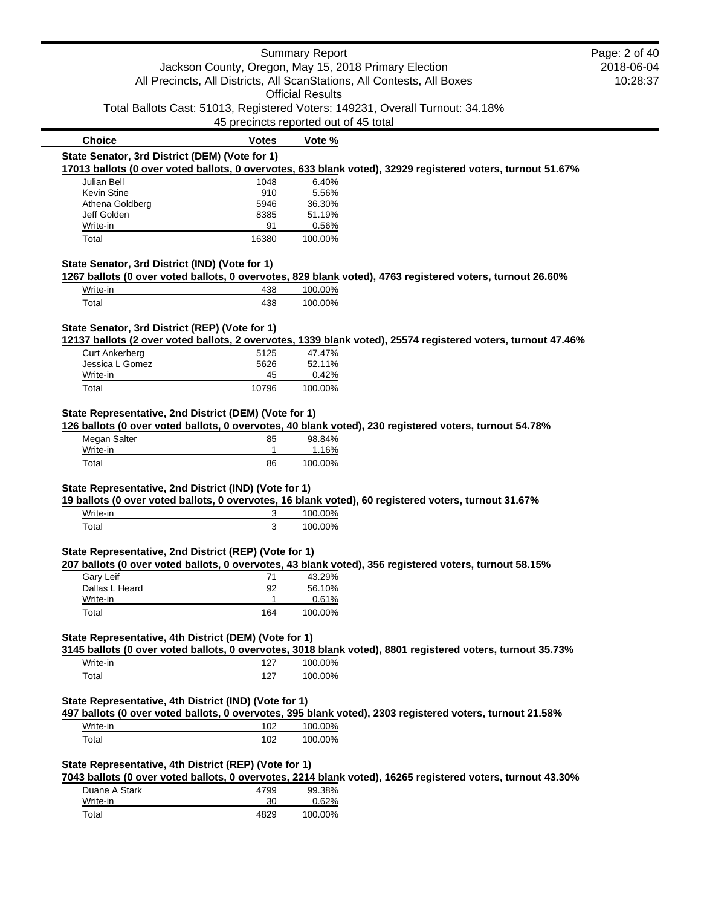| Jackson County, Oregon, May 15, 2018 Primary Election<br>2018-06-04<br>10:28:37<br>All Precincts, All Districts, All ScanStations, All Contests, All Boxes<br><b>Official Results</b><br>Total Ballots Cast: 51013, Registered Voters: 149231, Overall Turnout: 34.18%<br>45 precincts reported out of 45 total<br><b>Choice</b><br><b>Votes</b><br>Vote %<br>State Senator, 3rd District (DEM) (Vote for 1)<br>17013 ballots (0 over voted ballots, 0 overvotes, 633 blank voted), 32929 registered voters, turnout 51.67%<br>1048<br>6.40%<br>Julian Bell<br><b>Kevin Stine</b><br>910<br>5.56%<br>5946<br>36.30%<br>Athena Goldberg<br>Jeff Golden<br>51.19%<br>8385<br>91<br>Write-in<br>0.56%<br>Total<br>16380<br>100.00%<br>State Senator, 3rd District (IND) (Vote for 1)<br>1267 ballots (0 over voted ballots, 0 overvotes, 829 blank voted), 4763 registered voters, turnout 26.60%<br>Write-in<br>438<br>100.00%<br>Total<br>438<br>100.00%<br>State Senator, 3rd District (REP) (Vote for 1)<br>12137 ballots (2 over voted ballots, 2 overvotes, 1339 blank voted), 25574 registered voters, turnout 47.46%<br><b>Curt Ankerberg</b><br>47.47%<br>5125<br>Jessica L Gomez<br>5626<br>52.11%<br>0.42%<br>Write-in<br>45<br>Total<br>10796<br>100.00%<br>State Representative, 2nd District (DEM) (Vote for 1)<br>126 ballots (0 over voted ballots, 0 overvotes, 40 blank voted), 230 registered voters, turnout 54.78%<br>Megan Salter<br>98.84%<br>85<br>Write-in<br>1<br>1.16%<br>86<br>Total<br>100.00%<br>State Representative, 2nd District (IND) (Vote for 1)<br>19 ballots (0 over voted ballots, 0 overvotes, 16 blank voted), 60 registered voters, turnout 31.67%<br>Write-in<br>100.00%<br>3<br>3<br>Total<br>100.00%<br>State Representative, 2nd District (REP) (Vote for 1)<br>207 ballots (0 over voted ballots, 0 overvotes, 43 blank voted), 356 registered voters, turnout 58.15%<br>Gary Leif<br>43.29%<br>71<br>Dallas L Heard<br>56.10%<br>92<br>Write-in<br>1<br>0.61%<br>100.00%<br>Total<br>164<br>State Representative, 4th District (DEM) (Vote for 1)<br>3145 ballots (0 over voted ballots, 0 overvotes, 3018 blank voted), 8801 registered voters, turnout 35.73%<br>127<br>100.00%<br>Write-in<br>Total<br>127<br>100.00%<br>State Representative, 4th District (IND) (Vote for 1)<br>497 ballots (0 over voted ballots, 0 overvotes, 395 blank voted), 2303 registered voters, turnout 21.58%<br>Write-in<br>102<br>100.00%<br>102<br>Total<br>100.00% |  | <b>Summary Report</b> | Page: 2 of 40 |
|-----------------------------------------------------------------------------------------------------------------------------------------------------------------------------------------------------------------------------------------------------------------------------------------------------------------------------------------------------------------------------------------------------------------------------------------------------------------------------------------------------------------------------------------------------------------------------------------------------------------------------------------------------------------------------------------------------------------------------------------------------------------------------------------------------------------------------------------------------------------------------------------------------------------------------------------------------------------------------------------------------------------------------------------------------------------------------------------------------------------------------------------------------------------------------------------------------------------------------------------------------------------------------------------------------------------------------------------------------------------------------------------------------------------------------------------------------------------------------------------------------------------------------------------------------------------------------------------------------------------------------------------------------------------------------------------------------------------------------------------------------------------------------------------------------------------------------------------------------------------------------------------------------------------------------------------------------------------------------------------------------------------------------------------------------------------------------------------------------------------------------------------------------------------------------------------------------------------------------------------------------------------------------------------------------------------------------------------------------------------------------------------------------------------------------------------------------------------------------------------------------|--|-----------------------|---------------|
|                                                                                                                                                                                                                                                                                                                                                                                                                                                                                                                                                                                                                                                                                                                                                                                                                                                                                                                                                                                                                                                                                                                                                                                                                                                                                                                                                                                                                                                                                                                                                                                                                                                                                                                                                                                                                                                                                                                                                                                                                                                                                                                                                                                                                                                                                                                                                                                                                                                                                                     |  |                       |               |
|                                                                                                                                                                                                                                                                                                                                                                                                                                                                                                                                                                                                                                                                                                                                                                                                                                                                                                                                                                                                                                                                                                                                                                                                                                                                                                                                                                                                                                                                                                                                                                                                                                                                                                                                                                                                                                                                                                                                                                                                                                                                                                                                                                                                                                                                                                                                                                                                                                                                                                     |  |                       |               |
|                                                                                                                                                                                                                                                                                                                                                                                                                                                                                                                                                                                                                                                                                                                                                                                                                                                                                                                                                                                                                                                                                                                                                                                                                                                                                                                                                                                                                                                                                                                                                                                                                                                                                                                                                                                                                                                                                                                                                                                                                                                                                                                                                                                                                                                                                                                                                                                                                                                                                                     |  |                       |               |
|                                                                                                                                                                                                                                                                                                                                                                                                                                                                                                                                                                                                                                                                                                                                                                                                                                                                                                                                                                                                                                                                                                                                                                                                                                                                                                                                                                                                                                                                                                                                                                                                                                                                                                                                                                                                                                                                                                                                                                                                                                                                                                                                                                                                                                                                                                                                                                                                                                                                                                     |  |                       |               |
|                                                                                                                                                                                                                                                                                                                                                                                                                                                                                                                                                                                                                                                                                                                                                                                                                                                                                                                                                                                                                                                                                                                                                                                                                                                                                                                                                                                                                                                                                                                                                                                                                                                                                                                                                                                                                                                                                                                                                                                                                                                                                                                                                                                                                                                                                                                                                                                                                                                                                                     |  |                       |               |
|                                                                                                                                                                                                                                                                                                                                                                                                                                                                                                                                                                                                                                                                                                                                                                                                                                                                                                                                                                                                                                                                                                                                                                                                                                                                                                                                                                                                                                                                                                                                                                                                                                                                                                                                                                                                                                                                                                                                                                                                                                                                                                                                                                                                                                                                                                                                                                                                                                                                                                     |  |                       |               |
|                                                                                                                                                                                                                                                                                                                                                                                                                                                                                                                                                                                                                                                                                                                                                                                                                                                                                                                                                                                                                                                                                                                                                                                                                                                                                                                                                                                                                                                                                                                                                                                                                                                                                                                                                                                                                                                                                                                                                                                                                                                                                                                                                                                                                                                                                                                                                                                                                                                                                                     |  |                       |               |
|                                                                                                                                                                                                                                                                                                                                                                                                                                                                                                                                                                                                                                                                                                                                                                                                                                                                                                                                                                                                                                                                                                                                                                                                                                                                                                                                                                                                                                                                                                                                                                                                                                                                                                                                                                                                                                                                                                                                                                                                                                                                                                                                                                                                                                                                                                                                                                                                                                                                                                     |  |                       |               |
|                                                                                                                                                                                                                                                                                                                                                                                                                                                                                                                                                                                                                                                                                                                                                                                                                                                                                                                                                                                                                                                                                                                                                                                                                                                                                                                                                                                                                                                                                                                                                                                                                                                                                                                                                                                                                                                                                                                                                                                                                                                                                                                                                                                                                                                                                                                                                                                                                                                                                                     |  |                       |               |
|                                                                                                                                                                                                                                                                                                                                                                                                                                                                                                                                                                                                                                                                                                                                                                                                                                                                                                                                                                                                                                                                                                                                                                                                                                                                                                                                                                                                                                                                                                                                                                                                                                                                                                                                                                                                                                                                                                                                                                                                                                                                                                                                                                                                                                                                                                                                                                                                                                                                                                     |  |                       |               |
|                                                                                                                                                                                                                                                                                                                                                                                                                                                                                                                                                                                                                                                                                                                                                                                                                                                                                                                                                                                                                                                                                                                                                                                                                                                                                                                                                                                                                                                                                                                                                                                                                                                                                                                                                                                                                                                                                                                                                                                                                                                                                                                                                                                                                                                                                                                                                                                                                                                                                                     |  |                       |               |
|                                                                                                                                                                                                                                                                                                                                                                                                                                                                                                                                                                                                                                                                                                                                                                                                                                                                                                                                                                                                                                                                                                                                                                                                                                                                                                                                                                                                                                                                                                                                                                                                                                                                                                                                                                                                                                                                                                                                                                                                                                                                                                                                                                                                                                                                                                                                                                                                                                                                                                     |  |                       |               |
|                                                                                                                                                                                                                                                                                                                                                                                                                                                                                                                                                                                                                                                                                                                                                                                                                                                                                                                                                                                                                                                                                                                                                                                                                                                                                                                                                                                                                                                                                                                                                                                                                                                                                                                                                                                                                                                                                                                                                                                                                                                                                                                                                                                                                                                                                                                                                                                                                                                                                                     |  |                       |               |
|                                                                                                                                                                                                                                                                                                                                                                                                                                                                                                                                                                                                                                                                                                                                                                                                                                                                                                                                                                                                                                                                                                                                                                                                                                                                                                                                                                                                                                                                                                                                                                                                                                                                                                                                                                                                                                                                                                                                                                                                                                                                                                                                                                                                                                                                                                                                                                                                                                                                                                     |  |                       |               |
|                                                                                                                                                                                                                                                                                                                                                                                                                                                                                                                                                                                                                                                                                                                                                                                                                                                                                                                                                                                                                                                                                                                                                                                                                                                                                                                                                                                                                                                                                                                                                                                                                                                                                                                                                                                                                                                                                                                                                                                                                                                                                                                                                                                                                                                                                                                                                                                                                                                                                                     |  |                       |               |
|                                                                                                                                                                                                                                                                                                                                                                                                                                                                                                                                                                                                                                                                                                                                                                                                                                                                                                                                                                                                                                                                                                                                                                                                                                                                                                                                                                                                                                                                                                                                                                                                                                                                                                                                                                                                                                                                                                                                                                                                                                                                                                                                                                                                                                                                                                                                                                                                                                                                                                     |  |                       |               |
|                                                                                                                                                                                                                                                                                                                                                                                                                                                                                                                                                                                                                                                                                                                                                                                                                                                                                                                                                                                                                                                                                                                                                                                                                                                                                                                                                                                                                                                                                                                                                                                                                                                                                                                                                                                                                                                                                                                                                                                                                                                                                                                                                                                                                                                                                                                                                                                                                                                                                                     |  |                       |               |
|                                                                                                                                                                                                                                                                                                                                                                                                                                                                                                                                                                                                                                                                                                                                                                                                                                                                                                                                                                                                                                                                                                                                                                                                                                                                                                                                                                                                                                                                                                                                                                                                                                                                                                                                                                                                                                                                                                                                                                                                                                                                                                                                                                                                                                                                                                                                                                                                                                                                                                     |  |                       |               |
|                                                                                                                                                                                                                                                                                                                                                                                                                                                                                                                                                                                                                                                                                                                                                                                                                                                                                                                                                                                                                                                                                                                                                                                                                                                                                                                                                                                                                                                                                                                                                                                                                                                                                                                                                                                                                                                                                                                                                                                                                                                                                                                                                                                                                                                                                                                                                                                                                                                                                                     |  |                       |               |
|                                                                                                                                                                                                                                                                                                                                                                                                                                                                                                                                                                                                                                                                                                                                                                                                                                                                                                                                                                                                                                                                                                                                                                                                                                                                                                                                                                                                                                                                                                                                                                                                                                                                                                                                                                                                                                                                                                                                                                                                                                                                                                                                                                                                                                                                                                                                                                                                                                                                                                     |  |                       |               |
|                                                                                                                                                                                                                                                                                                                                                                                                                                                                                                                                                                                                                                                                                                                                                                                                                                                                                                                                                                                                                                                                                                                                                                                                                                                                                                                                                                                                                                                                                                                                                                                                                                                                                                                                                                                                                                                                                                                                                                                                                                                                                                                                                                                                                                                                                                                                                                                                                                                                                                     |  |                       |               |
|                                                                                                                                                                                                                                                                                                                                                                                                                                                                                                                                                                                                                                                                                                                                                                                                                                                                                                                                                                                                                                                                                                                                                                                                                                                                                                                                                                                                                                                                                                                                                                                                                                                                                                                                                                                                                                                                                                                                                                                                                                                                                                                                                                                                                                                                                                                                                                                                                                                                                                     |  |                       |               |
|                                                                                                                                                                                                                                                                                                                                                                                                                                                                                                                                                                                                                                                                                                                                                                                                                                                                                                                                                                                                                                                                                                                                                                                                                                                                                                                                                                                                                                                                                                                                                                                                                                                                                                                                                                                                                                                                                                                                                                                                                                                                                                                                                                                                                                                                                                                                                                                                                                                                                                     |  |                       |               |
|                                                                                                                                                                                                                                                                                                                                                                                                                                                                                                                                                                                                                                                                                                                                                                                                                                                                                                                                                                                                                                                                                                                                                                                                                                                                                                                                                                                                                                                                                                                                                                                                                                                                                                                                                                                                                                                                                                                                                                                                                                                                                                                                                                                                                                                                                                                                                                                                                                                                                                     |  |                       |               |
|                                                                                                                                                                                                                                                                                                                                                                                                                                                                                                                                                                                                                                                                                                                                                                                                                                                                                                                                                                                                                                                                                                                                                                                                                                                                                                                                                                                                                                                                                                                                                                                                                                                                                                                                                                                                                                                                                                                                                                                                                                                                                                                                                                                                                                                                                                                                                                                                                                                                                                     |  |                       |               |
|                                                                                                                                                                                                                                                                                                                                                                                                                                                                                                                                                                                                                                                                                                                                                                                                                                                                                                                                                                                                                                                                                                                                                                                                                                                                                                                                                                                                                                                                                                                                                                                                                                                                                                                                                                                                                                                                                                                                                                                                                                                                                                                                                                                                                                                                                                                                                                                                                                                                                                     |  |                       |               |
|                                                                                                                                                                                                                                                                                                                                                                                                                                                                                                                                                                                                                                                                                                                                                                                                                                                                                                                                                                                                                                                                                                                                                                                                                                                                                                                                                                                                                                                                                                                                                                                                                                                                                                                                                                                                                                                                                                                                                                                                                                                                                                                                                                                                                                                                                                                                                                                                                                                                                                     |  |                       |               |
|                                                                                                                                                                                                                                                                                                                                                                                                                                                                                                                                                                                                                                                                                                                                                                                                                                                                                                                                                                                                                                                                                                                                                                                                                                                                                                                                                                                                                                                                                                                                                                                                                                                                                                                                                                                                                                                                                                                                                                                                                                                                                                                                                                                                                                                                                                                                                                                                                                                                                                     |  |                       |               |
|                                                                                                                                                                                                                                                                                                                                                                                                                                                                                                                                                                                                                                                                                                                                                                                                                                                                                                                                                                                                                                                                                                                                                                                                                                                                                                                                                                                                                                                                                                                                                                                                                                                                                                                                                                                                                                                                                                                                                                                                                                                                                                                                                                                                                                                                                                                                                                                                                                                                                                     |  |                       |               |
|                                                                                                                                                                                                                                                                                                                                                                                                                                                                                                                                                                                                                                                                                                                                                                                                                                                                                                                                                                                                                                                                                                                                                                                                                                                                                                                                                                                                                                                                                                                                                                                                                                                                                                                                                                                                                                                                                                                                                                                                                                                                                                                                                                                                                                                                                                                                                                                                                                                                                                     |  |                       |               |
|                                                                                                                                                                                                                                                                                                                                                                                                                                                                                                                                                                                                                                                                                                                                                                                                                                                                                                                                                                                                                                                                                                                                                                                                                                                                                                                                                                                                                                                                                                                                                                                                                                                                                                                                                                                                                                                                                                                                                                                                                                                                                                                                                                                                                                                                                                                                                                                                                                                                                                     |  |                       |               |
|                                                                                                                                                                                                                                                                                                                                                                                                                                                                                                                                                                                                                                                                                                                                                                                                                                                                                                                                                                                                                                                                                                                                                                                                                                                                                                                                                                                                                                                                                                                                                                                                                                                                                                                                                                                                                                                                                                                                                                                                                                                                                                                                                                                                                                                                                                                                                                                                                                                                                                     |  |                       |               |
|                                                                                                                                                                                                                                                                                                                                                                                                                                                                                                                                                                                                                                                                                                                                                                                                                                                                                                                                                                                                                                                                                                                                                                                                                                                                                                                                                                                                                                                                                                                                                                                                                                                                                                                                                                                                                                                                                                                                                                                                                                                                                                                                                                                                                                                                                                                                                                                                                                                                                                     |  |                       |               |
|                                                                                                                                                                                                                                                                                                                                                                                                                                                                                                                                                                                                                                                                                                                                                                                                                                                                                                                                                                                                                                                                                                                                                                                                                                                                                                                                                                                                                                                                                                                                                                                                                                                                                                                                                                                                                                                                                                                                                                                                                                                                                                                                                                                                                                                                                                                                                                                                                                                                                                     |  |                       |               |
|                                                                                                                                                                                                                                                                                                                                                                                                                                                                                                                                                                                                                                                                                                                                                                                                                                                                                                                                                                                                                                                                                                                                                                                                                                                                                                                                                                                                                                                                                                                                                                                                                                                                                                                                                                                                                                                                                                                                                                                                                                                                                                                                                                                                                                                                                                                                                                                                                                                                                                     |  |                       |               |
|                                                                                                                                                                                                                                                                                                                                                                                                                                                                                                                                                                                                                                                                                                                                                                                                                                                                                                                                                                                                                                                                                                                                                                                                                                                                                                                                                                                                                                                                                                                                                                                                                                                                                                                                                                                                                                                                                                                                                                                                                                                                                                                                                                                                                                                                                                                                                                                                                                                                                                     |  |                       |               |
|                                                                                                                                                                                                                                                                                                                                                                                                                                                                                                                                                                                                                                                                                                                                                                                                                                                                                                                                                                                                                                                                                                                                                                                                                                                                                                                                                                                                                                                                                                                                                                                                                                                                                                                                                                                                                                                                                                                                                                                                                                                                                                                                                                                                                                                                                                                                                                                                                                                                                                     |  |                       |               |
|                                                                                                                                                                                                                                                                                                                                                                                                                                                                                                                                                                                                                                                                                                                                                                                                                                                                                                                                                                                                                                                                                                                                                                                                                                                                                                                                                                                                                                                                                                                                                                                                                                                                                                                                                                                                                                                                                                                                                                                                                                                                                                                                                                                                                                                                                                                                                                                                                                                                                                     |  |                       |               |
|                                                                                                                                                                                                                                                                                                                                                                                                                                                                                                                                                                                                                                                                                                                                                                                                                                                                                                                                                                                                                                                                                                                                                                                                                                                                                                                                                                                                                                                                                                                                                                                                                                                                                                                                                                                                                                                                                                                                                                                                                                                                                                                                                                                                                                                                                                                                                                                                                                                                                                     |  |                       |               |
|                                                                                                                                                                                                                                                                                                                                                                                                                                                                                                                                                                                                                                                                                                                                                                                                                                                                                                                                                                                                                                                                                                                                                                                                                                                                                                                                                                                                                                                                                                                                                                                                                                                                                                                                                                                                                                                                                                                                                                                                                                                                                                                                                                                                                                                                                                                                                                                                                                                                                                     |  |                       |               |
|                                                                                                                                                                                                                                                                                                                                                                                                                                                                                                                                                                                                                                                                                                                                                                                                                                                                                                                                                                                                                                                                                                                                                                                                                                                                                                                                                                                                                                                                                                                                                                                                                                                                                                                                                                                                                                                                                                                                                                                                                                                                                                                                                                                                                                                                                                                                                                                                                                                                                                     |  |                       |               |
|                                                                                                                                                                                                                                                                                                                                                                                                                                                                                                                                                                                                                                                                                                                                                                                                                                                                                                                                                                                                                                                                                                                                                                                                                                                                                                                                                                                                                                                                                                                                                                                                                                                                                                                                                                                                                                                                                                                                                                                                                                                                                                                                                                                                                                                                                                                                                                                                                                                                                                     |  |                       |               |
|                                                                                                                                                                                                                                                                                                                                                                                                                                                                                                                                                                                                                                                                                                                                                                                                                                                                                                                                                                                                                                                                                                                                                                                                                                                                                                                                                                                                                                                                                                                                                                                                                                                                                                                                                                                                                                                                                                                                                                                                                                                                                                                                                                                                                                                                                                                                                                                                                                                                                                     |  |                       |               |
|                                                                                                                                                                                                                                                                                                                                                                                                                                                                                                                                                                                                                                                                                                                                                                                                                                                                                                                                                                                                                                                                                                                                                                                                                                                                                                                                                                                                                                                                                                                                                                                                                                                                                                                                                                                                                                                                                                                                                                                                                                                                                                                                                                                                                                                                                                                                                                                                                                                                                                     |  |                       |               |
|                                                                                                                                                                                                                                                                                                                                                                                                                                                                                                                                                                                                                                                                                                                                                                                                                                                                                                                                                                                                                                                                                                                                                                                                                                                                                                                                                                                                                                                                                                                                                                                                                                                                                                                                                                                                                                                                                                                                                                                                                                                                                                                                                                                                                                                                                                                                                                                                                                                                                                     |  |                       |               |
|                                                                                                                                                                                                                                                                                                                                                                                                                                                                                                                                                                                                                                                                                                                                                                                                                                                                                                                                                                                                                                                                                                                                                                                                                                                                                                                                                                                                                                                                                                                                                                                                                                                                                                                                                                                                                                                                                                                                                                                                                                                                                                                                                                                                                                                                                                                                                                                                                                                                                                     |  |                       |               |
|                                                                                                                                                                                                                                                                                                                                                                                                                                                                                                                                                                                                                                                                                                                                                                                                                                                                                                                                                                                                                                                                                                                                                                                                                                                                                                                                                                                                                                                                                                                                                                                                                                                                                                                                                                                                                                                                                                                                                                                                                                                                                                                                                                                                                                                                                                                                                                                                                                                                                                     |  |                       |               |
|                                                                                                                                                                                                                                                                                                                                                                                                                                                                                                                                                                                                                                                                                                                                                                                                                                                                                                                                                                                                                                                                                                                                                                                                                                                                                                                                                                                                                                                                                                                                                                                                                                                                                                                                                                                                                                                                                                                                                                                                                                                                                                                                                                                                                                                                                                                                                                                                                                                                                                     |  |                       |               |
| State Representative, 4th District (REP) (Vote for 1)<br>7043 ballots (0 over voted ballots, 0 overvotes, 2214 blank voted), 16265 registered voters, turnout 43.30%                                                                                                                                                                                                                                                                                                                                                                                                                                                                                                                                                                                                                                                                                                                                                                                                                                                                                                                                                                                                                                                                                                                                                                                                                                                                                                                                                                                                                                                                                                                                                                                                                                                                                                                                                                                                                                                                                                                                                                                                                                                                                                                                                                                                                                                                                                                                |  |                       |               |

Duane A Stark 4799 99.38%<br>
Write-in 30 0.62% Write-in Total 4829 100.00%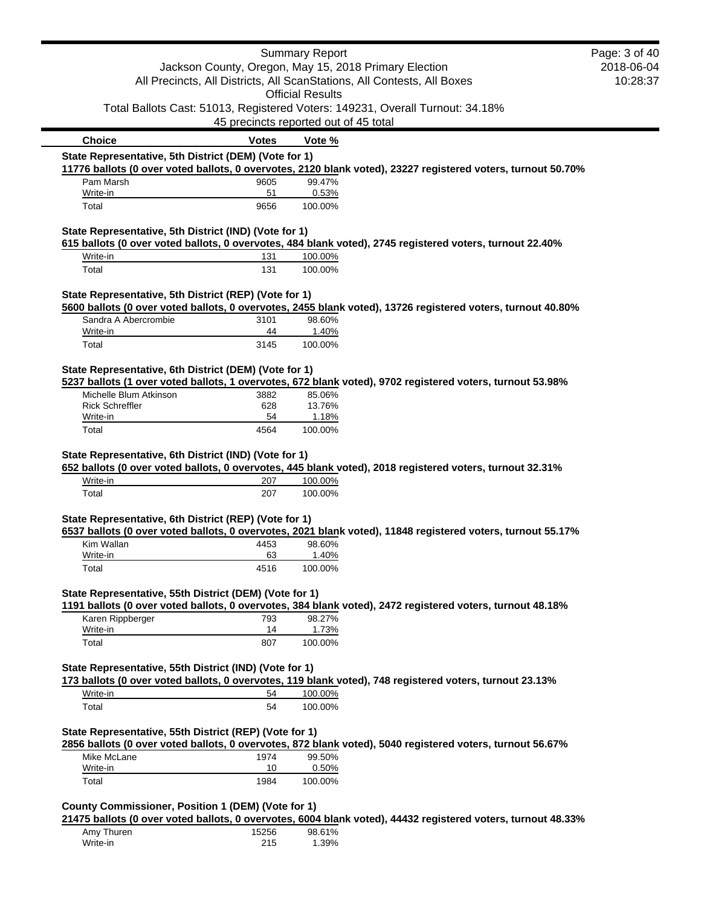|                                                        |                                       | <b>Summary Report</b>   |                                                                                                              | Page: 3 of 40 |
|--------------------------------------------------------|---------------------------------------|-------------------------|--------------------------------------------------------------------------------------------------------------|---------------|
|                                                        |                                       |                         | Jackson County, Oregon, May 15, 2018 Primary Election                                                        | 2018-06-04    |
|                                                        |                                       | <b>Official Results</b> | All Precincts, All Districts, All ScanStations, All Contests, All Boxes                                      | 10:28:37      |
|                                                        |                                       |                         | Total Ballots Cast: 51013, Registered Voters: 149231, Overall Turnout: 34.18%                                |               |
|                                                        | 45 precincts reported out of 45 total |                         |                                                                                                              |               |
| <b>Choice</b>                                          | <b>Votes</b>                          | Vote %                  |                                                                                                              |               |
| State Representative, 5th District (DEM) (Vote for 1)  |                                       |                         |                                                                                                              |               |
|                                                        |                                       |                         | 11776 ballots (0 over voted ballots, 0 overvotes, 2120 blank voted), 23227 registered voters, turnout 50.70% |               |
| Pam Marsh<br>Write-in                                  | 9605<br>51                            | 99.47%<br>0.53%         |                                                                                                              |               |
| Total                                                  | 9656                                  | 100.00%                 |                                                                                                              |               |
| State Representative, 5th District (IND) (Vote for 1)  |                                       |                         |                                                                                                              |               |
|                                                        |                                       |                         | 615 ballots (0 over voted ballots, 0 overvotes, 484 blank voted), 2745 registered voters, turnout 22.40%     |               |
| Write-in<br>Total                                      | 131<br>131                            | 100.00%<br>100.00%      |                                                                                                              |               |
|                                                        |                                       |                         |                                                                                                              |               |
| State Representative, 5th District (REP) (Vote for 1)  |                                       |                         | 5600 ballots (0 over voted ballots, 0 overvotes, 2455 blank voted), 13726 registered voters, turnout 40.80%  |               |
| Sandra A Abercrombie                                   | 3101                                  | 98.60%                  |                                                                                                              |               |
| Write-in                                               | 44                                    | 1.40%                   |                                                                                                              |               |
| Total                                                  | 3145                                  | 100.00%                 |                                                                                                              |               |
| State Representative, 6th District (DEM) (Vote for 1)  |                                       |                         |                                                                                                              |               |
|                                                        |                                       |                         | 5237 ballots (1 over voted ballots, 1 overvotes, 672 blank voted), 9702 registered voters, turnout 53.98%    |               |
| Michelle Blum Atkinson<br><b>Rick Schreffler</b>       | 3882<br>628                           | 85.06%<br>13.76%        |                                                                                                              |               |
| Write-in                                               | 54                                    | 1.18%                   |                                                                                                              |               |
| Total                                                  | 4564                                  | 100.00%                 |                                                                                                              |               |
| Write-in<br>Total                                      | 207<br>207                            | 100.00%<br>100.00%      | 652 ballots (0 over voted ballots, 0 overvotes, 445 blank voted), 2018 registered voters, turnout 32.31%     |               |
| State Representative, 6th District (REP) (Vote for 1)  |                                       |                         | 6537 ballots (0 over voted ballots, 0 overvotes, 2021 blank voted), 11848 registered voters, turnout 55.17%  |               |
| Kim Wallan                                             | 4453                                  | 98.60%                  |                                                                                                              |               |
| Write-in                                               | 63                                    | 1.40%                   |                                                                                                              |               |
| Total                                                  | 4516                                  | 100.00%                 |                                                                                                              |               |
| State Representative, 55th District (DEM) (Vote for 1) |                                       |                         |                                                                                                              |               |
|                                                        |                                       |                         | 1191 ballots (0 over voted ballots, 0 overvotes, 384 blank voted), 2472 registered voters, turnout 48.18%    |               |
| Karen Rippberger<br>Write-in                           | 793<br>14                             | 98.27%<br>1.73%         |                                                                                                              |               |
| Total                                                  | 807                                   | 100.00%                 |                                                                                                              |               |
| State Representative, 55th District (IND) (Vote for 1) |                                       |                         |                                                                                                              |               |
|                                                        |                                       |                         | 173 ballots (0 over voted ballots, 0 overvotes, 119 blank voted), 748 registered voters, turnout 23.13%      |               |
| Write-in                                               | 54                                    | 100.00%                 |                                                                                                              |               |
| Total                                                  | 54                                    | 100.00%                 |                                                                                                              |               |
| State Representative, 55th District (REP) (Vote for 1) |                                       |                         |                                                                                                              |               |
|                                                        |                                       |                         | 2856 ballots (0 over voted ballots, 0 overvotes, 872 blank voted), 5040 registered voters, turnout 56.67%    |               |
| Mike McLane                                            | 1974                                  | 99.50%                  |                                                                                                              |               |
| Write-in<br>Total                                      | 10<br>1984                            | 0.50%<br>100.00%        |                                                                                                              |               |
|                                                        |                                       |                         |                                                                                                              |               |
| County Commissioner, Position 1 (DEM) (Vote for 1)     |                                       |                         | 21475 ballots (0 over voted ballots, 0 overvotes, 6004 blank voted), 44432 registered voters, turnout 48.33% |               |
| Amy Thuren                                             | 15256                                 | 98.61%                  |                                                                                                              |               |
| Write-in                                               | 215                                   | 1.39%                   |                                                                                                              |               |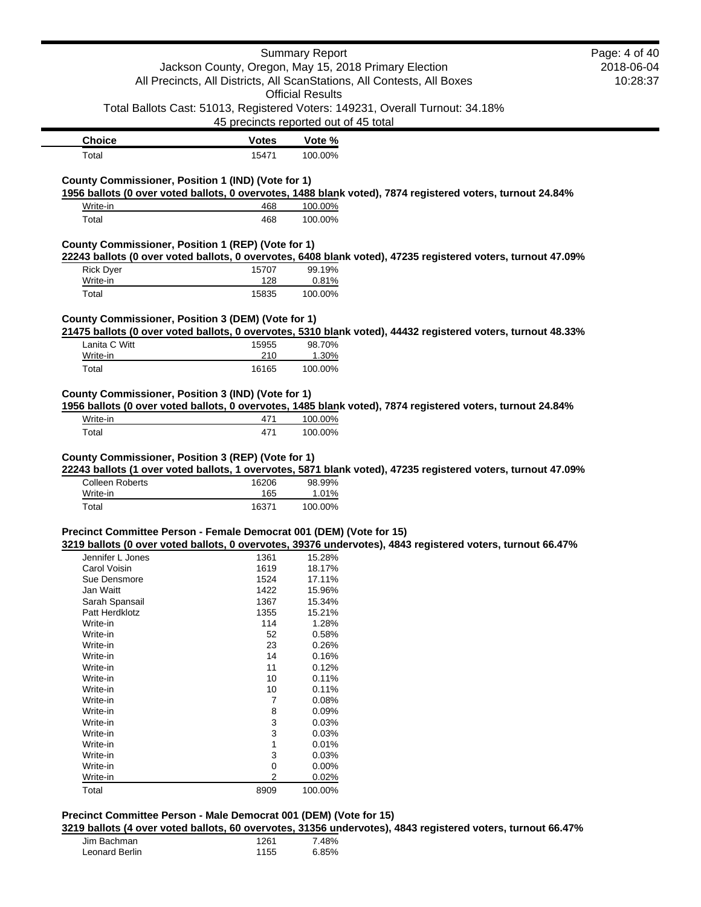| Jackson County, Oregon, May 15, 2018 Primary Election<br>2018-06-04<br>All Precincts, All Districts, All ScanStations, All Contests, All Boxes<br><b>Official Results</b><br>Total Ballots Cast: 51013, Registered Voters: 149231, Overall Turnout: 34.18%<br>45 precincts reported out of 45 total<br><b>Choice</b><br><b>Votes</b><br>Vote %<br>Total<br>15471<br>100.00%<br>County Commissioner, Position 1 (IND) (Vote for 1)<br>1956 ballots (0 over voted ballots, 0 overvotes, 1488 blank voted), 7874 registered voters, turnout 24.84%<br>Write-in<br>468<br>100.00%<br>100.00%<br>Total<br>468<br>County Commissioner, Position 1 (REP) (Vote for 1)<br>22243 ballots (0 over voted ballots, 0 overvotes, 6408 blank voted), 47235 registered voters, turnout 47.09%<br>99.19%<br><b>Rick Dyer</b><br>15707<br>128<br>0.81%<br>Write-in<br>Total<br>15835<br>100.00%<br>County Commissioner, Position 3 (DEM) (Vote for 1)<br>21475 ballots (0 over voted ballots, 0 overvotes, 5310 blank voted), 44432 registered voters, turnout 48.33%<br>Lanita C Witt<br>98.70%<br>15955<br>210<br>1.30%<br>Write-in<br>100.00%<br>Total<br>16165<br>County Commissioner, Position 3 (IND) (Vote for 1)<br>1956 ballots (0 over voted ballots, 0 overvotes, 1485 blank voted), 7874 registered voters, turnout 24.84%<br>Write-in<br>100.00%<br>471<br>Total<br>471<br>100.00%<br>County Commissioner, Position 3 (REP) (Vote for 1)<br>22243 ballots (1 over voted ballots, 1 overvotes, 5871 blank voted), 47235 registered voters, turnout 47.09% |
|------------------------------------------------------------------------------------------------------------------------------------------------------------------------------------------------------------------------------------------------------------------------------------------------------------------------------------------------------------------------------------------------------------------------------------------------------------------------------------------------------------------------------------------------------------------------------------------------------------------------------------------------------------------------------------------------------------------------------------------------------------------------------------------------------------------------------------------------------------------------------------------------------------------------------------------------------------------------------------------------------------------------------------------------------------------------------------------------------------------------------------------------------------------------------------------------------------------------------------------------------------------------------------------------------------------------------------------------------------------------------------------------------------------------------------------------------------------------------------------------------------------------------------------------------|
|                                                                                                                                                                                                                                                                                                                                                                                                                                                                                                                                                                                                                                                                                                                                                                                                                                                                                                                                                                                                                                                                                                                                                                                                                                                                                                                                                                                                                                                                                                                                                      |
|                                                                                                                                                                                                                                                                                                                                                                                                                                                                                                                                                                                                                                                                                                                                                                                                                                                                                                                                                                                                                                                                                                                                                                                                                                                                                                                                                                                                                                                                                                                                                      |
|                                                                                                                                                                                                                                                                                                                                                                                                                                                                                                                                                                                                                                                                                                                                                                                                                                                                                                                                                                                                                                                                                                                                                                                                                                                                                                                                                                                                                                                                                                                                                      |
|                                                                                                                                                                                                                                                                                                                                                                                                                                                                                                                                                                                                                                                                                                                                                                                                                                                                                                                                                                                                                                                                                                                                                                                                                                                                                                                                                                                                                                                                                                                                                      |
|                                                                                                                                                                                                                                                                                                                                                                                                                                                                                                                                                                                                                                                                                                                                                                                                                                                                                                                                                                                                                                                                                                                                                                                                                                                                                                                                                                                                                                                                                                                                                      |
|                                                                                                                                                                                                                                                                                                                                                                                                                                                                                                                                                                                                                                                                                                                                                                                                                                                                                                                                                                                                                                                                                                                                                                                                                                                                                                                                                                                                                                                                                                                                                      |
|                                                                                                                                                                                                                                                                                                                                                                                                                                                                                                                                                                                                                                                                                                                                                                                                                                                                                                                                                                                                                                                                                                                                                                                                                                                                                                                                                                                                                                                                                                                                                      |
|                                                                                                                                                                                                                                                                                                                                                                                                                                                                                                                                                                                                                                                                                                                                                                                                                                                                                                                                                                                                                                                                                                                                                                                                                                                                                                                                                                                                                                                                                                                                                      |
|                                                                                                                                                                                                                                                                                                                                                                                                                                                                                                                                                                                                                                                                                                                                                                                                                                                                                                                                                                                                                                                                                                                                                                                                                                                                                                                                                                                                                                                                                                                                                      |
|                                                                                                                                                                                                                                                                                                                                                                                                                                                                                                                                                                                                                                                                                                                                                                                                                                                                                                                                                                                                                                                                                                                                                                                                                                                                                                                                                                                                                                                                                                                                                      |
|                                                                                                                                                                                                                                                                                                                                                                                                                                                                                                                                                                                                                                                                                                                                                                                                                                                                                                                                                                                                                                                                                                                                                                                                                                                                                                                                                                                                                                                                                                                                                      |
|                                                                                                                                                                                                                                                                                                                                                                                                                                                                                                                                                                                                                                                                                                                                                                                                                                                                                                                                                                                                                                                                                                                                                                                                                                                                                                                                                                                                                                                                                                                                                      |
|                                                                                                                                                                                                                                                                                                                                                                                                                                                                                                                                                                                                                                                                                                                                                                                                                                                                                                                                                                                                                                                                                                                                                                                                                                                                                                                                                                                                                                                                                                                                                      |
|                                                                                                                                                                                                                                                                                                                                                                                                                                                                                                                                                                                                                                                                                                                                                                                                                                                                                                                                                                                                                                                                                                                                                                                                                                                                                                                                                                                                                                                                                                                                                      |
|                                                                                                                                                                                                                                                                                                                                                                                                                                                                                                                                                                                                                                                                                                                                                                                                                                                                                                                                                                                                                                                                                                                                                                                                                                                                                                                                                                                                                                                                                                                                                      |
|                                                                                                                                                                                                                                                                                                                                                                                                                                                                                                                                                                                                                                                                                                                                                                                                                                                                                                                                                                                                                                                                                                                                                                                                                                                                                                                                                                                                                                                                                                                                                      |
|                                                                                                                                                                                                                                                                                                                                                                                                                                                                                                                                                                                                                                                                                                                                                                                                                                                                                                                                                                                                                                                                                                                                                                                                                                                                                                                                                                                                                                                                                                                                                      |
|                                                                                                                                                                                                                                                                                                                                                                                                                                                                                                                                                                                                                                                                                                                                                                                                                                                                                                                                                                                                                                                                                                                                                                                                                                                                                                                                                                                                                                                                                                                                                      |
|                                                                                                                                                                                                                                                                                                                                                                                                                                                                                                                                                                                                                                                                                                                                                                                                                                                                                                                                                                                                                                                                                                                                                                                                                                                                                                                                                                                                                                                                                                                                                      |
|                                                                                                                                                                                                                                                                                                                                                                                                                                                                                                                                                                                                                                                                                                                                                                                                                                                                                                                                                                                                                                                                                                                                                                                                                                                                                                                                                                                                                                                                                                                                                      |
|                                                                                                                                                                                                                                                                                                                                                                                                                                                                                                                                                                                                                                                                                                                                                                                                                                                                                                                                                                                                                                                                                                                                                                                                                                                                                                                                                                                                                                                                                                                                                      |
|                                                                                                                                                                                                                                                                                                                                                                                                                                                                                                                                                                                                                                                                                                                                                                                                                                                                                                                                                                                                                                                                                                                                                                                                                                                                                                                                                                                                                                                                                                                                                      |
|                                                                                                                                                                                                                                                                                                                                                                                                                                                                                                                                                                                                                                                                                                                                                                                                                                                                                                                                                                                                                                                                                                                                                                                                                                                                                                                                                                                                                                                                                                                                                      |
|                                                                                                                                                                                                                                                                                                                                                                                                                                                                                                                                                                                                                                                                                                                                                                                                                                                                                                                                                                                                                                                                                                                                                                                                                                                                                                                                                                                                                                                                                                                                                      |
|                                                                                                                                                                                                                                                                                                                                                                                                                                                                                                                                                                                                                                                                                                                                                                                                                                                                                                                                                                                                                                                                                                                                                                                                                                                                                                                                                                                                                                                                                                                                                      |
|                                                                                                                                                                                                                                                                                                                                                                                                                                                                                                                                                                                                                                                                                                                                                                                                                                                                                                                                                                                                                                                                                                                                                                                                                                                                                                                                                                                                                                                                                                                                                      |
|                                                                                                                                                                                                                                                                                                                                                                                                                                                                                                                                                                                                                                                                                                                                                                                                                                                                                                                                                                                                                                                                                                                                                                                                                                                                                                                                                                                                                                                                                                                                                      |
|                                                                                                                                                                                                                                                                                                                                                                                                                                                                                                                                                                                                                                                                                                                                                                                                                                                                                                                                                                                                                                                                                                                                                                                                                                                                                                                                                                                                                                                                                                                                                      |
| <b>Colleen Roberts</b><br>16206<br>98.99%                                                                                                                                                                                                                                                                                                                                                                                                                                                                                                                                                                                                                                                                                                                                                                                                                                                                                                                                                                                                                                                                                                                                                                                                                                                                                                                                                                                                                                                                                                            |
| 1.01%<br>Write-in<br>165                                                                                                                                                                                                                                                                                                                                                                                                                                                                                                                                                                                                                                                                                                                                                                                                                                                                                                                                                                                                                                                                                                                                                                                                                                                                                                                                                                                                                                                                                                                             |
| Total                                                                                                                                                                                                                                                                                                                                                                                                                                                                                                                                                                                                                                                                                                                                                                                                                                                                                                                                                                                                                                                                                                                                                                                                                                                                                                                                                                                                                                                                                                                                                |
| Precinct Committee Person - Female Democrat 001 (DEM) (Vote for 15)                                                                                                                                                                                                                                                                                                                                                                                                                                                                                                                                                                                                                                                                                                                                                                                                                                                                                                                                                                                                                                                                                                                                                                                                                                                                                                                                                                                                                                                                                  |
| 3219 ballots (0 over voted ballots, 0 overvotes, 39376 undervotes), 4843 registered voters, turnout 66.47%                                                                                                                                                                                                                                                                                                                                                                                                                                                                                                                                                                                                                                                                                                                                                                                                                                                                                                                                                                                                                                                                                                                                                                                                                                                                                                                                                                                                                                           |
| Jennifer L Jones<br>1361<br>15.28%                                                                                                                                                                                                                                                                                                                                                                                                                                                                                                                                                                                                                                                                                                                                                                                                                                                                                                                                                                                                                                                                                                                                                                                                                                                                                                                                                                                                                                                                                                                   |
| Carol Voisin<br>1619<br>18.17%                                                                                                                                                                                                                                                                                                                                                                                                                                                                                                                                                                                                                                                                                                                                                                                                                                                                                                                                                                                                                                                                                                                                                                                                                                                                                                                                                                                                                                                                                                                       |
| Sue Densmore<br>1524<br>17.11%                                                                                                                                                                                                                                                                                                                                                                                                                                                                                                                                                                                                                                                                                                                                                                                                                                                                                                                                                                                                                                                                                                                                                                                                                                                                                                                                                                                                                                                                                                                       |
|                                                                                                                                                                                                                                                                                                                                                                                                                                                                                                                                                                                                                                                                                                                                                                                                                                                                                                                                                                                                                                                                                                                                                                                                                                                                                                                                                                                                                                                                                                                                                      |
|                                                                                                                                                                                                                                                                                                                                                                                                                                                                                                                                                                                                                                                                                                                                                                                                                                                                                                                                                                                                                                                                                                                                                                                                                                                                                                                                                                                                                                                                                                                                                      |
| 1367<br>15.34%<br>Sarah Spansail                                                                                                                                                                                                                                                                                                                                                                                                                                                                                                                                                                                                                                                                                                                                                                                                                                                                                                                                                                                                                                                                                                                                                                                                                                                                                                                                                                                                                                                                                                                     |
| 1355<br>Patt Herdklotz<br>15.21%                                                                                                                                                                                                                                                                                                                                                                                                                                                                                                                                                                                                                                                                                                                                                                                                                                                                                                                                                                                                                                                                                                                                                                                                                                                                                                                                                                                                                                                                                                                     |
| 1.28%<br>Write-in<br>114                                                                                                                                                                                                                                                                                                                                                                                                                                                                                                                                                                                                                                                                                                                                                                                                                                                                                                                                                                                                                                                                                                                                                                                                                                                                                                                                                                                                                                                                                                                             |
| Write-in<br>52<br>0.58%                                                                                                                                                                                                                                                                                                                                                                                                                                                                                                                                                                                                                                                                                                                                                                                                                                                                                                                                                                                                                                                                                                                                                                                                                                                                                                                                                                                                                                                                                                                              |
| 23<br>Write-in<br>0.26%                                                                                                                                                                                                                                                                                                                                                                                                                                                                                                                                                                                                                                                                                                                                                                                                                                                                                                                                                                                                                                                                                                                                                                                                                                                                                                                                                                                                                                                                                                                              |
| 14<br>Write-in<br>0.16%                                                                                                                                                                                                                                                                                                                                                                                                                                                                                                                                                                                                                                                                                                                                                                                                                                                                                                                                                                                                                                                                                                                                                                                                                                                                                                                                                                                                                                                                                                                              |
| Write-in<br>11<br>0.12%                                                                                                                                                                                                                                                                                                                                                                                                                                                                                                                                                                                                                                                                                                                                                                                                                                                                                                                                                                                                                                                                                                                                                                                                                                                                                                                                                                                                                                                                                                                              |
| 10<br>0.11%<br>Write-in                                                                                                                                                                                                                                                                                                                                                                                                                                                                                                                                                                                                                                                                                                                                                                                                                                                                                                                                                                                                                                                                                                                                                                                                                                                                                                                                                                                                                                                                                                                              |
| Write-in<br>10<br>0.11%                                                                                                                                                                                                                                                                                                                                                                                                                                                                                                                                                                                                                                                                                                                                                                                                                                                                                                                                                                                                                                                                                                                                                                                                                                                                                                                                                                                                                                                                                                                              |
| Write-in<br>7<br>0.08%                                                                                                                                                                                                                                                                                                                                                                                                                                                                                                                                                                                                                                                                                                                                                                                                                                                                                                                                                                                                                                                                                                                                                                                                                                                                                                                                                                                                                                                                                                                               |
| 8<br>Write-in<br>0.09%                                                                                                                                                                                                                                                                                                                                                                                                                                                                                                                                                                                                                                                                                                                                                                                                                                                                                                                                                                                                                                                                                                                                                                                                                                                                                                                                                                                                                                                                                                                               |
| 3<br>0.03%<br>Write-in                                                                                                                                                                                                                                                                                                                                                                                                                                                                                                                                                                                                                                                                                                                                                                                                                                                                                                                                                                                                                                                                                                                                                                                                                                                                                                                                                                                                                                                                                                                               |
| 3<br>0.03%<br>Write-in                                                                                                                                                                                                                                                                                                                                                                                                                                                                                                                                                                                                                                                                                                                                                                                                                                                                                                                                                                                                                                                                                                                                                                                                                                                                                                                                                                                                                                                                                                                               |
| Write-in<br>1<br>0.01%                                                                                                                                                                                                                                                                                                                                                                                                                                                                                                                                                                                                                                                                                                                                                                                                                                                                                                                                                                                                                                                                                                                                                                                                                                                                                                                                                                                                                                                                                                                               |
| Write-in<br>3<br>0.03%                                                                                                                                                                                                                                                                                                                                                                                                                                                                                                                                                                                                                                                                                                                                                                                                                                                                                                                                                                                                                                                                                                                                                                                                                                                                                                                                                                                                                                                                                                                               |
| 0<br>0.00%<br>Write-in                                                                                                                                                                                                                                                                                                                                                                                                                                                                                                                                                                                                                                                                                                                                                                                                                                                                                                                                                                                                                                                                                                                                                                                                                                                                                                                                                                                                                                                                                                                               |
| $\overline{2}$<br>0.02%<br>Write-in                                                                                                                                                                                                                                                                                                                                                                                                                                                                                                                                                                                                                                                                                                                                                                                                                                                                                                                                                                                                                                                                                                                                                                                                                                                                                                                                                                                                                                                                                                                  |
| 16371<br>100.00%                                                                                                                                                                                                                                                                                                                                                                                                                                                                                                                                                                                                                                                                                                                                                                                                                                                                                                                                                                                                                                                                                                                                                                                                                                                                                                                                                                                                                                                                                                                                     |
|                                                                                                                                                                                                                                                                                                                                                                                                                                                                                                                                                                                                                                                                                                                                                                                                                                                                                                                                                                                                                                                                                                                                                                                                                                                                                                                                                                                                                                                                                                                                                      |
|                                                                                                                                                                                                                                                                                                                                                                                                                                                                                                                                                                                                                                                                                                                                                                                                                                                                                                                                                                                                                                                                                                                                                                                                                                                                                                                                                                                                                                                                                                                                                      |
|                                                                                                                                                                                                                                                                                                                                                                                                                                                                                                                                                                                                                                                                                                                                                                                                                                                                                                                                                                                                                                                                                                                                                                                                                                                                                                                                                                                                                                                                                                                                                      |
|                                                                                                                                                                                                                                                                                                                                                                                                                                                                                                                                                                                                                                                                                                                                                                                                                                                                                                                                                                                                                                                                                                                                                                                                                                                                                                                                                                                                                                                                                                                                                      |
|                                                                                                                                                                                                                                                                                                                                                                                                                                                                                                                                                                                                                                                                                                                                                                                                                                                                                                                                                                                                                                                                                                                                                                                                                                                                                                                                                                                                                                                                                                                                                      |
|                                                                                                                                                                                                                                                                                                                                                                                                                                                                                                                                                                                                                                                                                                                                                                                                                                                                                                                                                                                                                                                                                                                                                                                                                                                                                                                                                                                                                                                                                                                                                      |
|                                                                                                                                                                                                                                                                                                                                                                                                                                                                                                                                                                                                                                                                                                                                                                                                                                                                                                                                                                                                                                                                                                                                                                                                                                                                                                                                                                                                                                                                                                                                                      |
|                                                                                                                                                                                                                                                                                                                                                                                                                                                                                                                                                                                                                                                                                                                                                                                                                                                                                                                                                                                                                                                                                                                                                                                                                                                                                                                                                                                                                                                                                                                                                      |
| 1422<br>Jan Waitt<br>15.96%                                                                                                                                                                                                                                                                                                                                                                                                                                                                                                                                                                                                                                                                                                                                                                                                                                                                                                                                                                                                                                                                                                                                                                                                                                                                                                                                                                                                                                                                                                                          |
|                                                                                                                                                                                                                                                                                                                                                                                                                                                                                                                                                                                                                                                                                                                                                                                                                                                                                                                                                                                                                                                                                                                                                                                                                                                                                                                                                                                                                                                                                                                                                      |
|                                                                                                                                                                                                                                                                                                                                                                                                                                                                                                                                                                                                                                                                                                                                                                                                                                                                                                                                                                                                                                                                                                                                                                                                                                                                                                                                                                                                                                                                                                                                                      |
|                                                                                                                                                                                                                                                                                                                                                                                                                                                                                                                                                                                                                                                                                                                                                                                                                                                                                                                                                                                                                                                                                                                                                                                                                                                                                                                                                                                                                                                                                                                                                      |
|                                                                                                                                                                                                                                                                                                                                                                                                                                                                                                                                                                                                                                                                                                                                                                                                                                                                                                                                                                                                                                                                                                                                                                                                                                                                                                                                                                                                                                                                                                                                                      |
|                                                                                                                                                                                                                                                                                                                                                                                                                                                                                                                                                                                                                                                                                                                                                                                                                                                                                                                                                                                                                                                                                                                                                                                                                                                                                                                                                                                                                                                                                                                                                      |
|                                                                                                                                                                                                                                                                                                                                                                                                                                                                                                                                                                                                                                                                                                                                                                                                                                                                                                                                                                                                                                                                                                                                                                                                                                                                                                                                                                                                                                                                                                                                                      |
|                                                                                                                                                                                                                                                                                                                                                                                                                                                                                                                                                                                                                                                                                                                                                                                                                                                                                                                                                                                                                                                                                                                                                                                                                                                                                                                                                                                                                                                                                                                                                      |
|                                                                                                                                                                                                                                                                                                                                                                                                                                                                                                                                                                                                                                                                                                                                                                                                                                                                                                                                                                                                                                                                                                                                                                                                                                                                                                                                                                                                                                                                                                                                                      |
|                                                                                                                                                                                                                                                                                                                                                                                                                                                                                                                                                                                                                                                                                                                                                                                                                                                                                                                                                                                                                                                                                                                                                                                                                                                                                                                                                                                                                                                                                                                                                      |
|                                                                                                                                                                                                                                                                                                                                                                                                                                                                                                                                                                                                                                                                                                                                                                                                                                                                                                                                                                                                                                                                                                                                                                                                                                                                                                                                                                                                                                                                                                                                                      |
|                                                                                                                                                                                                                                                                                                                                                                                                                                                                                                                                                                                                                                                                                                                                                                                                                                                                                                                                                                                                                                                                                                                                                                                                                                                                                                                                                                                                                                                                                                                                                      |
|                                                                                                                                                                                                                                                                                                                                                                                                                                                                                                                                                                                                                                                                                                                                                                                                                                                                                                                                                                                                                                                                                                                                                                                                                                                                                                                                                                                                                                                                                                                                                      |
|                                                                                                                                                                                                                                                                                                                                                                                                                                                                                                                                                                                                                                                                                                                                                                                                                                                                                                                                                                                                                                                                                                                                                                                                                                                                                                                                                                                                                                                                                                                                                      |
|                                                                                                                                                                                                                                                                                                                                                                                                                                                                                                                                                                                                                                                                                                                                                                                                                                                                                                                                                                                                                                                                                                                                                                                                                                                                                                                                                                                                                                                                                                                                                      |
|                                                                                                                                                                                                                                                                                                                                                                                                                                                                                                                                                                                                                                                                                                                                                                                                                                                                                                                                                                                                                                                                                                                                                                                                                                                                                                                                                                                                                                                                                                                                                      |
|                                                                                                                                                                                                                                                                                                                                                                                                                                                                                                                                                                                                                                                                                                                                                                                                                                                                                                                                                                                                                                                                                                                                                                                                                                                                                                                                                                                                                                                                                                                                                      |
|                                                                                                                                                                                                                                                                                                                                                                                                                                                                                                                                                                                                                                                                                                                                                                                                                                                                                                                                                                                                                                                                                                                                                                                                                                                                                                                                                                                                                                                                                                                                                      |
|                                                                                                                                                                                                                                                                                                                                                                                                                                                                                                                                                                                                                                                                                                                                                                                                                                                                                                                                                                                                                                                                                                                                                                                                                                                                                                                                                                                                                                                                                                                                                      |
|                                                                                                                                                                                                                                                                                                                                                                                                                                                                                                                                                                                                                                                                                                                                                                                                                                                                                                                                                                                                                                                                                                                                                                                                                                                                                                                                                                                                                                                                                                                                                      |
|                                                                                                                                                                                                                                                                                                                                                                                                                                                                                                                                                                                                                                                                                                                                                                                                                                                                                                                                                                                                                                                                                                                                                                                                                                                                                                                                                                                                                                                                                                                                                      |
|                                                                                                                                                                                                                                                                                                                                                                                                                                                                                                                                                                                                                                                                                                                                                                                                                                                                                                                                                                                                                                                                                                                                                                                                                                                                                                                                                                                                                                                                                                                                                      |
|                                                                                                                                                                                                                                                                                                                                                                                                                                                                                                                                                                                                                                                                                                                                                                                                                                                                                                                                                                                                                                                                                                                                                                                                                                                                                                                                                                                                                                                                                                                                                      |
|                                                                                                                                                                                                                                                                                                                                                                                                                                                                                                                                                                                                                                                                                                                                                                                                                                                                                                                                                                                                                                                                                                                                                                                                                                                                                                                                                                                                                                                                                                                                                      |
|                                                                                                                                                                                                                                                                                                                                                                                                                                                                                                                                                                                                                                                                                                                                                                                                                                                                                                                                                                                                                                                                                                                                                                                                                                                                                                                                                                                                                                                                                                                                                      |
|                                                                                                                                                                                                                                                                                                                                                                                                                                                                                                                                                                                                                                                                                                                                                                                                                                                                                                                                                                                                                                                                                                                                                                                                                                                                                                                                                                                                                                                                                                                                                      |
|                                                                                                                                                                                                                                                                                                                                                                                                                                                                                                                                                                                                                                                                                                                                                                                                                                                                                                                                                                                                                                                                                                                                                                                                                                                                                                                                                                                                                                                                                                                                                      |
|                                                                                                                                                                                                                                                                                                                                                                                                                                                                                                                                                                                                                                                                                                                                                                                                                                                                                                                                                                                                                                                                                                                                                                                                                                                                                                                                                                                                                                                                                                                                                      |
|                                                                                                                                                                                                                                                                                                                                                                                                                                                                                                                                                                                                                                                                                                                                                                                                                                                                                                                                                                                                                                                                                                                                                                                                                                                                                                                                                                                                                                                                                                                                                      |
|                                                                                                                                                                                                                                                                                                                                                                                                                                                                                                                                                                                                                                                                                                                                                                                                                                                                                                                                                                                                                                                                                                                                                                                                                                                                                                                                                                                                                                                                                                                                                      |
|                                                                                                                                                                                                                                                                                                                                                                                                                                                                                                                                                                                                                                                                                                                                                                                                                                                                                                                                                                                                                                                                                                                                                                                                                                                                                                                                                                                                                                                                                                                                                      |
|                                                                                                                                                                                                                                                                                                                                                                                                                                                                                                                                                                                                                                                                                                                                                                                                                                                                                                                                                                                                                                                                                                                                                                                                                                                                                                                                                                                                                                                                                                                                                      |
|                                                                                                                                                                                                                                                                                                                                                                                                                                                                                                                                                                                                                                                                                                                                                                                                                                                                                                                                                                                                                                                                                                                                                                                                                                                                                                                                                                                                                                                                                                                                                      |
|                                                                                                                                                                                                                                                                                                                                                                                                                                                                                                                                                                                                                                                                                                                                                                                                                                                                                                                                                                                                                                                                                                                                                                                                                                                                                                                                                                                                                                                                                                                                                      |
|                                                                                                                                                                                                                                                                                                                                                                                                                                                                                                                                                                                                                                                                                                                                                                                                                                                                                                                                                                                                                                                                                                                                                                                                                                                                                                                                                                                                                                                                                                                                                      |
|                                                                                                                                                                                                                                                                                                                                                                                                                                                                                                                                                                                                                                                                                                                                                                                                                                                                                                                                                                                                                                                                                                                                                                                                                                                                                                                                                                                                                                                                                                                                                      |
|                                                                                                                                                                                                                                                                                                                                                                                                                                                                                                                                                                                                                                                                                                                                                                                                                                                                                                                                                                                                                                                                                                                                                                                                                                                                                                                                                                                                                                                                                                                                                      |
|                                                                                                                                                                                                                                                                                                                                                                                                                                                                                                                                                                                                                                                                                                                                                                                                                                                                                                                                                                                                                                                                                                                                                                                                                                                                                                                                                                                                                                                                                                                                                      |
|                                                                                                                                                                                                                                                                                                                                                                                                                                                                                                                                                                                                                                                                                                                                                                                                                                                                                                                                                                                                                                                                                                                                                                                                                                                                                                                                                                                                                                                                                                                                                      |
|                                                                                                                                                                                                                                                                                                                                                                                                                                                                                                                                                                                                                                                                                                                                                                                                                                                                                                                                                                                                                                                                                                                                                                                                                                                                                                                                                                                                                                                                                                                                                      |
|                                                                                                                                                                                                                                                                                                                                                                                                                                                                                                                                                                                                                                                                                                                                                                                                                                                                                                                                                                                                                                                                                                                                                                                                                                                                                                                                                                                                                                                                                                                                                      |
|                                                                                                                                                                                                                                                                                                                                                                                                                                                                                                                                                                                                                                                                                                                                                                                                                                                                                                                                                                                                                                                                                                                                                                                                                                                                                                                                                                                                                                                                                                                                                      |
|                                                                                                                                                                                                                                                                                                                                                                                                                                                                                                                                                                                                                                                                                                                                                                                                                                                                                                                                                                                                                                                                                                                                                                                                                                                                                                                                                                                                                                                                                                                                                      |
|                                                                                                                                                                                                                                                                                                                                                                                                                                                                                                                                                                                                                                                                                                                                                                                                                                                                                                                                                                                                                                                                                                                                                                                                                                                                                                                                                                                                                                                                                                                                                      |
|                                                                                                                                                                                                                                                                                                                                                                                                                                                                                                                                                                                                                                                                                                                                                                                                                                                                                                                                                                                                                                                                                                                                                                                                                                                                                                                                                                                                                                                                                                                                                      |
|                                                                                                                                                                                                                                                                                                                                                                                                                                                                                                                                                                                                                                                                                                                                                                                                                                                                                                                                                                                                                                                                                                                                                                                                                                                                                                                                                                                                                                                                                                                                                      |
|                                                                                                                                                                                                                                                                                                                                                                                                                                                                                                                                                                                                                                                                                                                                                                                                                                                                                                                                                                                                                                                                                                                                                                                                                                                                                                                                                                                                                                                                                                                                                      |
|                                                                                                                                                                                                                                                                                                                                                                                                                                                                                                                                                                                                                                                                                                                                                                                                                                                                                                                                                                                                                                                                                                                                                                                                                                                                                                                                                                                                                                                                                                                                                      |
|                                                                                                                                                                                                                                                                                                                                                                                                                                                                                                                                                                                                                                                                                                                                                                                                                                                                                                                                                                                                                                                                                                                                                                                                                                                                                                                                                                                                                                                                                                                                                      |
|                                                                                                                                                                                                                                                                                                                                                                                                                                                                                                                                                                                                                                                                                                                                                                                                                                                                                                                                                                                                                                                                                                                                                                                                                                                                                                                                                                                                                                                                                                                                                      |
|                                                                                                                                                                                                                                                                                                                                                                                                                                                                                                                                                                                                                                                                                                                                                                                                                                                                                                                                                                                                                                                                                                                                                                                                                                                                                                                                                                                                                                                                                                                                                      |
|                                                                                                                                                                                                                                                                                                                                                                                                                                                                                                                                                                                                                                                                                                                                                                                                                                                                                                                                                                                                                                                                                                                                                                                                                                                                                                                                                                                                                                                                                                                                                      |
|                                                                                                                                                                                                                                                                                                                                                                                                                                                                                                                                                                                                                                                                                                                                                                                                                                                                                                                                                                                                                                                                                                                                                                                                                                                                                                                                                                                                                                                                                                                                                      |
|                                                                                                                                                                                                                                                                                                                                                                                                                                                                                                                                                                                                                                                                                                                                                                                                                                                                                                                                                                                                                                                                                                                                                                                                                                                                                                                                                                                                                                                                                                                                                      |
|                                                                                                                                                                                                                                                                                                                                                                                                                                                                                                                                                                                                                                                                                                                                                                                                                                                                                                                                                                                                                                                                                                                                                                                                                                                                                                                                                                                                                                                                                                                                                      |
|                                                                                                                                                                                                                                                                                                                                                                                                                                                                                                                                                                                                                                                                                                                                                                                                                                                                                                                                                                                                                                                                                                                                                                                                                                                                                                                                                                                                                                                                                                                                                      |
|                                                                                                                                                                                                                                                                                                                                                                                                                                                                                                                                                                                                                                                                                                                                                                                                                                                                                                                                                                                                                                                                                                                                                                                                                                                                                                                                                                                                                                                                                                                                                      |
|                                                                                                                                                                                                                                                                                                                                                                                                                                                                                                                                                                                                                                                                                                                                                                                                                                                                                                                                                                                                                                                                                                                                                                                                                                                                                                                                                                                                                                                                                                                                                      |
|                                                                                                                                                                                                                                                                                                                                                                                                                                                                                                                                                                                                                                                                                                                                                                                                                                                                                                                                                                                                                                                                                                                                                                                                                                                                                                                                                                                                                                                                                                                                                      |
|                                                                                                                                                                                                                                                                                                                                                                                                                                                                                                                                                                                                                                                                                                                                                                                                                                                                                                                                                                                                                                                                                                                                                                                                                                                                                                                                                                                                                                                                                                                                                      |
|                                                                                                                                                                                                                                                                                                                                                                                                                                                                                                                                                                                                                                                                                                                                                                                                                                                                                                                                                                                                                                                                                                                                                                                                                                                                                                                                                                                                                                                                                                                                                      |
|                                                                                                                                                                                                                                                                                                                                                                                                                                                                                                                                                                                                                                                                                                                                                                                                                                                                                                                                                                                                                                                                                                                                                                                                                                                                                                                                                                                                                                                                                                                                                      |
|                                                                                                                                                                                                                                                                                                                                                                                                                                                                                                                                                                                                                                                                                                                                                                                                                                                                                                                                                                                                                                                                                                                                                                                                                                                                                                                                                                                                                                                                                                                                                      |
|                                                                                                                                                                                                                                                                                                                                                                                                                                                                                                                                                                                                                                                                                                                                                                                                                                                                                                                                                                                                                                                                                                                                                                                                                                                                                                                                                                                                                                                                                                                                                      |

Jim Bachman 1261 7.48% Leonard Berlin 1155 6.85%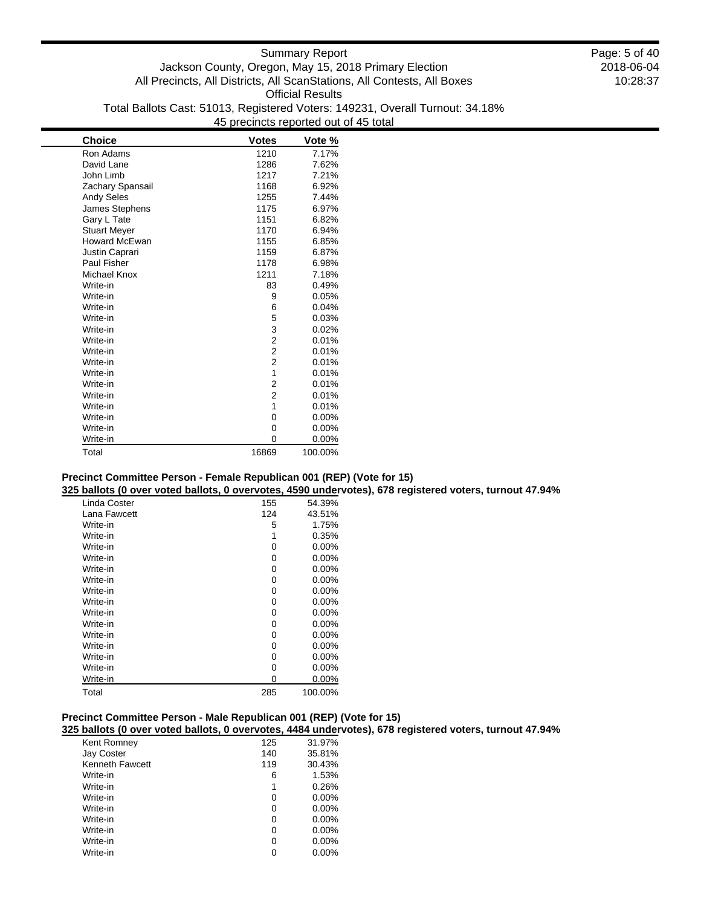| Choice               | <b>Votes</b>            | Vote %  |
|----------------------|-------------------------|---------|
| Ron Adams            | 1210                    | 7.17%   |
| David Lane           | 1286                    | 7.62%   |
| John Limb            | 1217                    | 7.21%   |
| Zachary Spansail     | 1168                    | 6.92%   |
| <b>Andy Seles</b>    | 1255                    | 7.44%   |
| James Stephens       | 1175                    | 6.97%   |
| Gary L Tate          | 1151                    | 6.82%   |
| <b>Stuart Meyer</b>  | 1170                    | 6.94%   |
| <b>Howard McEwan</b> | 1155                    | 6.85%   |
| Justin Caprari       | 1159                    | 6.87%   |
| <b>Paul Fisher</b>   | 1178                    | 6.98%   |
| Michael Knox         | 1211                    | 7.18%   |
| Write-in             | 83                      | 0.49%   |
| Write-in             | 9                       | 0.05%   |
| Write-in             | 6                       | 0.04%   |
| Write-in             | 5                       | 0.03%   |
| Write-in             | 3                       | 0.02%   |
| Write-in             | $\overline{\mathbf{c}}$ | 0.01%   |
| Write-in             | $\overline{c}$          | 0.01%   |
| Write-in             | $\overline{2}$          | 0.01%   |
| Write-in             | 1                       | 0.01%   |
| Write-in             | $\overline{2}$          | 0.01%   |
| Write-in             | 2                       | 0.01%   |
| Write-in             | 1                       | 0.01%   |
| Write-in             | 0                       | 0.00%   |
| Write-in             | 0                       | 0.00%   |
| Write-in             | 0                       | 0.00%   |
| Total                | 16869                   | 100.00% |

#### **Precinct Committee Person - Female Republican 001 (REP) (Vote for 15)**

**325 ballots (0 over voted ballots, 0 overvotes, 4590 undervotes), 678 registered voters, turnout 47.94%**

| Linda Coster | 155 | 54.39%   |
|--------------|-----|----------|
| Lana Fawcett | 124 | 43.51%   |
| Write-in     | 5   | 1.75%    |
| Write-in     | 1   | 0.35%    |
| Write-in     | 0   | $0.00\%$ |
| Write-in     | 0   | 0.00%    |
| Write-in     | 0   | 0.00%    |
| Write-in     | 0   | 0.00%    |
| Write-in     | 0   | $0.00\%$ |
| Write-in     | 0   | $0.00\%$ |
| Write-in     | 0   | $0.00\%$ |
| Write-in     | 0   | $0.00\%$ |
| Write-in     | 0   | $0.00\%$ |
| Write-in     | 0   | $0.00\%$ |
| Write-in     | 0   | 0.00%    |
| Write-in     | 0   | 0.00%    |
| Write-in     | 0   | $0.00\%$ |
| Total        | 285 | 100.00%  |

## **Precinct Committee Person - Male Republican 001 (REP) (Vote for 15)**

**325 ballots (0 over voted ballots, 0 overvotes, 4484 undervotes), 678 registered voters, turnout 47.94%**

| Kent Romney            | 125 | 31.97%   |
|------------------------|-----|----------|
| Jay Coster             | 140 | 35.81%   |
| <b>Kenneth Fawcett</b> | 119 | 30.43%   |
| Write-in               | 6   | 1.53%    |
| Write-in               | 1   | 0.26%    |
| Write-in               | 0   | $0.00\%$ |
| Write-in               | 0   | $0.00\%$ |
| Write-in               | 0   | $0.00\%$ |
| Write-in               | 0   | $0.00\%$ |
| Write-in               | 0   | $0.00\%$ |
| Write-in               |     | $0.00\%$ |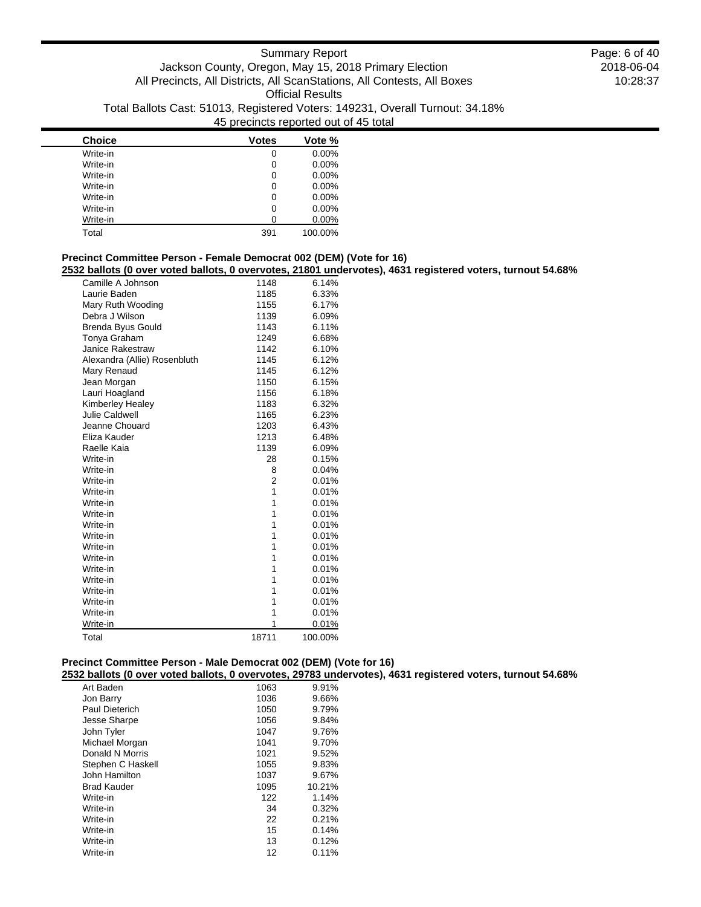| <b>Choice</b> | <b>Votes</b> | Vote %   |
|---------------|--------------|----------|
| Write-in      | 0            | 0.00%    |
| Write-in      | 0            | 0.00%    |
| Write-in      | 0            | 0.00%    |
| Write-in      | 0            | 0.00%    |
| Write-in      | 0            | 0.00%    |
| Write-in      | 0            | 0.00%    |
| Write-in      | O            | $0.00\%$ |
| Total         | 391          | 100.00%  |

## **Precinct Committee Person - Female Democrat 002 (DEM) (Vote for 16)**

**2532 ballots (0 over voted ballots, 0 overvotes, 21801 undervotes), 4631 registered voters, turnout 54.68%**

| Camille A Johnson            | 1148  | 6.14%   |
|------------------------------|-------|---------|
| Laurie Baden                 | 1185  | 6.33%   |
| Mary Ruth Wooding            | 1155  | 6.17%   |
| Debra J Wilson               | 1139  | 6.09%   |
| Brenda Byus Gould            | 1143  | 6.11%   |
| Tonya Graham                 | 1249  | 6.68%   |
| Janice Rakestraw             | 1142  | 6.10%   |
| Alexandra (Allie) Rosenbluth | 1145  | 6.12%   |
| Mary Renaud                  | 1145  | 6.12%   |
| Jean Morgan                  | 1150  | 6.15%   |
| Lauri Hoagland               | 1156  | 6.18%   |
| Kimberley Healey             | 1183  | 6.32%   |
| Julie Caldwell               | 1165  | 6.23%   |
| Jeanne Chouard               | 1203  | 6.43%   |
| Eliza Kauder                 | 1213  | 6.48%   |
| Raelle Kaia                  | 1139  | 6.09%   |
| Write-in                     | 28    | 0.15%   |
| Write-in                     | 8     | 0.04%   |
| Write-in                     | 2     | 0.01%   |
| Write-in                     | 1     | 0.01%   |
| Write-in                     | 1     | 0.01%   |
| Write-in                     | 1     | 0.01%   |
| Write-in                     | 1     | 0.01%   |
| Write-in                     | 1     | 0.01%   |
| Write-in                     | 1     | 0.01%   |
| Write-in                     | 1     | 0.01%   |
| Write-in                     | 1     | 0.01%   |
| Write-in                     | 1     | 0.01%   |
| Write-in                     | 1     | 0.01%   |
| Write-in                     | 1     | 0.01%   |
| Write-in                     | 1     | 0.01%   |
| Write-in                     | 1     | 0.01%   |
| Total                        | 18711 | 100.00% |
|                              |       |         |

## **Precinct Committee Person - Male Democrat 002 (DEM) (Vote for 16)**

**2532 ballots (0 over voted ballots, 0 overvotes, 29783 undervotes), 4631 registered voters, turnout 54.68%**

| Art Baden          | 1063 | 9.91%  |
|--------------------|------|--------|
| Jon Barry          | 1036 | 9.66%  |
| Paul Dieterich     | 1050 | 9.79%  |
| Jesse Sharpe       | 1056 | 9.84%  |
| John Tyler         | 1047 | 9.76%  |
| Michael Morgan     | 1041 | 9.70%  |
| Donald N Morris    | 1021 | 9.52%  |
| Stephen C Haskell  | 1055 | 9.83%  |
| John Hamilton      | 1037 | 9.67%  |
| <b>Brad Kauder</b> | 1095 | 10.21% |
| Write-in           | 122  | 1.14%  |
| Write-in           | 34   | 0.32%  |
| Write-in           | 22   | 0.21%  |
| Write-in           | 15   | 0.14%  |
| Write-in           | 13   | 0.12%  |
| Write-in           | 12   | 0.11%  |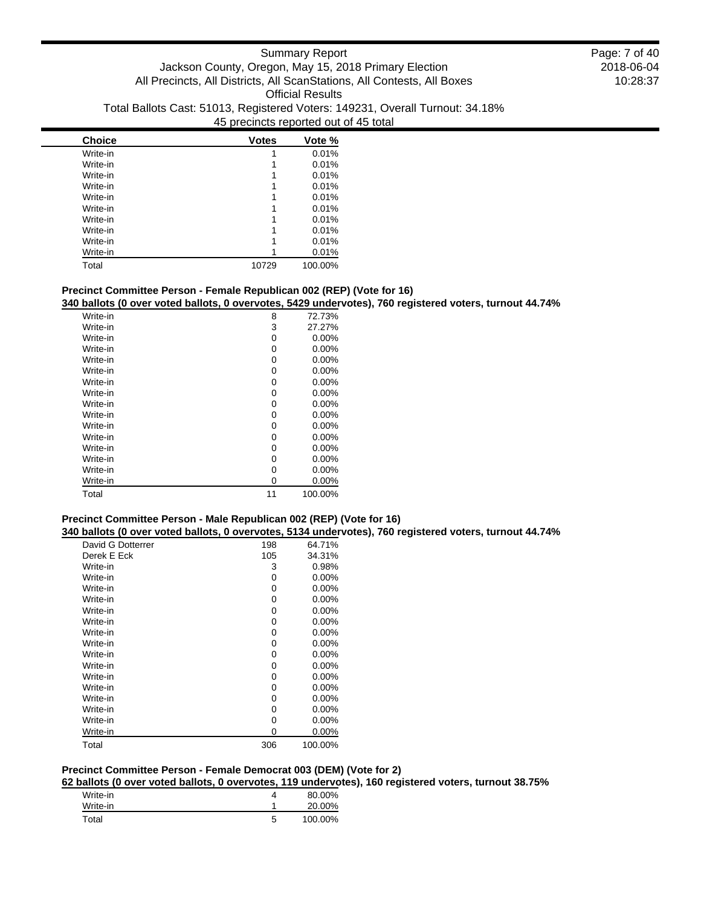| <b>Choice</b> | <b>Votes</b> | Vote %  |
|---------------|--------------|---------|
| Write-in      |              | 0.01%   |
| Write-in      |              | 0.01%   |
| Write-in      |              | 0.01%   |
| Write-in      |              | 0.01%   |
| Write-in      |              | 0.01%   |
| Write-in      |              | 0.01%   |
| Write-in      |              | 0.01%   |
| Write-in      |              | 0.01%   |
| Write-in      |              | 0.01%   |
| Write-in      |              | 0.01%   |
| Total         | 10729        | 100.00% |

## **Precinct Committee Person - Female Republican 002 (REP) (Vote for 16)**

**340 ballots (0 over voted ballots, 0 overvotes, 5429 undervotes), 760 registered voters, turnout 44.74%**

| Write-in | 8  | 72.73%   |
|----------|----|----------|
| Write-in | 3  | 27.27%   |
| Write-in | 0  | 0.00%    |
| Write-in | 0  | 0.00%    |
| Write-in | 0  | $0.00\%$ |
| Write-in | 0  | 0.00%    |
| Write-in | 0  | $0.00\%$ |
| Write-in | 0  | 0.00%    |
| Write-in | 0  | $0.00\%$ |
| Write-in | 0  | 0.00%    |
| Write-in | 0  | 0.00%    |
| Write-in | 0  | 0.00%    |
| Write-in | 0  | $0.00\%$ |
| Write-in | 0  | $0.00\%$ |
| Write-in | 0  | 0.00%    |
| Write-in | 0  | 0.00%    |
| Total    | 11 | 100.00%  |

## **Precinct Committee Person - Male Republican 002 (REP) (Vote for 16)**

**340 ballots (0 over voted ballots, 0 overvotes, 5134 undervotes), 760 registered voters, turnout 44.74%**

| David G Dotterrer | 198 | 64.71%   |
|-------------------|-----|----------|
| Derek E Eck       | 105 | 34.31%   |
| Write-in          | 3   | 0.98%    |
| Write-in          | 0   | 0.00%    |
| Write-in          | 0   | 0.00%    |
| Write-in          | 0   | 0.00%    |
| Write-in          | 0   | $0.00\%$ |
| Write-in          | 0   | $0.00\%$ |
| Write-in          | 0   | 0.00%    |
| Write-in          | 0   | 0.00%    |
| Write-in          | 0   | 0.00%    |
| Write-in          | 0   | 0.00%    |
| Write-in          | 0   | $0.00\%$ |
| Write-in          | 0   | 0.00%    |
| Write-in          | 0   | $0.00\%$ |
| Write-in          | 0   | $0.00\%$ |
| Write-in          | 0   | 0.00%    |
| Write-in          | 0   | 0.00%    |
| Total             | 306 | 100.00%  |

### **Precinct Committee Person - Female Democrat 003 (DEM) (Vote for 2)**

**62 ballots (0 over voted ballots, 0 overvotes, 119 undervotes), 160 registered voters, turnout 38.75%**

| Write-in |   | 80.00%  |
|----------|---|---------|
| Write-in |   | 20.00%  |
| Total    | ≎ | 100.00% |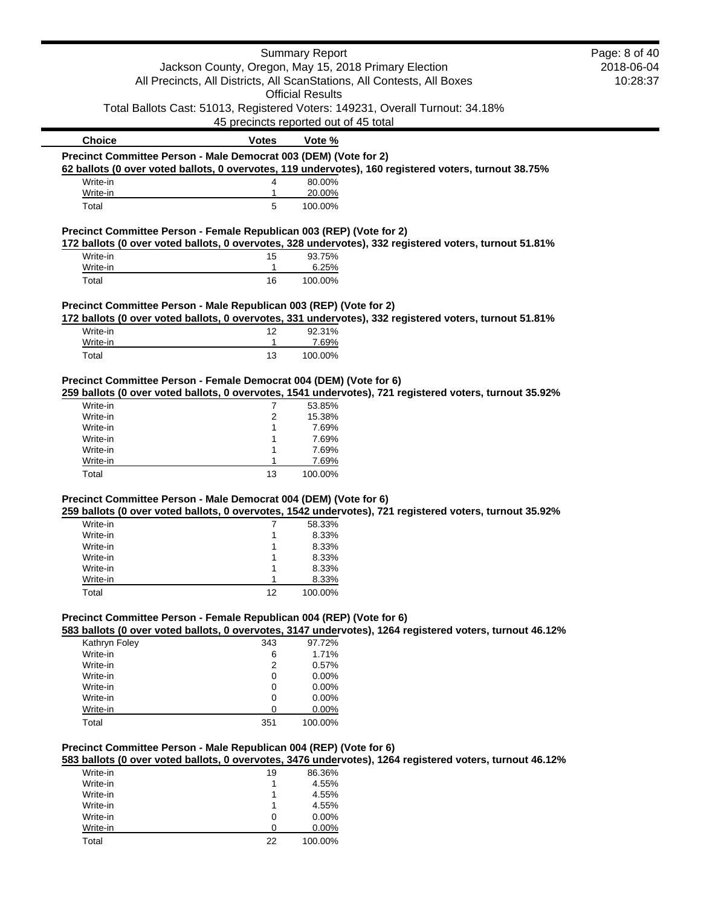|                                                                      |                                                                         | <b>Summary Report</b>                 |                                                                                                          | Page: 8 of 40 |
|----------------------------------------------------------------------|-------------------------------------------------------------------------|---------------------------------------|----------------------------------------------------------------------------------------------------------|---------------|
|                                                                      | Jackson County, Oregon, May 15, 2018 Primary Election                   |                                       |                                                                                                          | 2018-06-04    |
|                                                                      | All Precincts, All Districts, All ScanStations, All Contests, All Boxes |                                       |                                                                                                          | 10:28:37      |
|                                                                      |                                                                         | <b>Official Results</b>               |                                                                                                          |               |
|                                                                      |                                                                         |                                       | Total Ballots Cast: 51013, Registered Voters: 149231, Overall Turnout: 34.18%                            |               |
|                                                                      |                                                                         | 45 precincts reported out of 45 total |                                                                                                          |               |
| <b>Choice</b>                                                        | <b>Votes</b>                                                            | Vote %                                |                                                                                                          |               |
| Precinct Committee Person - Male Democrat 003 (DEM) (Vote for 2)     |                                                                         |                                       |                                                                                                          |               |
|                                                                      |                                                                         |                                       | 62 ballots (0 over voted ballots, 0 overvotes, 119 undervotes), 160 registered voters, turnout 38.75%    |               |
| Write-in                                                             | 4                                                                       | 80.00%                                |                                                                                                          |               |
| Write-in                                                             | $\mathbf{1}$                                                            | 20.00%                                |                                                                                                          |               |
| Total                                                                | 5                                                                       | 100.00%                               |                                                                                                          |               |
|                                                                      |                                                                         |                                       |                                                                                                          |               |
| Precinct Committee Person - Female Republican 003 (REP) (Vote for 2) |                                                                         |                                       | 172 ballots (0 over voted ballots, 0 overvotes, 328 undervotes), 332 registered voters, turnout 51.81%   |               |
| Write-in                                                             | 15                                                                      | 93.75%                                |                                                                                                          |               |
| Write-in                                                             | 1                                                                       | 6.25%                                 |                                                                                                          |               |
| Total                                                                | 16                                                                      | 100.00%                               |                                                                                                          |               |
|                                                                      |                                                                         |                                       |                                                                                                          |               |
| Precinct Committee Person - Male Republican 003 (REP) (Vote for 2)   |                                                                         |                                       |                                                                                                          |               |
|                                                                      |                                                                         |                                       | 172 ballots (0 over voted ballots, 0 overvotes, 331 undervotes), 332 registered voters, turnout 51.81%   |               |
| Write-in                                                             | 12                                                                      | 92.31%                                |                                                                                                          |               |
| Write-in                                                             | 1                                                                       | 7.69%                                 |                                                                                                          |               |
| Total                                                                | 13                                                                      | 100.00%                               |                                                                                                          |               |
| Precinct Committee Person - Female Democrat 004 (DEM) (Vote for 6)   |                                                                         |                                       |                                                                                                          |               |
|                                                                      |                                                                         |                                       | 259 ballots (0 over voted ballots, 0 overvotes, 1541 undervotes), 721 registered voters, turnout 35.92%  |               |
| Write-in                                                             | 7                                                                       | 53.85%                                |                                                                                                          |               |
| Write-in                                                             | $\overline{2}$                                                          | 15.38%                                |                                                                                                          |               |
| Write-in                                                             | 1                                                                       | 7.69%                                 |                                                                                                          |               |
| Write-in                                                             | 1                                                                       | 7.69%                                 |                                                                                                          |               |
| Write-in                                                             | 1                                                                       | 7.69%                                 |                                                                                                          |               |
| Write-in                                                             |                                                                         | 7.69%                                 |                                                                                                          |               |
| Total                                                                | 13                                                                      | 100.00%                               |                                                                                                          |               |
|                                                                      |                                                                         |                                       |                                                                                                          |               |
| Precinct Committee Person - Male Democrat 004 (DEM) (Vote for 6)     |                                                                         |                                       |                                                                                                          |               |
|                                                                      |                                                                         |                                       | 259 ballots (0 over voted ballots, 0 overvotes, 1542 undervotes), 721 registered voters, turnout 35.92%  |               |
| Write-in                                                             | 7                                                                       | 58.33%                                |                                                                                                          |               |
| Write-in                                                             | 1                                                                       | 8.33%                                 |                                                                                                          |               |
| Write-in                                                             | 1                                                                       | 8.33%                                 |                                                                                                          |               |
| Write-in                                                             | 1                                                                       | 8.33%                                 |                                                                                                          |               |
| Write-in                                                             | 1                                                                       | 8.33%                                 |                                                                                                          |               |
| Write-in                                                             | 1                                                                       | 8.33%                                 |                                                                                                          |               |
| Total                                                                | 12                                                                      | 100.00%                               |                                                                                                          |               |
| Precinct Committee Person - Female Republican 004 (REP) (Vote for 6) |                                                                         |                                       |                                                                                                          |               |
|                                                                      |                                                                         |                                       | 583 ballots (0 over voted ballots, 0 overvotes, 3147 undervotes), 1264 registered voters, turnout 46.12% |               |
| Kathryn Foley                                                        | 343                                                                     | 97.72%                                |                                                                                                          |               |
| Write-in                                                             | 6                                                                       | 1.71%                                 |                                                                                                          |               |
| Write-in                                                             | $\overline{2}$                                                          | 0.57%                                 |                                                                                                          |               |
| Write-in                                                             | 0                                                                       | 0.00%                                 |                                                                                                          |               |
| Write-in                                                             | 0                                                                       | 0.00%                                 |                                                                                                          |               |
| Write-in                                                             | 0                                                                       | 0.00%                                 |                                                                                                          |               |
| Write-in                                                             | 0                                                                       | 0.00%                                 |                                                                                                          |               |
| Total                                                                | 351                                                                     | 100.00%                               |                                                                                                          |               |
|                                                                      |                                                                         |                                       |                                                                                                          |               |
| Precinct Committee Person - Male Republican 004 (REP) (Vote for 6)   |                                                                         |                                       |                                                                                                          |               |
|                                                                      |                                                                         |                                       | 583 ballots (0 over voted ballots, 0 overvotes, 3476 undervotes), 1264 registered voters, turnout 46.12% |               |
| Write-in                                                             | 19                                                                      | 86.36%                                |                                                                                                          |               |
| Write-in                                                             | 1                                                                       | 4.55%                                 |                                                                                                          |               |
| Write-in                                                             | 1                                                                       | 4.55%                                 |                                                                                                          |               |
| Write-in                                                             | 1                                                                       | 4.55%                                 |                                                                                                          |               |
| Write-in                                                             | 0                                                                       | 0.00%                                 |                                                                                                          |               |
| Write-in                                                             | 0                                                                       | $0.00\%$                              |                                                                                                          |               |

Total 22 100.00%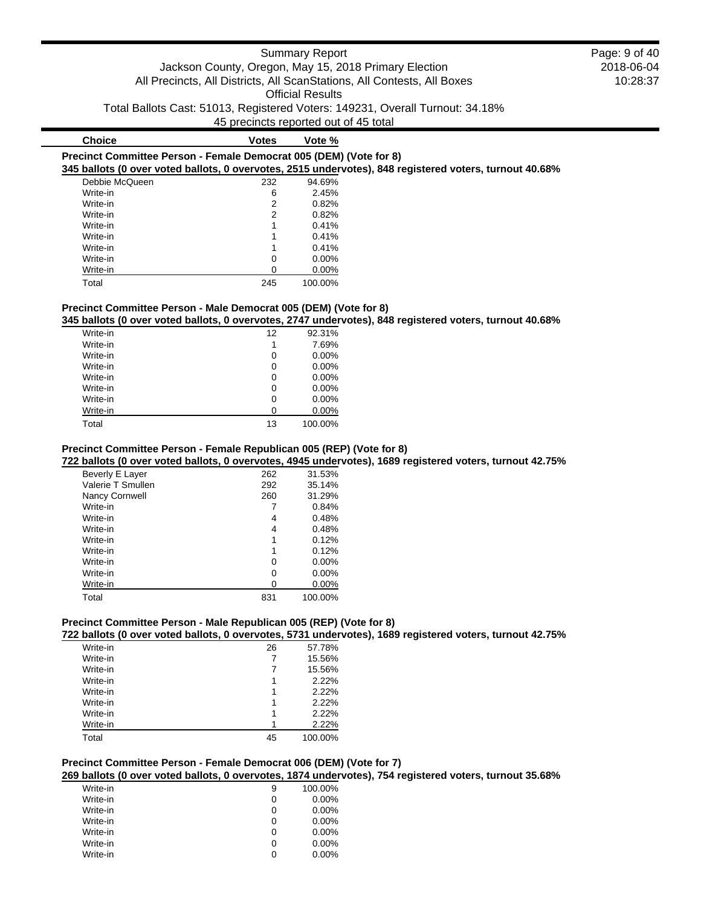**Choice Votes Vote %**

**Precinct Committee Person - Female Democrat 005 (DEM) (Vote for 8) 345 ballots (0 over voted ballots, 0 overvotes, 2515 undervotes), 848 registered voters, turnout 40.68%**

| 70 DAIIO10 (V OVCI VOICA DAIIO10, V OVCI VOIC0, ZOTO ANIACI V |     |          |
|---------------------------------------------------------------|-----|----------|
| Debbie McQueen                                                | 232 | 94.69%   |
| Write-in                                                      | 6   | 2.45%    |
| Write-in                                                      | 2   | 0.82%    |
| Write-in                                                      | 2   | 0.82%    |
| Write-in                                                      | 1   | 0.41%    |
| Write-in                                                      |     | 0.41%    |
| Write-in                                                      | 1   | 0.41%    |
| Write-in                                                      | 0   | $0.00\%$ |
| Write-in                                                      | ი   | $0.00\%$ |
| Total                                                         | 245 | 100.00%  |

## **Precinct Committee Person - Male Democrat 005 (DEM) (Vote for 8)**

**345 ballots (0 over voted ballots, 0 overvotes, 2747 undervotes), 848 registered voters, turnout 40.68%**

| Write-in | 12 | 92.31%   |
|----------|----|----------|
| Write-in | 1  | 7.69%    |
| Write-in | 0  | $0.00\%$ |
| Write-in | 0  | 0.00%    |
| Write-in | 0  | $0.00\%$ |
| Write-in | 0  | $0.00\%$ |
| Write-in | 0  | 0.00%    |
| Write-in | 0  | 0.00%    |
| Total    | 13 | 100.00%  |

## **Precinct Committee Person - Female Republican 005 (REP) (Vote for 8)**

**722 ballots (0 over voted ballots, 0 overvotes, 4945 undervotes), 1689 registered voters, turnout 42.75%**

| Beverly E Layer   | 262 | 31.53%   |
|-------------------|-----|----------|
| Valerie T Smullen | 292 | 35.14%   |
| Nancy Cornwell    | 260 | 31.29%   |
| Write-in          |     | 0.84%    |
| Write-in          | 4   | 0.48%    |
| Write-in          | 4   | 0.48%    |
| Write-in          | 1   | 0.12%    |
| Write-in          | 1   | 0.12%    |
| Write-in          | 0   | $0.00\%$ |
| Write-in          | 0   | $0.00\%$ |
| Write-in          | Ω   | 0.00%    |
| Total             | 831 | 100.00%  |

#### **Precinct Committee Person - Male Republican 005 (REP) (Vote for 8)**

**722 ballots (0 over voted ballots, 0 overvotes, 5731 undervotes), 1689 registered voters, turnout 42.75%**

| 26 | 57.78%  |
|----|---------|
| 7  | 15.56%  |
| 7  | 15.56%  |
| 1  | 2.22%   |
|    | 2.22%   |
|    | 2.22%   |
| 1  | 2.22%   |
|    | 2.22%   |
| 45 | 100.00% |
|    |         |

## **Precinct Committee Person - Female Democrat 006 (DEM) (Vote for 7)**

**269 ballots (0 over voted ballots, 0 overvotes, 1874 undervotes), 754 registered voters, turnout 35.68%**

| Write-in | 9 | 100.00%  |
|----------|---|----------|
| Write-in | 0 | $0.00\%$ |
| Write-in | 0 | $0.00\%$ |
| Write-in | 0 | $0.00\%$ |
| Write-in | 0 | $0.00\%$ |
| Write-in | 0 | $0.00\%$ |
| Write-in |   | $0.00\%$ |

2018-06-04 10:28:37 Page: 9 of 40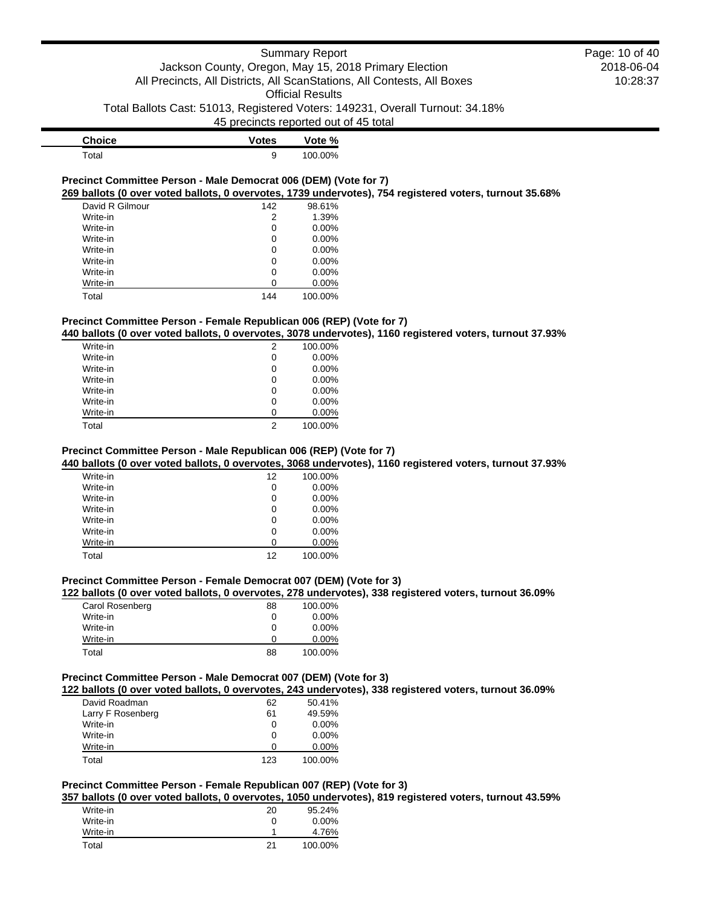2018-06-04 10:28:37

Page: 10 of 40

| <b>Choice</b> | <b>Votes</b> | Vote %  |
|---------------|--------------|---------|
| Total         |              | 100.00% |

#### **Precinct Committee Person - Male Democrat 006 (DEM) (Vote for 7) 269 ballots (0 over voted ballots, 0 overvotes, 1739 undervotes), 754 registered voters, turnout 35.68%**

| David R Gilmour | 142 | 98.61%   |
|-----------------|-----|----------|
| Write-in        | 2   | 1.39%    |
| Write-in        | 0   | 0.00%    |
| Write-in        | 0   | 0.00%    |
| Write-in        | 0   | 0.00%    |
| Write-in        | 0   | $0.00\%$ |
| Write-in        | 0   | $0.00\%$ |
| Write-in        | ი   | 0.00%    |
| Total           | 144 | 100.00%  |

## **Precinct Committee Person - Female Republican 006 (REP) (Vote for 7)**

## **440 ballots (0 over voted ballots, 0 overvotes, 3078 undervotes), 1160 registered voters, turnout 37.93%**

| Write-in | 2 | 100.00%  |
|----------|---|----------|
| Write-in | 0 | $0.00\%$ |
| Write-in | 0 | $0.00\%$ |
| Write-in | 0 | $0.00\%$ |
| Write-in | 0 | $0.00\%$ |
| Write-in | 0 | $0.00\%$ |
| Write-in | n | $0.00\%$ |
| Total    | 2 | 100.00%  |
|          |   |          |

## **Precinct Committee Person - Male Republican 006 (REP) (Vote for 7)**

#### **440 ballots (0 over voted ballots, 0 overvotes, 3068 undervotes), 1160 registered voters, turnout 37.93%**

| Write-in | 12 | 100.00%  |
|----------|----|----------|
| Write-in | 0  | $0.00\%$ |
| Write-in | 0  | $0.00\%$ |
| Write-in | 0  | $0.00\%$ |
| Write-in | 0  | $0.00\%$ |
| Write-in | 0  | $0.00\%$ |
| Write-in | ∩  | 0.00%    |
| Total    | 12 | 100.00%  |

### **Precinct Committee Person - Female Democrat 007 (DEM) (Vote for 3)**

#### **122 ballots (0 over voted ballots, 0 overvotes, 278 undervotes), 338 registered voters, turnout 36.09%**

| Carol Rosenberg | 88 | 100.00%  |
|-----------------|----|----------|
| Write-in        | 0  | $0.00\%$ |
| Write-in        | 0  | $0.00\%$ |
| Write-in        | 0  | $0.00\%$ |
| Total           | 88 | 100.00%  |

#### **Precinct Committee Person - Male Democrat 007 (DEM) (Vote for 3)**

**122 ballots (0 over voted ballots, 0 overvotes, 243 undervotes), 338 registered voters, turnout 36.09%**

| David Roadman     | 62  | 50.41%   |
|-------------------|-----|----------|
| Larry F Rosenberg | 61  | 49.59%   |
| Write-in          | 0   | $0.00\%$ |
| Write-in          | 0   | $0.00\%$ |
| Write-in          |     | $0.00\%$ |
| Total             | 123 | 100.00%  |

#### **Precinct Committee Person - Female Republican 007 (REP) (Vote for 3)**

**357 ballots (0 over voted ballots, 0 overvotes, 1050 undervotes), 819 registered voters, turnout 43.59%**

| Write-in | 20 | 95.24%   |
|----------|----|----------|
| Write-in | 0  | $0.00\%$ |
| Write-in |    | 4.76%    |
| Total    | 21 | 100.00%  |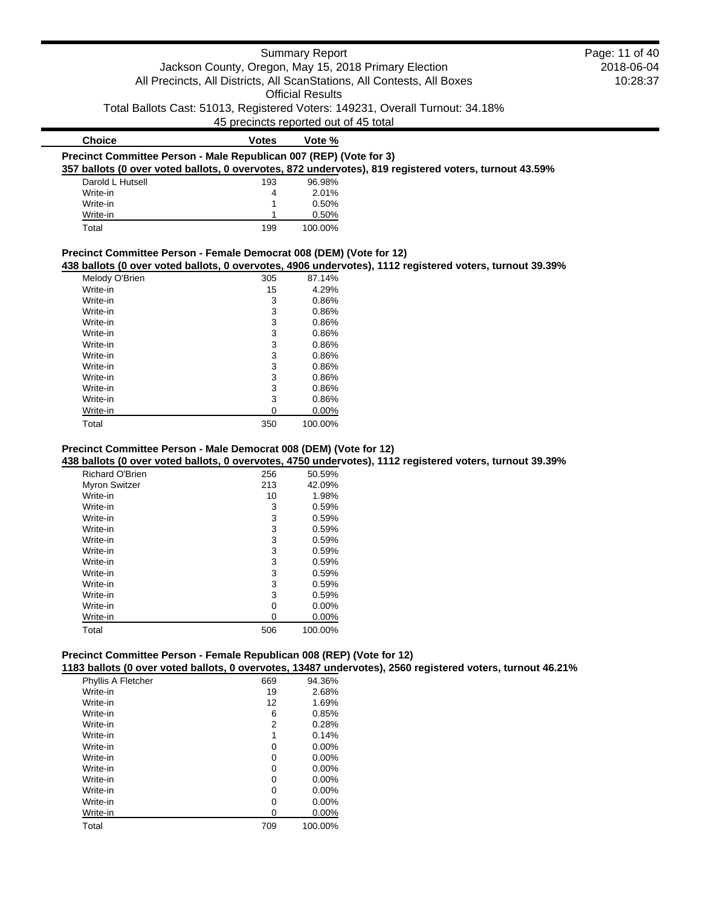| <b>Summary Report</b>                                              |                                                       | Page: 11 of 40                                                                |                                                                                                          |            |
|--------------------------------------------------------------------|-------------------------------------------------------|-------------------------------------------------------------------------------|----------------------------------------------------------------------------------------------------------|------------|
|                                                                    | Jackson County, Oregon, May 15, 2018 Primary Election |                                                                               |                                                                                                          | 2018-06-04 |
|                                                                    |                                                       | All Precincts, All Districts, All ScanStations, All Contests, All Boxes       |                                                                                                          | 10:28:37   |
|                                                                    |                                                       | <b>Official Results</b>                                                       |                                                                                                          |            |
|                                                                    |                                                       |                                                                               |                                                                                                          |            |
|                                                                    |                                                       | Total Ballots Cast: 51013, Registered Voters: 149231, Overall Turnout: 34.18% |                                                                                                          |            |
|                                                                    |                                                       | 45 precincts reported out of 45 total                                         |                                                                                                          |            |
| <b>Choice</b>                                                      | <b>Votes</b>                                          | Vote %                                                                        |                                                                                                          |            |
| Precinct Committee Person - Male Republican 007 (REP) (Vote for 3) |                                                       |                                                                               |                                                                                                          |            |
|                                                                    |                                                       |                                                                               | 357 ballots (0 over voted ballots, 0 overvotes, 872 undervotes), 819 registered voters, turnout 43.59%   |            |
| Darold L Hutsell                                                   | 193                                                   | 96.98%                                                                        |                                                                                                          |            |
| Write-in                                                           | 4                                                     | 2.01%                                                                         |                                                                                                          |            |
| Write-in                                                           |                                                       | 0.50%                                                                         |                                                                                                          |            |
| Write-in                                                           |                                                       | 0.50%                                                                         |                                                                                                          |            |
|                                                                    | 199                                                   | 100.00%                                                                       |                                                                                                          |            |
| Total                                                              |                                                       | Precinct Committee Person - Female Democrat 008 (DEM) (Vote for 12)           | 438 ballots (0 over voted ballots, 0 overvotes, 4906 undervotes), 1112 registered voters, turnout 39.39% |            |
|                                                                    |                                                       |                                                                               |                                                                                                          |            |
| Melody O'Brien                                                     | 305                                                   | 87.14%                                                                        |                                                                                                          |            |
| Write-in                                                           | 15                                                    | 4.29%                                                                         |                                                                                                          |            |
| Write-in                                                           | 3                                                     | 0.86%                                                                         |                                                                                                          |            |
| Write-in                                                           | 3                                                     | 0.86%                                                                         |                                                                                                          |            |
| Write-in                                                           | 3                                                     | 0.86%                                                                         |                                                                                                          |            |
| Write-in                                                           | 3                                                     | 0.86%                                                                         |                                                                                                          |            |
| Write-in                                                           | 3                                                     | 0.86%                                                                         |                                                                                                          |            |
| Write-in                                                           | 3                                                     | 0.86%                                                                         |                                                                                                          |            |
| Write-in<br>Write-in                                               | 3<br>3                                                | 0.86%<br>0.86%                                                                |                                                                                                          |            |
| Write-in                                                           | 3                                                     | 0.86%                                                                         |                                                                                                          |            |
|                                                                    |                                                       |                                                                               |                                                                                                          |            |
| Write-in<br>Write-in                                               | 3<br>0                                                | 0.86%<br>0.00%                                                                |                                                                                                          |            |
| Total                                                              | 350                                                   | 100.00%                                                                       |                                                                                                          |            |

| 256 | 50.59%   |
|-----|----------|
| 213 | 42.09%   |
| 10  | 1.98%    |
| 3   | 0.59%    |
| 3   | 0.59%    |
| 3   | 0.59%    |
| 3   | 0.59%    |
| 3   | 0.59%    |
| 3   | 0.59%    |
| 3   | 0.59%    |
| 3   | 0.59%    |
| 3   | 0.59%    |
| 0   | $0.00\%$ |
| 0   | 0.00%    |
| 506 | 100.00%  |
|     |          |

 $\blacksquare$ 

## **Precinct Committee Person - Female Republican 008 (REP) (Vote for 12)**

**1183 ballots (0 over voted ballots, 0 overvotes, 13487 undervotes), 2560 registered voters, turnout 46.21%**

| Phyllis A Fletcher | 669 | 94.36%   |
|--------------------|-----|----------|
| Write-in           | 19  | 2.68%    |
| Write-in           | 12  | 1.69%    |
| Write-in           | 6   | 0.85%    |
| Write-in           | 2   | 0.28%    |
| Write-in           | 1   | 0.14%    |
| Write-in           | 0   | $0.00\%$ |
| Write-in           | 0   | 0.00%    |
| Write-in           | 0   | $0.00\%$ |
| Write-in           | 0   | $0.00\%$ |
| Write-in           | 0   | $0.00\%$ |
| Write-in           | 0   | $0.00\%$ |
| Write-in           | 0   | 0.00%    |
| Total              | 709 | 100.00%  |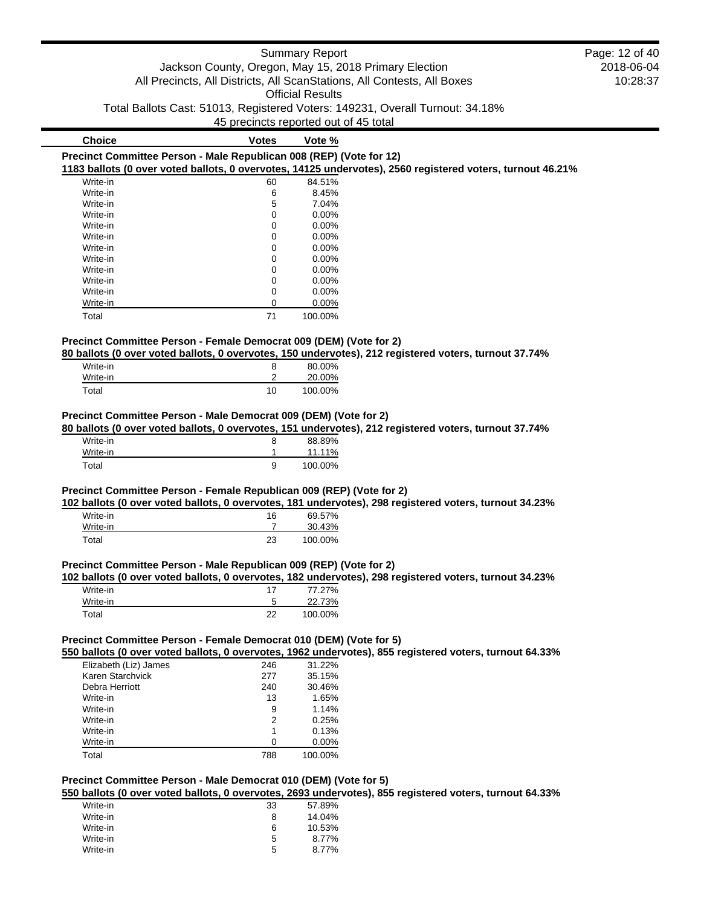|                                                                      |                                       | <b>Summary Report</b>   |                                                                                                            | Page: 12 of 40 |
|----------------------------------------------------------------------|---------------------------------------|-------------------------|------------------------------------------------------------------------------------------------------------|----------------|
|                                                                      |                                       |                         | Jackson County, Oregon, May 15, 2018 Primary Election                                                      | 2018-06-04     |
|                                                                      |                                       |                         | All Precincts, All Districts, All ScanStations, All Contests, All Boxes                                    | 10:28:37       |
|                                                                      |                                       | <b>Official Results</b> |                                                                                                            |                |
|                                                                      |                                       |                         | Total Ballots Cast: 51013, Registered Voters: 149231, Overall Turnout: 34.18%                              |                |
|                                                                      |                                       |                         |                                                                                                            |                |
|                                                                      | 45 precincts reported out of 45 total |                         |                                                                                                            |                |
| <b>Choice</b>                                                        | <b>Votes</b>                          | Vote %                  |                                                                                                            |                |
| Precinct Committee Person - Male Republican 008 (REP) (Vote for 12)  |                                       |                         |                                                                                                            |                |
|                                                                      |                                       |                         | 1183 ballots (0 over voted ballots, 0 overvotes, 14125 undervotes), 2560 registered voters, turnout 46.21% |                |
| Write-in                                                             | 60                                    | 84.51%                  |                                                                                                            |                |
| Write-in                                                             | 6                                     | 8.45%                   |                                                                                                            |                |
| Write-in                                                             | 5                                     | 7.04%                   |                                                                                                            |                |
| Write-in                                                             | 0                                     | 0.00%                   |                                                                                                            |                |
| Write-in                                                             | 0                                     | 0.00%                   |                                                                                                            |                |
| Write-in                                                             | 0<br>0                                | 0.00%<br>0.00%          |                                                                                                            |                |
| Write-in<br>Write-in                                                 | 0                                     | 0.00%                   |                                                                                                            |                |
| Write-in                                                             | 0                                     | 0.00%                   |                                                                                                            |                |
| Write-in                                                             | 0                                     | 0.00%                   |                                                                                                            |                |
| Write-in                                                             | 0                                     | 0.00%                   |                                                                                                            |                |
| Write-in                                                             | 0                                     | 0.00%                   |                                                                                                            |                |
| Total                                                                | 71                                    | 100.00%                 |                                                                                                            |                |
|                                                                      |                                       |                         |                                                                                                            |                |
| Precinct Committee Person - Female Democrat 009 (DEM) (Vote for 2)   |                                       |                         |                                                                                                            |                |
|                                                                      |                                       |                         | 80 ballots (0 over voted ballots, 0 overvotes, 150 undervotes), 212 registered voters, turnout 37.74%      |                |
| Write-in                                                             | 8                                     | 80.00%                  |                                                                                                            |                |
| Write-in                                                             | 2                                     | 20.00%                  |                                                                                                            |                |
| Total                                                                | 10                                    | 100.00%                 |                                                                                                            |                |
| Write-in<br>Write-in                                                 | 8<br>1                                | 88.89%<br>11.11%        |                                                                                                            |                |
| Total                                                                | 9                                     | 100.00%                 |                                                                                                            |                |
| Precinct Committee Person - Female Republican 009 (REP) (Vote for 2) |                                       |                         |                                                                                                            |                |
|                                                                      |                                       |                         | 102 ballots (0 over voted ballots, 0 overvotes, 181 undervotes), 298 registered voters, turnout 34.23%     |                |
| Write-in                                                             | 16                                    | 69.57%                  |                                                                                                            |                |
| Write-in                                                             | $\overline{7}$                        | 30.43%                  |                                                                                                            |                |
| Total                                                                | 23                                    | 100.00%                 |                                                                                                            |                |
|                                                                      |                                       |                         |                                                                                                            |                |
| Precinct Committee Person - Male Republican 009 (REP) (Vote for 2)   |                                       |                         |                                                                                                            |                |
| Write-in                                                             |                                       | 77.27%                  | 102 ballots (0 over voted ballots, 0 overvotes, 182 undervotes), 298 registered voters, turnout 34.23%     |                |
| Write-in                                                             | 17<br>5                               | 22.73%                  |                                                                                                            |                |
|                                                                      |                                       |                         |                                                                                                            |                |
| Total                                                                | 22                                    | 100.00%                 |                                                                                                            |                |
|                                                                      |                                       |                         |                                                                                                            |                |
| Precinct Committee Person - Female Democrat 010 (DEM) (Vote for 5)   |                                       |                         |                                                                                                            |                |
|                                                                      |                                       |                         | 550 ballots (0 over voted ballots, 0 overvotes, 1962 undervotes), 855 registered voters, turnout 64.33%    |                |
| Elizabeth (Liz) James                                                | 246                                   | 31.22%                  |                                                                                                            |                |
| Karen Starchvick                                                     | 277                                   | 35.15%                  |                                                                                                            |                |
| Debra Herriott                                                       | 240                                   | 30.46%                  |                                                                                                            |                |
| Write-in                                                             | 13                                    | 1.65%                   |                                                                                                            |                |
| Write-in<br>Write-in                                                 | 9<br>2                                | 1.14%<br>0.25%          |                                                                                                            |                |
| Write-in                                                             | 1                                     | 0.13%                   |                                                                                                            |                |
| Write-in                                                             | 0                                     | 0.00%                   |                                                                                                            |                |
|                                                                      | 788                                   |                         |                                                                                                            |                |
| Total                                                                |                                       | 100.00%                 |                                                                                                            |                |
|                                                                      |                                       |                         |                                                                                                            |                |
| Precinct Committee Person - Male Democrat 010 (DEM) (Vote for 5)     |                                       |                         | 550 ballots (0 over voted ballots, 0 overvotes, 2693 undervotes), 855 registered voters, turnout 64.33%    |                |
| Write-in                                                             | 33                                    |                         |                                                                                                            |                |
|                                                                      |                                       | 57.89%                  |                                                                                                            |                |

Write-in 8 14.04% Write-in 6 10.53% Write-in 2008 8.77% Write-in 5 8.77%<br>Write-in 5 8.77%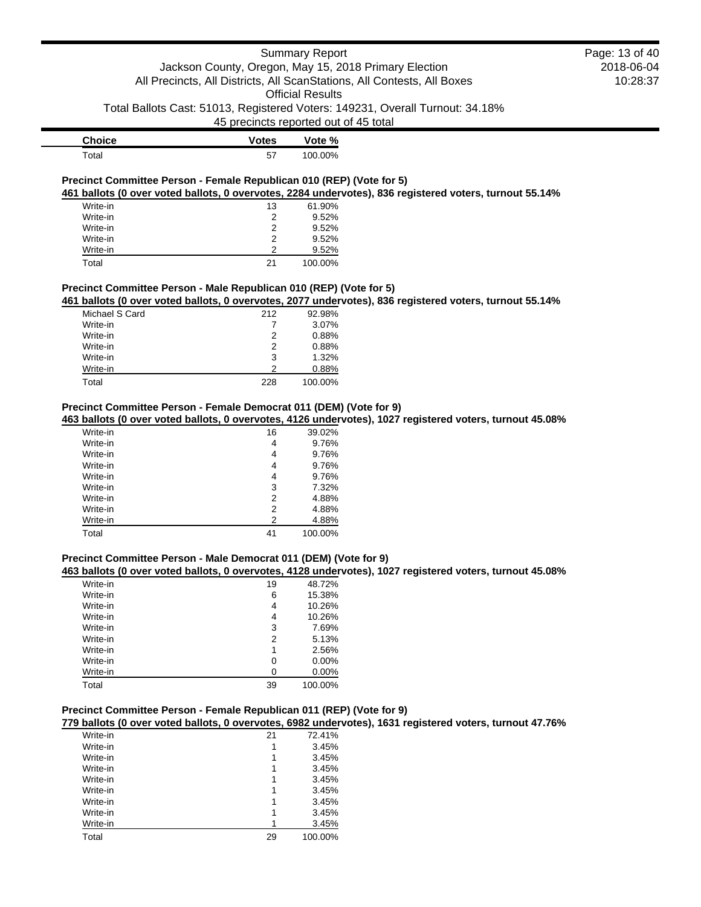### Summary Report

# Jackson County, Oregon, May 15, 2018 Primary Election All Precincts, All Districts, All ScanStations, All Contests, All Boxes

Official Results

Total Ballots Cast: 51013, Registered Voters: 149231, Overall Turnout: 34.18%

45 precincts reported out of 45 total

| <b>Choice</b> | <b>Votes</b> | Vote %  |
|---------------|--------------|---------|
| $\tau$ otal   | 57           | 100.00% |

#### **Precinct Committee Person - Female Republican 010 (REP) (Vote for 5) 461 ballots (0 over voted ballots, 0 overvotes, 2284 undervotes), 836 registered voters, turnout 55.14%**

| Write-in | 13 | 61.90%  |
|----------|----|---------|
| Write-in | 2  | 9.52%   |
| Write-in | 2  | 9.52%   |
| Write-in | 2  | 9.52%   |
| Write-in | 2  | 9.52%   |
| Total    | 21 | 100.00% |

### **Precinct Committee Person - Male Republican 010 (REP) (Vote for 5)**

**461 ballots (0 over voted ballots, 0 overvotes, 2077 undervotes), 836 registered voters, turnout 55.14%**

| Michael S Card | 212 | 92.98%  |
|----------------|-----|---------|
| Write-in       |     | 3.07%   |
| Write-in       | 2   | 0.88%   |
| Write-in       | 2   | 0.88%   |
| Write-in       | 3   | 1.32%   |
| Write-in       | 2   | 0.88%   |
| Total          | 228 | 100.00% |

#### **Precinct Committee Person - Female Democrat 011 (DEM) (Vote for 9)**

**463 ballots (0 over voted ballots, 0 overvotes, 4126 undervotes), 1027 registered voters, turnout 45.08%**

| Write-in | 16 | 39.02%  |
|----------|----|---------|
| Write-in | 4  | 9.76%   |
| Write-in | 4  | 9.76%   |
| Write-in | 4  | 9.76%   |
| Write-in | 4  | 9.76%   |
| Write-in | 3  | 7.32%   |
| Write-in | 2  | 4.88%   |
| Write-in | 2  | 4.88%   |
| Write-in | 2  | 4.88%   |
| Total    | 41 | 100.00% |

#### **Precinct Committee Person - Male Democrat 011 (DEM) (Vote for 9)**

**463 ballots (0 over voted ballots, 0 overvotes, 4128 undervotes), 1027 registered voters, turnout 45.08%**

| Write-in | 19 | 48.72%   |
|----------|----|----------|
| Write-in | 6  | 15.38%   |
| Write-in | 4  | 10.26%   |
| Write-in | 4  | 10.26%   |
| Write-in | 3  | 7.69%    |
| Write-in | 2  | 5.13%    |
| Write-in | 1  | 2.56%    |
| Write-in | 0  | $0.00\%$ |
| Write-in | 0  | $0.00\%$ |
| Total    | 39 | 100.00%  |

### **Precinct Committee Person - Female Republican 011 (REP) (Vote for 9)**

**779 ballots (0 over voted ballots, 0 overvotes, 6982 undervotes), 1631 registered voters, turnout 47.76%**

| Write-in | 21 | 72.41%  |
|----------|----|---------|
| Write-in |    | 3.45%   |
| Write-in | 1  | 3.45%   |
| Write-in |    | 3.45%   |
| Write-in | 1  | 3.45%   |
| Write-in | 1  | 3.45%   |
| Write-in | 1  | 3.45%   |
| Write-in | 1  | 3.45%   |
| Write-in |    | 3.45%   |
| Total    | 29 | 100.00% |
|          |    |         |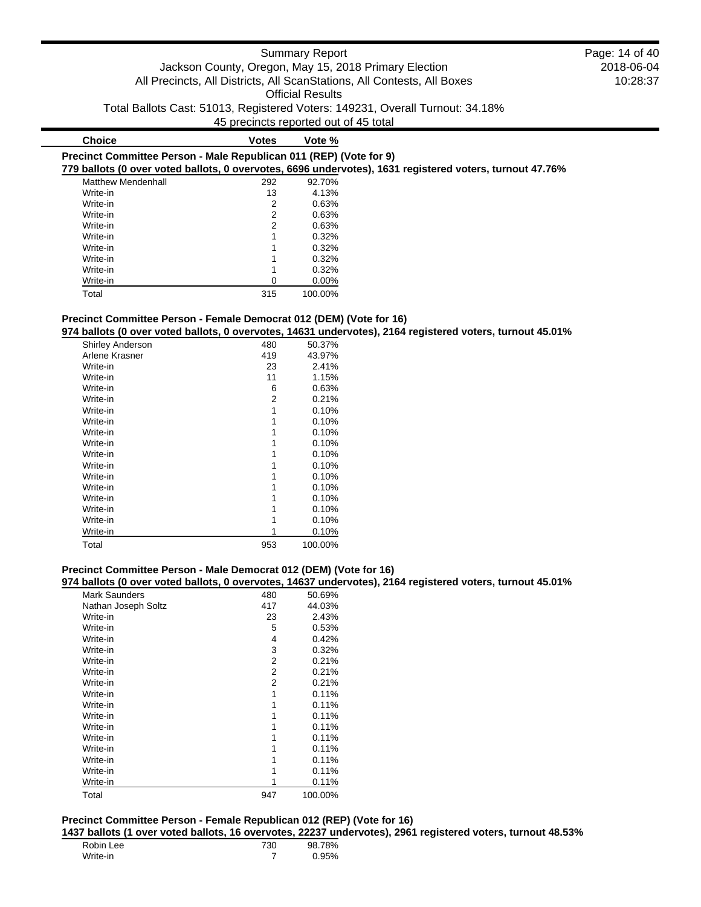| <b>Choice</b>                                                      | <b>Votes</b> | Vote %   |                                                                                                          |
|--------------------------------------------------------------------|--------------|----------|----------------------------------------------------------------------------------------------------------|
| Precinct Committee Person - Male Republican 011 (REP) (Vote for 9) |              |          |                                                                                                          |
|                                                                    |              |          | 779 ballots (0 over voted ballots, 0 overvotes, 6696 undervotes), 1631 registered voters, turnout 47.76% |
| <b>Matthew Mendenhall</b>                                          | 292          | 92.70%   |                                                                                                          |
| Write-in                                                           | 13           | 4.13%    |                                                                                                          |
| Write-in                                                           | 2            | 0.63%    |                                                                                                          |
| Write-in                                                           | 2            | 0.63%    |                                                                                                          |
| Write-in                                                           | 2            | 0.63%    |                                                                                                          |
| Write-in                                                           |              | 0.32%    |                                                                                                          |
| Write-in                                                           |              | 0.32%    |                                                                                                          |
| Write-in                                                           |              | 0.32%    |                                                                                                          |
| Write-in                                                           |              | 0.32%    |                                                                                                          |
| Write-in                                                           | 0            | $0.00\%$ |                                                                                                          |
| Total                                                              | 315          | 100.00%  |                                                                                                          |

#### **Precinct Committee Person - Female Democrat 012 (DEM) (Vote for 16)**

**974 ballots (0 over voted ballots, 0 overvotes, 14631 undervotes), 2164 registered voters, turnout 45.01%**

| <b>Shirley Anderson</b> | 480 | 50.37%  |
|-------------------------|-----|---------|
| Arlene Krasner          | 419 | 43.97%  |
| Write-in                | 23  | 2.41%   |
| Write-in                | 11  | 1.15%   |
| Write-in                | 6   | 0.63%   |
| Write-in                | 2   | 0.21%   |
| Write-in                | 1   | 0.10%   |
| Write-in                | 1   | 0.10%   |
| Write-in                | 1   | 0.10%   |
| Write-in                | 1   | 0.10%   |
| Write-in                | 1   | 0.10%   |
| Write-in                | 1   | 0.10%   |
| Write-in                | 1   | 0.10%   |
| Write-in                | 1   | 0.10%   |
| Write-in                | 1   | 0.10%   |
| Write-in                |     | 0.10%   |
| Write-in                |     | 0.10%   |
| Write-in                |     | 0.10%   |
| Total                   | 953 | 100.00% |

## **Precinct Committee Person - Male Democrat 012 (DEM) (Vote for 16)**

### **974 ballots (0 over voted ballots, 0 overvotes, 14637 undervotes), 2164 registered voters, turnout 45.01%**

| <b>Mark Saunders</b> | 480 | 50.69%  |
|----------------------|-----|---------|
| Nathan Joseph Soltz  | 417 | 44.03%  |
| Write-in             | 23  | 2.43%   |
| Write-in             | 5   | 0.53%   |
| Write-in             | 4   | 0.42%   |
| Write-in             | 3   | 0.32%   |
| Write-in             | 2   | 0.21%   |
| Write-in             | 2   | 0.21%   |
| Write-in             | 2   | 0.21%   |
| Write-in             | 1   | 0.11%   |
| Write-in             | 1   | 0.11%   |
| Write-in             |     | 0.11%   |
| Write-in             |     | 0.11%   |
| Write-in             |     | 0.11%   |
| Write-in             |     | 0.11%   |
| Write-in             |     | 0.11%   |
| Write-in             |     | 0.11%   |
| Write-in             |     | 0.11%   |
| Total                | 947 | 100.00% |

## **Precinct Committee Person - Female Republican 012 (REP) (Vote for 16)**

**1437 ballots (1 over voted ballots, 16 overvotes, 22237 undervotes), 2961 registered voters, turnout 48.53%**

| Robin Lee | 730 | 98.78% |
|-----------|-----|--------|
| Write-in  |     | 0.95%  |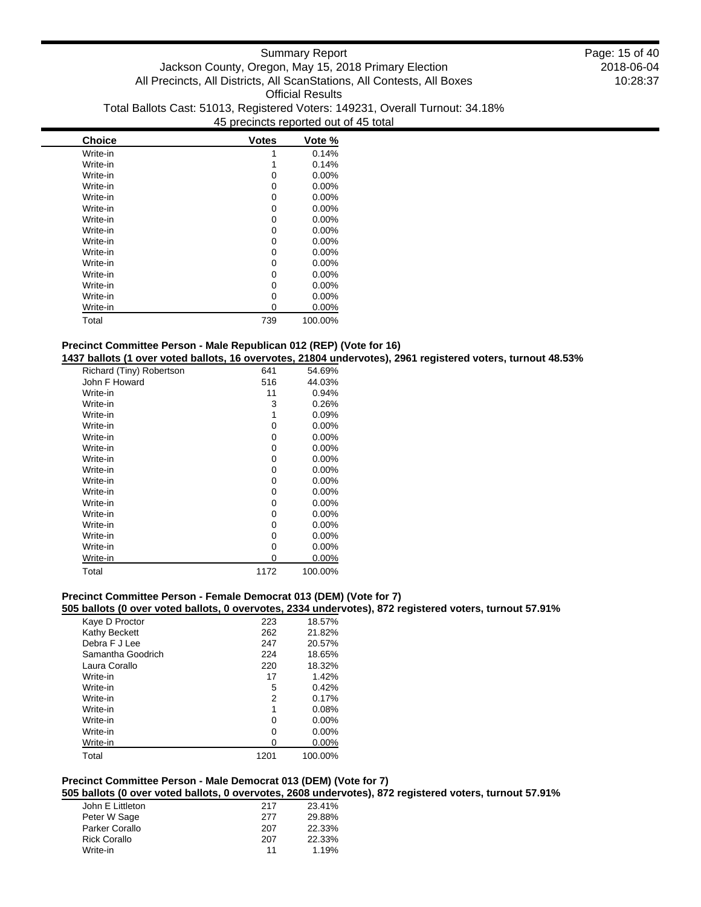| <b>Choice</b> | <b>Votes</b> | Vote %   |
|---------------|--------------|----------|
| Write-in      |              | 0.14%    |
| Write-in      |              | 0.14%    |
| Write-in      | 0            | $0.00\%$ |
| Write-in      | 0            | 0.00%    |
| Write-in      | 0            | $0.00\%$ |
| Write-in      | ი            | 0.00%    |
| Write-in      | 0            | $0.00\%$ |
| Write-in      | 0            | 0.00%    |
| Write-in      | 0            | 0.00%    |
| Write-in      | 0            | 0.00%    |
| Write-in      | 0            | $0.00\%$ |
| Write-in      | 0            | $0.00\%$ |
| Write-in      | n            | 0.00%    |
| Write-in      | 0            | $0.00\%$ |
| Write-in      | 0            | $0.00\%$ |
| Total         | 739          | 100.00%  |

## **Precinct Committee Person - Male Republican 012 (REP) (Vote for 16)**

**1437 ballots (1 over voted ballots, 16 overvotes, 21804 undervotes), 2961 registered voters, turnout 48.53%**

| Richard (Tiny) Robertson | 641  | 54.69%   |
|--------------------------|------|----------|
| John F Howard            | 516  | 44.03%   |
| Write-in                 | 11   | 0.94%    |
| Write-in                 | 3    | 0.26%    |
| Write-in                 | 1    | 0.09%    |
| Write-in                 | 0    | $0.00\%$ |
| Write-in                 | 0    | $0.00\%$ |
| Write-in                 | 0    | 0.00%    |
| Write-in                 | 0    | $0.00\%$ |
| Write-in                 | 0    | 0.00%    |
| Write-in                 | 0    | $0.00\%$ |
| Write-in                 | 0    | $0.00\%$ |
| Write-in                 | 0    | 0.00%    |
| Write-in                 | 0    | $0.00\%$ |
| Write-in                 | 0    | $0.00\%$ |
| Write-in                 | 0    | $0.00\%$ |
| Write-in                 | 0    | $0.00\%$ |
| Write-in                 | ი    | 0.00%    |
| Total                    | 1172 | 100.00%  |

## **Precinct Committee Person - Female Democrat 013 (DEM) (Vote for 7)**

**505 ballots (0 over voted ballots, 0 overvotes, 2334 undervotes), 872 registered voters, turnout 57.91%**

| Kaye D Proctor    | 223  | 18.57%   |
|-------------------|------|----------|
| Kathy Beckett     | 262  | 21.82%   |
| Debra F J Lee     | 247  | 20.57%   |
| Samantha Goodrich | 224  | 18.65%   |
| Laura Corallo     | 220  | 18.32%   |
| Write-in          | 17   | 1.42%    |
| Write-in          | 5    | 0.42%    |
| Write-in          | 2    | 0.17%    |
| Write-in          | 1    | 0.08%    |
| Write-in          | 0    | $0.00\%$ |
| Write-in          | 0    | $0.00\%$ |
| Write-in          | 0    | $0.00\%$ |
| Total             | 1201 | 100.00%  |
|                   |      |          |

## **Precinct Committee Person - Male Democrat 013 (DEM) (Vote for 7)**

**505 ballots (0 over voted ballots, 0 overvotes, 2608 undervotes), 872 registered voters, turnout 57.91%**

| John E Littleton    | 217 | 23.41% |
|---------------------|-----|--------|
| Peter W Sage        | 277 | 29.88% |
| Parker Corallo      | 207 | 22.33% |
| <b>Rick Corallo</b> | 207 | 22.33% |
| Write-in            | 11  | 1.19%  |
|                     |     |        |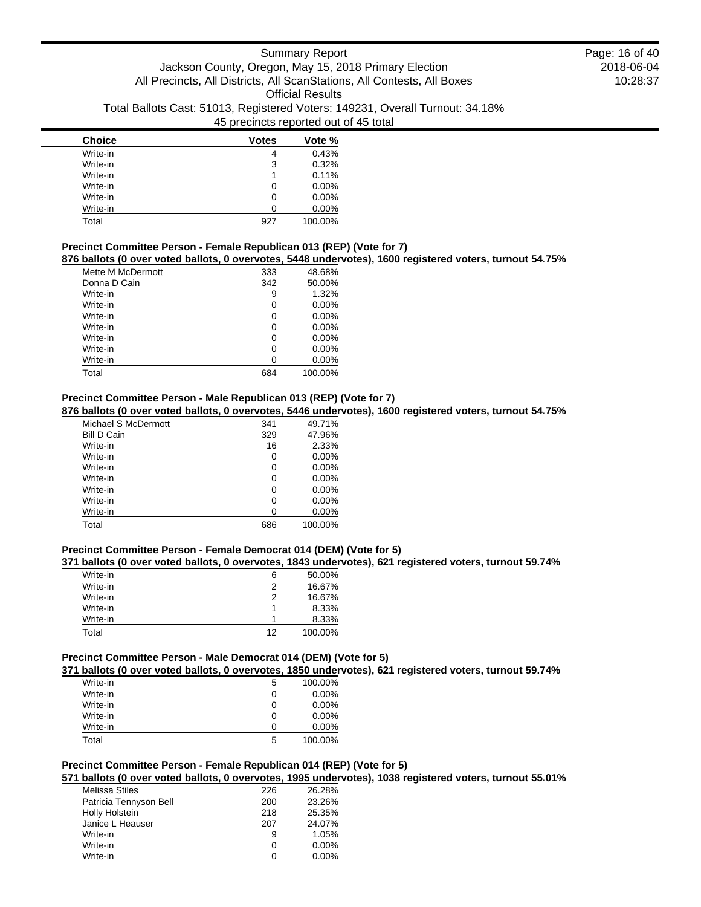| <b>Choice</b> | <b>Votes</b> | Vote %   |
|---------------|--------------|----------|
| Write-in      | 4            | 0.43%    |
| Write-in      | 3            | 0.32%    |
| Write-in      | 1            | 0.11%    |
| Write-in      | 0            | $0.00\%$ |
| Write-in      | 0            | $0.00\%$ |
| Write-in      |              | $0.00\%$ |
| Total         | 927          | 100.00%  |

## **Precinct Committee Person - Female Republican 013 (REP) (Vote for 7)**

**876 ballots (0 over voted ballots, 0 overvotes, 5448 undervotes), 1600 registered voters, turnout 54.75%**

| Mette M McDermott | 333 | 48.68%   |
|-------------------|-----|----------|
| Donna D Cain      | 342 | 50.00%   |
| Write-in          | 9   | 1.32%    |
| Write-in          | 0   | $0.00\%$ |
| Write-in          | 0   | $0.00\%$ |
| Write-in          | 0   | $0.00\%$ |
| Write-in          | 0   | $0.00\%$ |
| Write-in          | 0   | $0.00\%$ |
| Write-in          | 0   | 0.00%    |
| Total             | 684 | 100.00%  |

### **Precinct Committee Person - Male Republican 013 (REP) (Vote for 7)**

**876 ballots (0 over voted ballots, 0 overvotes, 5446 undervotes), 1600 registered voters, turnout 54.75%**

| Michael S McDermott | 341 | 49.71%   |
|---------------------|-----|----------|
| <b>Bill D Cain</b>  | 329 | 47.96%   |
| Write-in            | 16  | 2.33%    |
| Write-in            | 0   | $0.00\%$ |
| Write-in            | 0   | 0.00%    |
| Write-in            | 0   | $0.00\%$ |
| Write-in            | 0   | $0.00\%$ |
| Write-in            | 0   | $0.00\%$ |
| Write-in            | 0   | 0.00%    |
| Total               | 686 | 100.00%  |

### **Precinct Committee Person - Female Democrat 014 (DEM) (Vote for 5)**

#### **371 ballots (0 over voted ballots, 0 overvotes, 1843 undervotes), 621 registered voters, turnout 59.74%**

| Write-in | 6  | 50.00%  |
|----------|----|---------|
| Write-in | 2  | 16.67%  |
| Write-in | 2  | 16.67%  |
| Write-in |    | 8.33%   |
| Write-in |    | 8.33%   |
| Total    | 12 | 100.00% |

## **Precinct Committee Person - Male Democrat 014 (DEM) (Vote for 5)**

**371 ballots (0 over voted ballots, 0 overvotes, 1850 undervotes), 621 registered voters, turnout 59.74%**

| .        | . |   | .        |
|----------|---|---|----------|
| Write-in |   | 5 | 100.00%  |
| Write-in |   | 0 | $0.00\%$ |
| Write-in |   | 0 | $0.00\%$ |
| Write-in |   | 0 | $0.00\%$ |
| Write-in |   | O | $0.00\%$ |
| Total    |   | 5 | 100.00%  |

### **Precinct Committee Person - Female Republican 014 (REP) (Vote for 5)**

**571 ballots (0 over voted ballots, 0 overvotes, 1995 undervotes), 1038 registered voters, turnout 55.01%**

| Melissa Stiles         | 226 | 26.28%   |
|------------------------|-----|----------|
| Patricia Tennyson Bell | 200 | 23.26%   |
| <b>Holly Holstein</b>  | 218 | 25.35%   |
| Janice L Heauser       | 207 | 24.07%   |
| Write-in               | 9   | 1.05%    |
| Write-in               | 0   | $0.00\%$ |
| Write-in               | 0   | $0.00\%$ |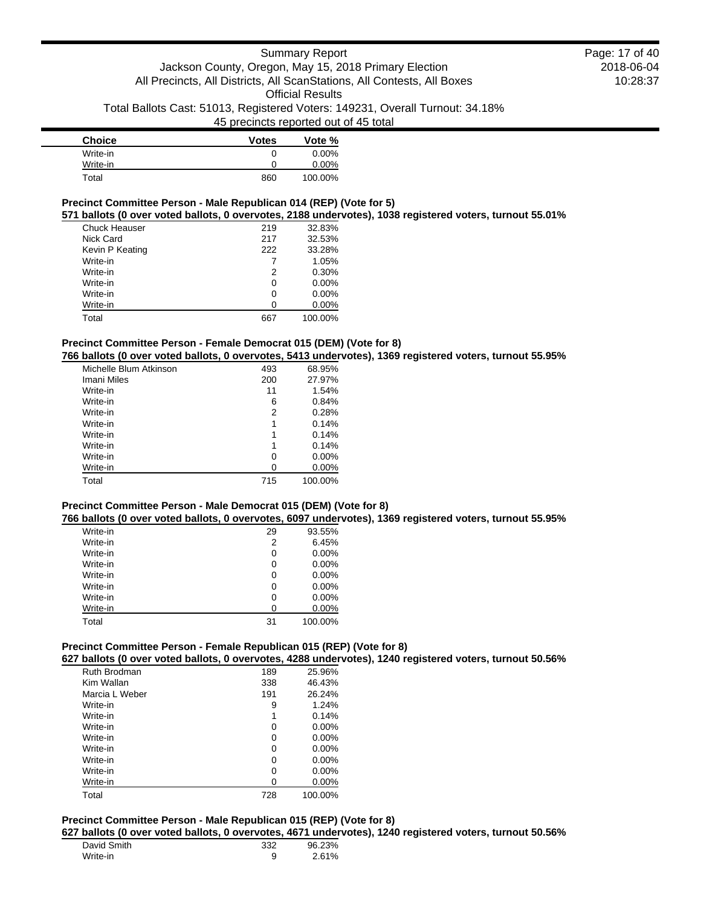| <b>Choice</b> | <b>Votes</b> | Vote %   |
|---------------|--------------|----------|
| Write-in      | 0            | $0.00\%$ |
| Write-in      | 0            | 0.00%    |
| Total         | 860          | 100.00%  |

## **Precinct Committee Person - Male Republican 014 (REP) (Vote for 5)**

**571 ballots (0 over voted ballots, 0 overvotes, 2188 undervotes), 1038 registered voters, turnout 55.01%**

| Chuck Heauser   | 219 | 32.83%   |
|-----------------|-----|----------|
| Nick Card       | 217 | 32.53%   |
| Kevin P Keating | 222 | 33.28%   |
| Write-in        | 7   | 1.05%    |
| Write-in        | 2   | 0.30%    |
| Write-in        | 0   | $0.00\%$ |
| Write-in        | 0   | $0.00\%$ |
| Write-in        | O   | 0.00%    |
| Total           | 667 | 100.00%  |

## **Precinct Committee Person - Female Democrat 015 (DEM) (Vote for 8)**

**766 ballots (0 over voted ballots, 0 overvotes, 5413 undervotes), 1369 registered voters, turnout 55.95%**

| 493 | 68.95%   |
|-----|----------|
| 200 | 27.97%   |
| 11  | 1.54%    |
| 6   | 0.84%    |
| 2   | 0.28%    |
| 1   | 0.14%    |
| 1   | 0.14%    |
| 1   | 0.14%    |
| 0   | $0.00\%$ |
| 0   | 0.00%    |
| 715 | 100.00%  |
|     |          |

#### **Precinct Committee Person - Male Democrat 015 (DEM) (Vote for 8)**

**766 ballots (0 over voted ballots, 0 overvotes, 6097 undervotes), 1369 registered voters, turnout 55.95%**

| Write-in | 29 | 93.55%   |
|----------|----|----------|
| Write-in | 2  | 6.45%    |
| Write-in | 0  | $0.00\%$ |
| Write-in | 0  | $0.00\%$ |
| Write-in | 0  | $0.00\%$ |
| Write-in | 0  | $0.00\%$ |
| Write-in | 0  | $0.00\%$ |
| Write-in | U  | 0.00%    |
| Total    | 31 | 100.00%  |

## **Precinct Committee Person - Female Republican 015 (REP) (Vote for 8)**

**627 ballots (0 over voted ballots, 0 overvotes, 4288 undervotes), 1240 registered voters, turnout 50.56%**

| Ruth Brodman   | 189 | 25.96%   |
|----------------|-----|----------|
| Kim Wallan     | 338 | 46.43%   |
| Marcia L Weber | 191 | 26.24%   |
| Write-in       | 9   | 1.24%    |
| Write-in       | 1   | 0.14%    |
| Write-in       | 0   | $0.00\%$ |
| Write-in       | 0   | $0.00\%$ |
| Write-in       | 0   | $0.00\%$ |
| Write-in       | 0   | $0.00\%$ |
| Write-in       | 0   | $0.00\%$ |
| Write-in       | Ω   | 0.00%    |
| Total          | 728 | 100.00%  |

## **Precinct Committee Person - Male Republican 015 (REP) (Vote for 8)**

**627 ballots (0 over voted ballots, 0 overvotes, 4671 undervotes), 1240 registered voters, turnout 50.56%**

| David Smith | 332 | 96.23% |
|-------------|-----|--------|
| Write-in    |     | 2.61%  |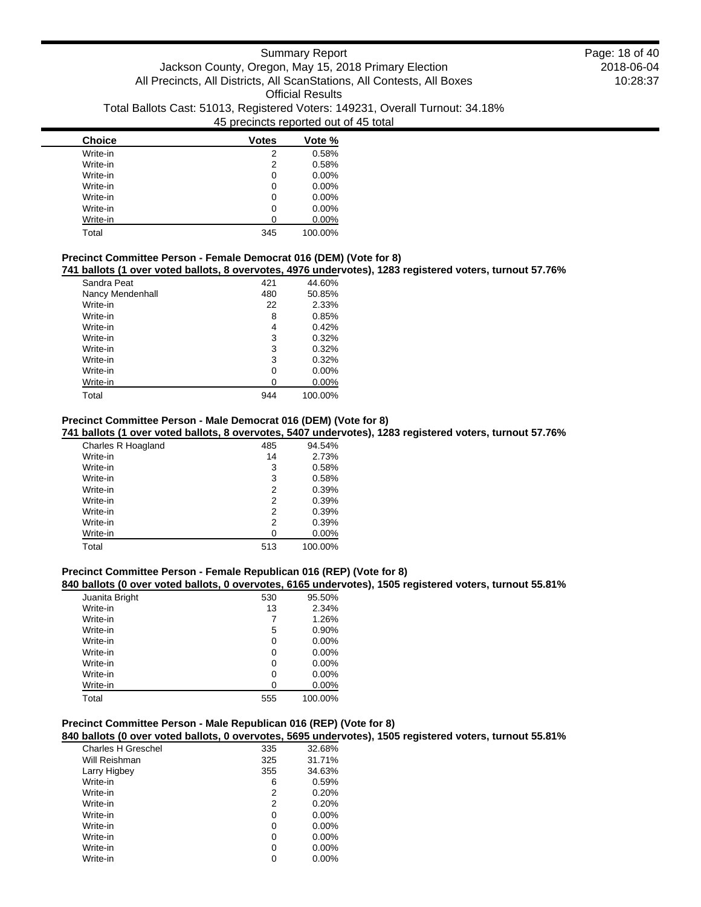| <b>Choice</b> | <b>Votes</b> | Vote %   |
|---------------|--------------|----------|
| Write-in      | 2            | 0.58%    |
| Write-in      | 2            | 0.58%    |
| Write-in      | 0            | $0.00\%$ |
| Write-in      | 0            | $0.00\%$ |
| Write-in      | 0            | $0.00\%$ |
| Write-in      | 0            | $0.00\%$ |
| Write-in      | 0            | 0.00%    |
| Total         | 345          | 100.00%  |

## **Precinct Committee Person - Female Democrat 016 (DEM) (Vote for 8)**

**741 ballots (1 over voted ballots, 8 overvotes, 4976 undervotes), 1283 registered voters, turnout 57.76%**

| Sandra Peat      | 421 | 44.60%   |
|------------------|-----|----------|
| Nancy Mendenhall | 480 | 50.85%   |
| Write-in         | 22  | 2.33%    |
| Write-in         | 8   | 0.85%    |
| Write-in         | 4   | 0.42%    |
| Write-in         | 3   | 0.32%    |
| Write-in         | 3   | 0.32%    |
| Write-in         | 3   | 0.32%    |
| Write-in         | 0   | $0.00\%$ |
| Write-in         | 0   | $0.00\%$ |
| Total            | 944 | 100.00%  |

### **Precinct Committee Person - Male Democrat 016 (DEM) (Vote for 8)**

#### **741 ballots (1 over voted ballots, 8 overvotes, 5407 undervotes), 1283 registered voters, turnout 57.76%**

| Charles R Hoagland | 485            | 94.54%   |
|--------------------|----------------|----------|
| Write-in           | 14             | 2.73%    |
| Write-in           | 3              | 0.58%    |
| Write-in           | 3              | 0.58%    |
| Write-in           | 2              | 0.39%    |
| Write-in           | $\overline{2}$ | 0.39%    |
| Write-in           | 2              | 0.39%    |
| Write-in           | 2              | 0.39%    |
| Write-in           | 0              | $0.00\%$ |
| Total              | 513            | 100.00%  |

#### **Precinct Committee Person - Female Republican 016 (REP) (Vote for 8)**

#### **840 ballots (0 over voted ballots, 0 overvotes, 6165 undervotes), 1505 registered voters, turnout 55.81%**

| Juanita Bright | 530 | 95.50%  |
|----------------|-----|---------|
| Write-in       | 13  | 2.34%   |
| Write-in       | 7   | 1.26%   |
| Write-in       | 5   | 0.90%   |
| Write-in       | 0   | 0.00%   |
| Write-in       | 0   | 0.00%   |
| Write-in       | 0   | 0.00%   |
| Write-in       | 0   | 0.00%   |
| Write-in       | U   | 0.00%   |
| Total          | 555 | 100.00% |

## **Precinct Committee Person - Male Republican 016 (REP) (Vote for 8)**

## **840 ballots (0 over voted ballots, 0 overvotes, 5695 undervotes), 1505 registered voters, turnout 55.81%**

| Charles H Greschel | 335 | 32.68%   |
|--------------------|-----|----------|
| Will Reishman      | 325 | 31.71%   |
| Larry Higbey       | 355 | 34.63%   |
| Write-in           | 6   | 0.59%    |
| Write-in           | 2   | 0.20%    |
| Write-in           | 2   | 0.20%    |
| Write-in           | 0   | $0.00\%$ |
| Write-in           | 0   | $0.00\%$ |
| Write-in           | 0   | $0.00\%$ |
| Write-in           | 0   | 0.00%    |
| Write-in           |     | $0.00\%$ |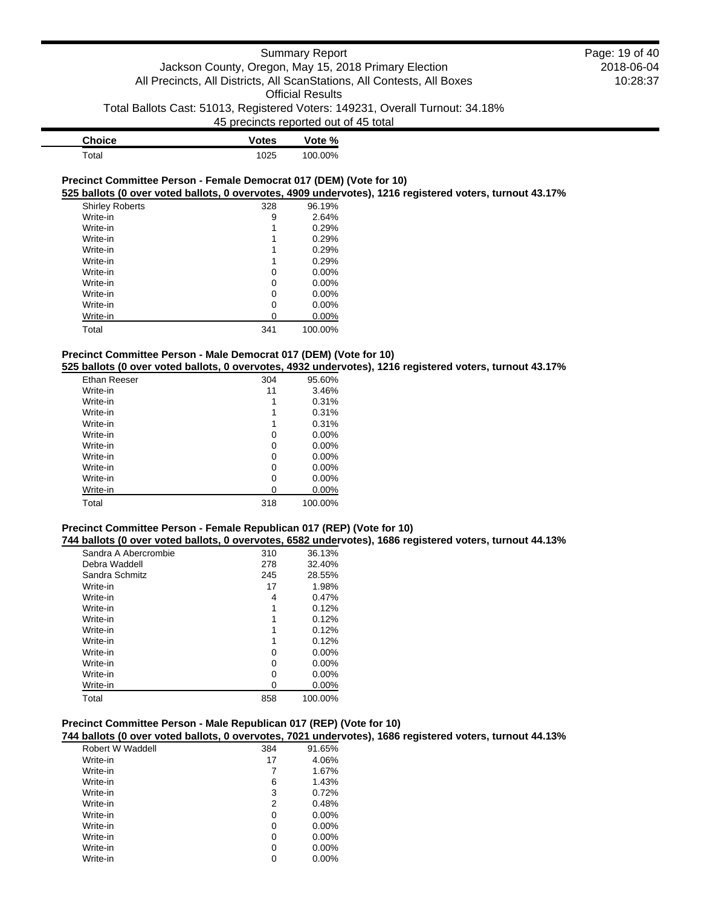| <b>Choice</b> | <b>Votes</b> | Vote %  |
|---------------|--------------|---------|
| Total         | 1025         | 100.00% |

#### **Precinct Committee Person - Female Democrat 017 (DEM) (Vote for 10) 525 ballots (0 over voted ballots, 0 overvotes, 4909 undervotes), 1216 registered voters, turnout 43.17%**

| <b>Shirley Roberts</b> | 328 | 96.19%   |
|------------------------|-----|----------|
| Write-in               | 9   | 2.64%    |
| Write-in               |     | 0.29%    |
| Write-in               |     | 0.29%    |
| Write-in               |     | 0.29%    |
| Write-in               |     | 0.29%    |
| Write-in               | 0   | $0.00\%$ |
| Write-in               | 0   | $0.00\%$ |
| Write-in               | 0   | $0.00\%$ |
| Write-in               | 0   | $0.00\%$ |
| Write-in               | ი   | $0.00\%$ |
| Total                  | 341 | 100.00%  |

## **Precinct Committee Person - Male Democrat 017 (DEM) (Vote for 10)**

**525 ballots (0 over voted ballots, 0 overvotes, 4932 undervotes), 1216 registered voters, turnout 43.17%**

| Ethan Reeser | 304 | 95.60%   |
|--------------|-----|----------|
| Write-in     | 11  | 3.46%    |
| Write-in     | 1   | 0.31%    |
| Write-in     | 1   | 0.31%    |
| Write-in     | 1   | 0.31%    |
| Write-in     | 0   | $0.00\%$ |
| Write-in     | 0   | $0.00\%$ |
| Write-in     | 0   | 0.00%    |
| Write-in     | 0   | 0.00%    |
| Write-in     | 0   | $0.00\%$ |
| Write-in     | 0   | $0.00\%$ |
| Total        | 318 | 100.00%  |

#### **Precinct Committee Person - Female Republican 017 (REP) (Vote for 10)**

**744 ballots (0 over voted ballots, 0 overvotes, 6582 undervotes), 1686 registered voters, turnout 44.13%**

| Sandra A Abercrombie | 310 | 36.13%   |
|----------------------|-----|----------|
| Debra Waddell        | 278 | 32.40%   |
| Sandra Schmitz       | 245 | 28.55%   |
| Write-in             | 17  | 1.98%    |
| Write-in             | 4   | 0.47%    |
| Write-in             | 1   | 0.12%    |
| Write-in             | 1   | 0.12%    |
| Write-in             | 1   | 0.12%    |
| Write-in             |     | 0.12%    |
| Write-in             | 0   | $0.00\%$ |
| Write-in             | 0   | $0.00\%$ |
| Write-in             | 0   | $0.00\%$ |
| Write-in             | Ω   | $0.00\%$ |
| Total                | 858 | 100.00%  |

## **Precinct Committee Person - Male Republican 017 (REP) (Vote for 10)**

## **744 ballots (0 over voted ballots, 0 overvotes, 7021 undervotes), 1686 registered voters, turnout 44.13%**

| Robert W Waddell | 384 | 91.65%   |
|------------------|-----|----------|
| Write-in         | 17  | 4.06%    |
| Write-in         | 7   | 1.67%    |
| Write-in         | 6   | 1.43%    |
| Write-in         | 3   | 0.72%    |
| Write-in         | 2   | 0.48%    |
| Write-in         | 0   | $0.00\%$ |
| Write-in         | 0   | $0.00\%$ |
| Write-in         | 0   | $0.00\%$ |
| Write-in         | 0   | 0.00%    |
| Write-in         | 0   | $0.00\%$ |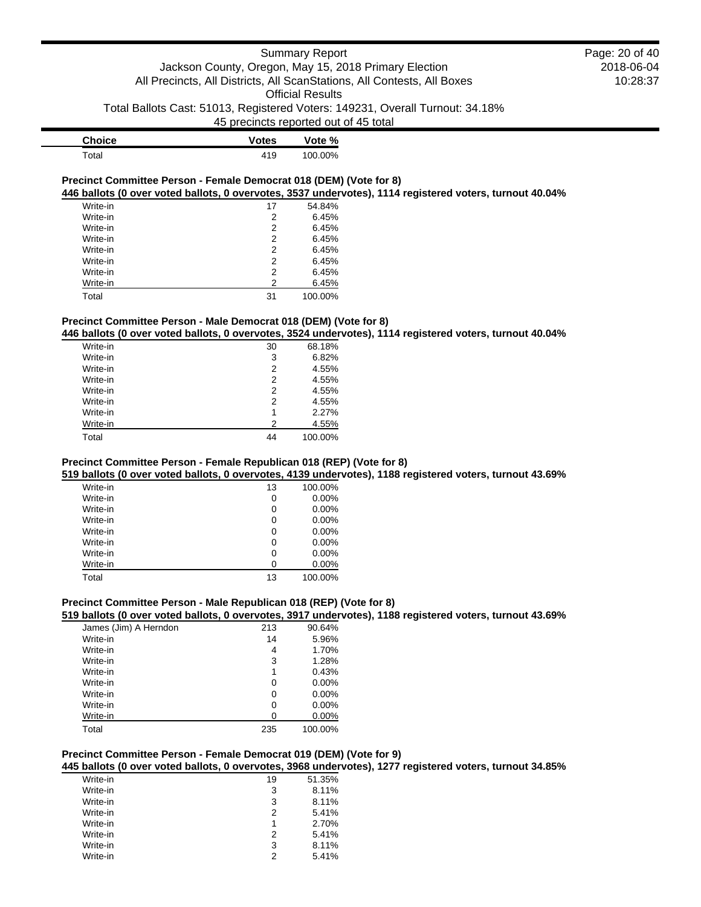| <b>Choice</b> | <b>Votes</b> | Vote %  |
|---------------|--------------|---------|
| Total         | 419          | 100.00% |

#### **Precinct Committee Person - Female Democrat 018 (DEM) (Vote for 8) 446 ballots (0 over voted ballots, 0 overvotes, 3537 undervotes), 1114 registered voters, turnout 40.04%**

| Write-in | 17 | 54.84%  |
|----------|----|---------|
| Write-in | 2  | 6.45%   |
| Write-in | 2  | 6.45%   |
| Write-in | 2  | 6.45%   |
| Write-in | 2  | 6.45%   |
| Write-in | 2  | 6.45%   |
| Write-in | 2  | 6.45%   |
| Write-in | 2  | 6.45%   |
| Total    | 31 | 100.00% |

## **Precinct Committee Person - Male Democrat 018 (DEM) (Vote for 8)**

## **446 ballots (0 over voted ballots, 0 overvotes, 3524 undervotes), 1114 registered voters, turnout 40.04%**

| Write-in | 30 | 68.18%  |
|----------|----|---------|
| Write-in | 3  | 6.82%   |
| Write-in | 2  | 4.55%   |
| Write-in | 2  | 4.55%   |
| Write-in | 2  | 4.55%   |
| Write-in | 2  | 4.55%   |
| Write-in | 1  | 2.27%   |
| Write-in | 2  | 4.55%   |
| Total    | 44 | 100.00% |

## **Precinct Committee Person - Female Republican 018 (REP) (Vote for 8)**

#### **519 ballots (0 over voted ballots, 0 overvotes, 4139 undervotes), 1188 registered voters, turnout 43.69%**

| Write-in | 13 | 100.00%  |
|----------|----|----------|
| Write-in | 0  | $0.00\%$ |
| Write-in | 0  | $0.00\%$ |
| Write-in | 0  | $0.00\%$ |
| Write-in | 0  | $0.00\%$ |
| Write-in | 0  | $0.00\%$ |
| Write-in | 0  | $0.00\%$ |
| Write-in | 0  | 0.00%    |
| Total    | 13 | 100.00%  |

## **Precinct Committee Person - Male Republican 018 (REP) (Vote for 8)**

#### **519 ballots (0 over voted ballots, 0 overvotes, 3917 undervotes), 1188 registered voters, turnout 43.69%**

| James (Jim) A Herndon | 213 | 90.64%   |
|-----------------------|-----|----------|
| Write-in              | 14  | 5.96%    |
| Write-in              | 4   | 1.70%    |
| Write-in              | 3   | 1.28%    |
| Write-in              | 1   | 0.43%    |
| Write-in              | 0   | 0.00%    |
| Write-in              | 0   | $0.00\%$ |
| Write-in              | 0   | 0.00%    |
| Write-in              | 0   | $0.00\%$ |
| Total                 | 235 | 100.00%  |

#### **Precinct Committee Person - Female Democrat 019 (DEM) (Vote for 9)**

#### **445 ballots (0 over voted ballots, 0 overvotes, 3968 undervotes), 1277 registered voters, turnout 34.85%**

| Write-in | 19 | 51.35% |
|----------|----|--------|
| Write-in | 3  | 8.11%  |
| Write-in | 3  | 8.11%  |
| Write-in | 2  | 5.41%  |
| Write-in | 1  | 2.70%  |
| Write-in | 2  | 5.41%  |
| Write-in | 3  | 8.11%  |
| Write-in | 2  | 5.41%  |
|          |    |        |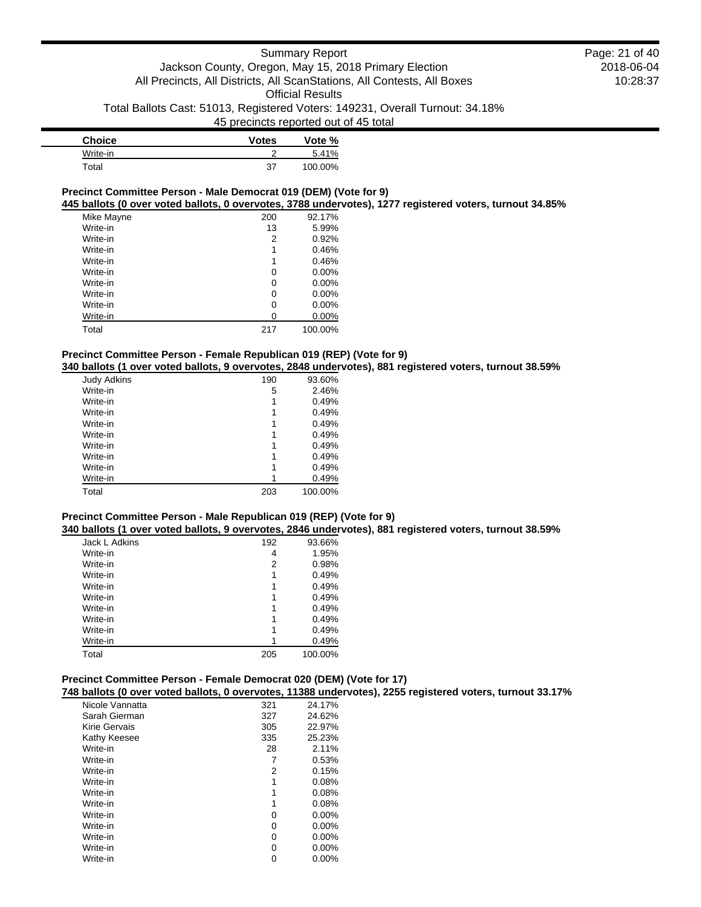| <b>Choice</b> | <b>Votes</b> | Vote %  |
|---------------|--------------|---------|
| Write-in      |              | 5.41%   |
| Total         | 37           | 100.00% |

#### **Precinct Committee Person - Male Democrat 019 (DEM) (Vote for 9)**

**445 ballots (0 over voted ballots, 0 overvotes, 3788 undervotes), 1277 registered voters, turnout 34.85%**

| Mike Mayne | 200 | 92.17%   |
|------------|-----|----------|
| Write-in   | 13  | 5.99%    |
| Write-in   | 2   | 0.92%    |
| Write-in   | 1   | 0.46%    |
| Write-in   | 1   | 0.46%    |
| Write-in   | 0   | $0.00\%$ |
| Write-in   | 0   | 0.00%    |
| Write-in   | 0   | 0.00%    |
| Write-in   | 0   | $0.00\%$ |
| Write-in   | 0   | $0.00\%$ |
| Total      | 217 | 100.00%  |

#### **Precinct Committee Person - Female Republican 019 (REP) (Vote for 9)**

**340 ballots (1 over voted ballots, 9 overvotes, 2848 undervotes), 881 registered voters, turnout 38.59%**

| <b>Judy Adkins</b> | 190 | 93.60%  |
|--------------------|-----|---------|
| Write-in           | 5   | 2.46%   |
| Write-in           | 1   | 0.49%   |
| Write-in           | 1   | 0.49%   |
| Write-in           | 1   | 0.49%   |
| Write-in           | 1   | 0.49%   |
| Write-in           | 1   | 0.49%   |
| Write-in           | 1   | 0.49%   |
| Write-in           | 1   | 0.49%   |
| Write-in           |     | 0.49%   |
| Total              | 203 | 100.00% |

#### **Precinct Committee Person - Male Republican 019 (REP) (Vote for 9)**

**340 ballots (1 over voted ballots, 9 overvotes, 2846 undervotes), 881 registered voters, turnout 38.59%**

| Jack L Adkins | 192 | 93.66%  |
|---------------|-----|---------|
| Write-in      | 4   | 1.95%   |
| Write-in      | 2   | 0.98%   |
| Write-in      | 1   | 0.49%   |
| Write-in      | 1   | 0.49%   |
| Write-in      | 1   | 0.49%   |
| Write-in      | 1   | 0.49%   |
| Write-in      | 1   | 0.49%   |
| Write-in      |     | 0.49%   |
| Write-in      |     | 0.49%   |
| Total         | 205 | 100.00% |

#### **Precinct Committee Person - Female Democrat 020 (DEM) (Vote for 17)**

**748 ballots (0 over voted ballots, 0 overvotes, 11388 undervotes), 2255 registered voters, turnout 33.17%**

| Nicole Vannatta | 321 | 24.17%   |
|-----------------|-----|----------|
| Sarah Gierman   | 327 | 24.62%   |
| Kirie Gervais   | 305 | 22.97%   |
| Kathy Keesee    | 335 | 25.23%   |
| Write-in        | 28  | 2.11%    |
| Write-in        | 7   | 0.53%    |
| Write-in        | 2   | 0.15%    |
| Write-in        | 1   | 0.08%    |
| Write-in        | 1   | 0.08%    |
| Write-in        | 1   | 0.08%    |
| Write-in        | 0   | $0.00\%$ |
| Write-in        | 0   | $0.00\%$ |
| Write-in        | 0   | $0.00\%$ |
| Write-in        | 0   | 0.00%    |
| Write-in        | 0   | $0.00\%$ |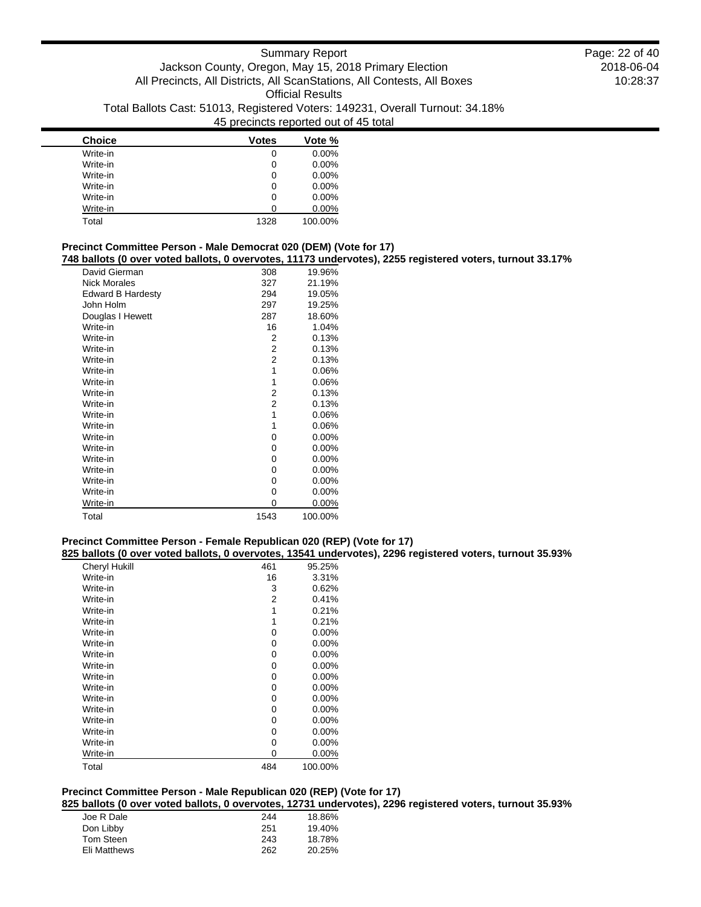| <b>Choice</b> | <b>Votes</b> | Vote %   |
|---------------|--------------|----------|
| Write-in      | 0            | $0.00\%$ |
| Write-in      | 0            | $0.00\%$ |
| Write-in      | 0            | $0.00\%$ |
| Write-in      | 0            | $0.00\%$ |
| Write-in      | 0            | $0.00\%$ |
| Write-in      | O            | $0.00\%$ |
| Total         | 1328         | 100.00%  |

## **Precinct Committee Person - Male Democrat 020 (DEM) (Vote for 17)**

**748 ballots (0 over voted ballots, 0 overvotes, 11173 undervotes), 2255 registered voters, turnout 33.17%**

| <b>Danced to Over Voted Danced, o Overvoted,</b> |      | $11110$ under |
|--------------------------------------------------|------|---------------|
| David Gierman                                    | 308  | 19.96%        |
| <b>Nick Morales</b>                              | 327  | 21.19%        |
| <b>Edward B Hardesty</b>                         | 294  | 19.05%        |
| John Holm                                        | 297  | 19.25%        |
| Douglas I Hewett                                 | 287  | 18.60%        |
| Write-in                                         | 16   | 1.04%         |
| Write-in                                         | 2    | 0.13%         |
| Write-in                                         | 2    | 0.13%         |
| Write-in                                         | 2    | 0.13%         |
| Write-in                                         | 1    | $0.06\%$      |
| Write-in                                         | 1    | $0.06\%$      |
| Write-in                                         | 2    | 0.13%         |
| Write-in                                         | 2    | 0.13%         |
| Write-in                                         | 1    | $0.06\%$      |
| Write-in                                         | 1    | $0.06\%$      |
| Write-in                                         | 0    | 0.00%         |
| Write-in                                         | 0    | 0.00%         |
| Write-in                                         | 0    | 0.00%         |
| Write-in                                         | 0    | 0.00%         |
| Write-in                                         | 0    | $0.00\%$      |
| Write-in                                         | 0    | $0.00\%$      |
| Write-in                                         | 0    | $0.00\%$      |
| Total                                            | 1543 | 100.00%       |
|                                                  |      |               |

#### **Precinct Committee Person - Female Republican 020 (REP) (Vote for 17)**

**825 ballots (0 over voted ballots, 0 overvotes, 13541 undervotes), 2296 registered voters, turnout 35.93%**

|                      | <br>$\cdot$ |          |
|----------------------|-------------|----------|
| <b>Cheryl Hukill</b> | 461         | 95.25%   |
| Write-in             | 16          | 3.31%    |
| Write-in             | 3           | 0.62%    |
| Write-in             | 2           | 0.41%    |
| Write-in             | 1           | 0.21%    |
| Write-in             | 1           | 0.21%    |
| Write-in             | 0           | $0.00\%$ |
| Write-in             | 0           | $0.00\%$ |
| Write-in             | 0           | $0.00\%$ |
| Write-in             | 0           | $0.00\%$ |
| Write-in             | 0           | $0.00\%$ |
| Write-in             | 0           | 0.00%    |
| Write-in             | 0           | $0.00\%$ |
| Write-in             | 0           | $0.00\%$ |
| Write-in             | 0           | $0.00\%$ |
| Write-in             | 0           | $0.00\%$ |
| Write-in             | 0           | $0.00\%$ |
| Write-in             | 0           | 0.00%    |
| Total                | 484         | 100.00%  |

### **Precinct Committee Person - Male Republican 020 (REP) (Vote for 17)**

**825 ballots (0 over voted ballots, 0 overvotes, 12731 undervotes), 2296 registered voters, turnout 35.93%**

| Joe R Dale   | 244 | 18.86% |
|--------------|-----|--------|
| Don Libby    | 251 | 19.40% |
| Tom Steen    | 243 | 18.78% |
| Eli Matthews | 262 | 20.25% |
|              |     |        |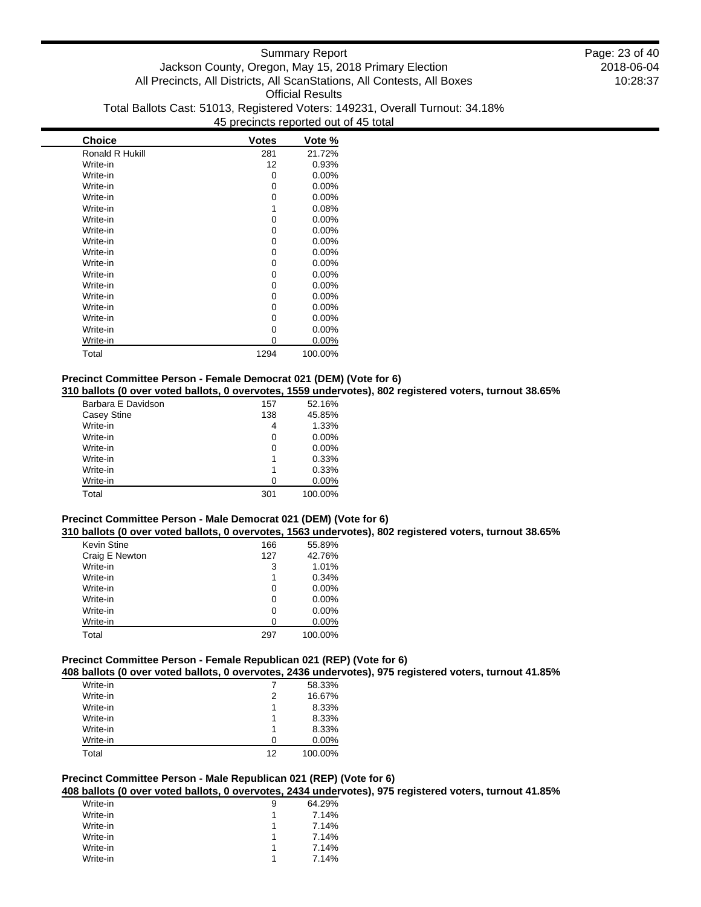| <b>Choice</b>   | <b>Votes</b> | Vote %   |
|-----------------|--------------|----------|
| Ronald R Hukill | 281          | 21.72%   |
| Write-in        | 12           | 0.93%    |
| Write-in        | 0            | 0.00%    |
| Write-in        | 0            | 0.00%    |
| Write-in        | 0            | $0.00\%$ |
| Write-in        | 1            | 0.08%    |
| Write-in        | 0            | $0.00\%$ |
| Write-in        | 0            | $0.00\%$ |
| Write-in        | 0            | 0.00%    |
| Write-in        | 0            | $0.00\%$ |
| Write-in        | 0            | $0.00\%$ |
| Write-in        | 0            | $0.00\%$ |
| Write-in        | 0            | $0.00\%$ |
| Write-in        | 0            | $0.00\%$ |
| Write-in        | 0            | $0.00\%$ |
| Write-in        | 0            | $0.00\%$ |
| Write-in        | 0            | $0.00\%$ |
| Write-in        | 0            | 0.00%    |
| Total           | 1294         | 100.00%  |

## **Precinct Committee Person - Female Democrat 021 (DEM) (Vote for 6)**

**310 ballots (0 over voted ballots, 0 overvotes, 1559 undervotes), 802 registered voters, turnout 38.65%**

| Barbara E Davidson | 157 | 52.16%   |
|--------------------|-----|----------|
| Casey Stine        | 138 | 45.85%   |
| Write-in           | 4   | 1.33%    |
| Write-in           | 0   | $0.00\%$ |
| Write-in           | 0   | 0.00%    |
| Write-in           | 1   | 0.33%    |
| Write-in           | 1   | 0.33%    |
| Write-in           | ი   | 0.00%    |
| Total              | 301 | 100.00%  |

#### **Precinct Committee Person - Male Democrat 021 (DEM) (Vote for 6)**

**310 ballots (0 over voted ballots, 0 overvotes, 1563 undervotes), 802 registered voters, turnout 38.65%**

| Kevin Stine    | 166 | 55.89%   |
|----------------|-----|----------|
| Craig E Newton | 127 | 42.76%   |
| Write-in       | 3   | 1.01%    |
| Write-in       | 1   | 0.34%    |
| Write-in       | 0   | $0.00\%$ |
| Write-in       | 0   | 0.00%    |
| Write-in       | 0   | $0.00\%$ |
| Write-in       | O   | 0.00%    |
| Total          | 297 | 100.00%  |

## **Precinct Committee Person - Female Republican 021 (REP) (Vote for 6)**

**408 ballots (0 over voted ballots, 0 overvotes, 2436 undervotes), 975 registered voters, turnout 41.85%**

| Write-in |    | 58.33%   |
|----------|----|----------|
| Write-in | 2  | 16.67%   |
| Write-in |    | 8.33%    |
| Write-in |    | 8.33%    |
| Write-in |    | 8.33%    |
| Write-in |    | $0.00\%$ |
| Total    | 12 | 100.00%  |
|          |    |          |

## **Precinct Committee Person - Male Republican 021 (REP) (Vote for 6)**

**408 ballots (0 over voted ballots, 0 overvotes, 2434 undervotes), 975 registered voters, turnout 41.85%**

| Write-in | 9 | 64.29% |
|----------|---|--------|
| Write-in | 1 | 7.14%  |
| Write-in | 1 | 7.14%  |
| Write-in | 1 | 7.14%  |
| Write-in | 1 | 7.14%  |
| Write-in | 1 | 7.14%  |
|          |   |        |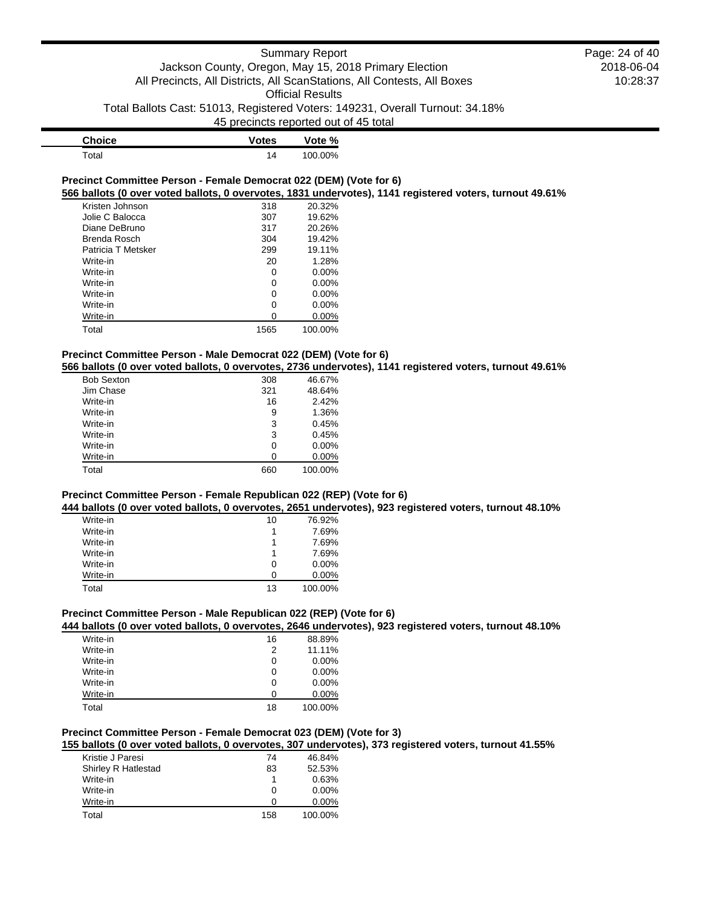| <b>Choice</b> | <b>Votes</b> | Vote %  |
|---------------|--------------|---------|
| Total         | 14           | 100.00% |

#### **Precinct Committee Person - Female Democrat 022 (DEM) (Vote for 6) 566 ballots (0 over voted ballots, 0 overvotes, 1831 undervotes), 1141 registered voters, turnout 49.61%**

| Kristen Johnson    | 318  | 20.32%   |
|--------------------|------|----------|
| Jolie C Balocca    | 307  | 19.62%   |
| Diane DeBruno      | 317  | 20.26%   |
| Brenda Rosch       | 304  | 19.42%   |
| Patricia T Metsker | 299  | 19.11%   |
| Write-in           | 20   | 1.28%    |
| Write-in           | 0    | $0.00\%$ |
| Write-in           | 0    | $0.00\%$ |
| Write-in           | 0    | $0.00\%$ |
| Write-in           | 0    | 0.00%    |
| Write-in           | 0    | $0.00\%$ |
| Total              | 1565 | 100.00%  |

## **Precinct Committee Person - Male Democrat 022 (DEM) (Vote for 6)**

**566 ballots (0 over voted ballots, 0 overvotes, 2736 undervotes), 1141 registered voters, turnout 49.61%**

| <b>Bob Sexton</b> | 308 | 46.67%   |
|-------------------|-----|----------|
| Jim Chase         | 321 | 48.64%   |
| Write-in          | 16  | 2.42%    |
| Write-in          | 9   | 1.36%    |
| Write-in          | 3   | 0.45%    |
| Write-in          | 3   | 0.45%    |
| Write-in          | 0   | $0.00\%$ |
| Write-in          | ∩   | $0.00\%$ |
| Total             | 660 | 100.00%  |

## **Precinct Committee Person - Female Republican 022 (REP) (Vote for 6)**

**444 ballots (0 over voted ballots, 0 overvotes, 2651 undervotes), 923 registered voters, turnout 48.10%**

| Write-in | 10 | 76.92%   |
|----------|----|----------|
| Write-in |    | 7.69%    |
| Write-in |    | 7.69%    |
| Write-in |    | 7.69%    |
| Write-in | 0  | $0.00\%$ |
| Write-in | O  | $0.00\%$ |
| Total    | 13 | 100.00%  |

## **Precinct Committee Person - Male Republican 022 (REP) (Vote for 6)**

## **444 ballots (0 over voted ballots, 0 overvotes, 2646 undervotes), 923 registered voters, turnout 48.10%**

| Write-in | 16 | 88.89%   |
|----------|----|----------|
| Write-in | 2  | 11.11%   |
| Write-in | 0  | $0.00\%$ |
| Write-in | 0  | $0.00\%$ |
| Write-in | 0  | $0.00\%$ |
| Write-in | O  | 0.00%    |
| Total    | 18 | 100.00%  |

## **Precinct Committee Person - Female Democrat 023 (DEM) (Vote for 3)**

**155 ballots (0 over voted ballots, 0 overvotes, 307 undervotes), 373 registered voters, turnout 41.55%**

| Kristie J Paresi           | 74  | 46.84%   |
|----------------------------|-----|----------|
| <b>Shirley R Hatlestad</b> | 83  | 52.53%   |
| Write-in                   |     | 0.63%    |
| Write-in                   | 0   | $0.00\%$ |
| Write-in                   |     | $0.00\%$ |
| Total                      | 158 | 100.00%  |

2018-06-04 10:28:37 Page: 24 of 40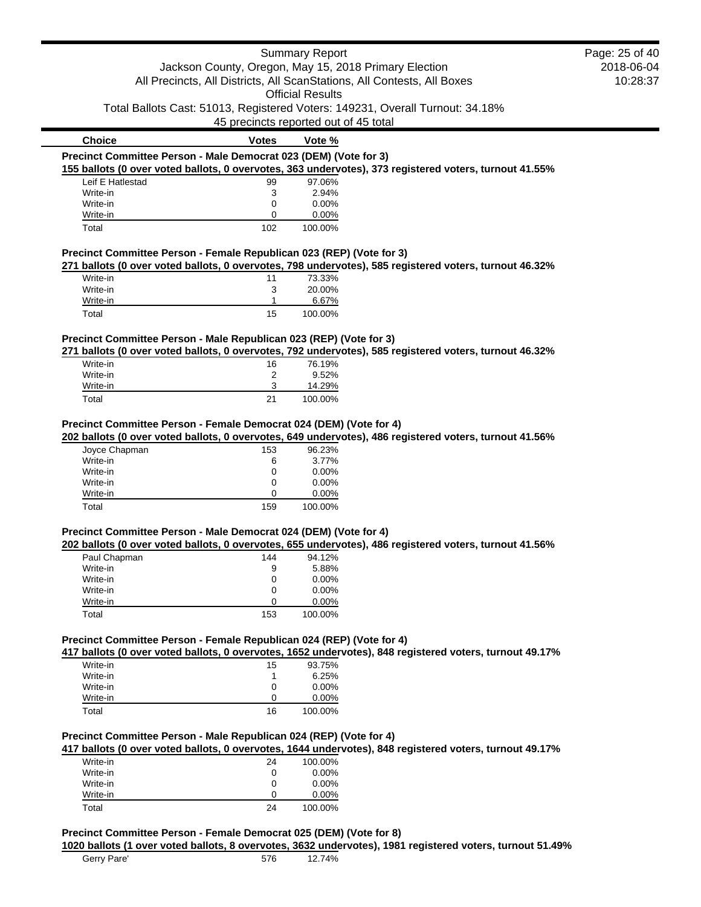|                                                                                     |                                       | <b>Summary Report</b>   |                                                                                                         | Page: 25 of 40 |
|-------------------------------------------------------------------------------------|---------------------------------------|-------------------------|---------------------------------------------------------------------------------------------------------|----------------|
|                                                                                     |                                       |                         | Jackson County, Oregon, May 15, 2018 Primary Election                                                   | 2018-06-04     |
|                                                                                     |                                       |                         | All Precincts, All Districts, All ScanStations, All Contests, All Boxes                                 | 10:28:37       |
|                                                                                     |                                       | <b>Official Results</b> |                                                                                                         |                |
|                                                                                     |                                       |                         | Total Ballots Cast: 51013, Registered Voters: 149231, Overall Turnout: 34.18%                           |                |
|                                                                                     | 45 precincts reported out of 45 total |                         |                                                                                                         |                |
| <b>Choice</b>                                                                       | <b>Votes</b>                          | Vote %                  |                                                                                                         |                |
| Precinct Committee Person - Male Democrat 023 (DEM) (Vote for 3)                    |                                       |                         |                                                                                                         |                |
|                                                                                     |                                       |                         | 155 ballots (0 over voted ballots, 0 overvotes, 363 undervotes), 373 registered voters, turnout 41.55%  |                |
| Leif E Hatlestad                                                                    | 99                                    | 97.06%                  |                                                                                                         |                |
| Write-in<br>Write-in                                                                | 3<br>0                                | 2.94%<br>0.00%          |                                                                                                         |                |
| Write-in                                                                            | 0                                     | 0.00%                   |                                                                                                         |                |
| Total                                                                               | 102                                   | 100.00%                 |                                                                                                         |                |
| Precinct Committee Person - Female Republican 023 (REP) (Vote for 3)                |                                       |                         |                                                                                                         |                |
|                                                                                     |                                       |                         | 271 ballots (0 over voted ballots, 0 overvotes, 798 undervotes), 585 registered voters, turnout 46.32%  |                |
| Write-in<br>Write-in                                                                | 11<br>3                               | 73.33%<br>20.00%        |                                                                                                         |                |
| Write-in                                                                            | 1                                     | 6.67%                   |                                                                                                         |                |
| Total                                                                               | 15                                    | 100.00%                 |                                                                                                         |                |
|                                                                                     |                                       |                         |                                                                                                         |                |
| Precinct Committee Person - Male Republican 023 (REP) (Vote for 3)                  |                                       |                         | 271 ballots (0 over voted ballots, 0 overvotes, 792 undervotes), 585 registered voters, turnout 46.32%  |                |
| Write-in                                                                            | 16                                    | 76.19%                  |                                                                                                         |                |
| Write-in                                                                            | $\overline{c}$                        | 9.52%                   |                                                                                                         |                |
| Write-in                                                                            | 3                                     | 14.29%                  |                                                                                                         |                |
| Total                                                                               | 21                                    | 100.00%                 |                                                                                                         |                |
| Precinct Committee Person - Female Democrat 024 (DEM) (Vote for 4)<br>Joyce Chapman | 153                                   | 96.23%                  | 202 ballots (0 over voted ballots, 0 overvotes, 649 undervotes), 486 registered voters, turnout 41.56%  |                |
| Write-in                                                                            | 6                                     | 3.77%                   |                                                                                                         |                |
| Write-in                                                                            | 0                                     | 0.00%                   |                                                                                                         |                |
| Write-in                                                                            | 0                                     | 0.00%                   |                                                                                                         |                |
| Write-in<br>Total                                                                   | 0<br>159                              | 0.00%<br>100.00%        |                                                                                                         |                |
|                                                                                     |                                       |                         |                                                                                                         |                |
| Precinct Committee Person - Male Democrat 024 (DEM) (Vote for 4)                    |                                       |                         | 202 ballots (0 over voted ballots, 0 overvotes, 655 undervotes), 486 registered voters, turnout 41.56%  |                |
| Paul Chapman                                                                        | 144                                   | 94.12%                  |                                                                                                         |                |
| Write-in                                                                            | 9                                     | 5.88%                   |                                                                                                         |                |
| Write-in                                                                            | $\mathbf 0$                           | 0.00%                   |                                                                                                         |                |
| Write-in                                                                            | 0                                     | 0.00%                   |                                                                                                         |                |
| Write-in                                                                            | 0                                     | 0.00%                   |                                                                                                         |                |
| Total                                                                               | 153                                   | 100.00%                 |                                                                                                         |                |
| Precinct Committee Person - Female Republican 024 (REP) (Vote for 4)                |                                       |                         |                                                                                                         |                |
|                                                                                     |                                       |                         | 417 ballots (0 over voted ballots, 0 overvotes, 1652 undervotes), 848 registered voters, turnout 49.17% |                |
| Write-in                                                                            | 15                                    | 93.75%                  |                                                                                                         |                |
| Write-in                                                                            | 1                                     | 6.25%                   |                                                                                                         |                |
| Write-in                                                                            | 0<br>0                                | 0.00%                   |                                                                                                         |                |
| Write-in<br>Total                                                                   | 16                                    | 0.00%<br>100.00%        |                                                                                                         |                |
|                                                                                     |                                       |                         |                                                                                                         |                |
| Precinct Committee Person - Male Republican 024 (REP) (Vote for 4)                  |                                       |                         |                                                                                                         |                |
|                                                                                     |                                       |                         | 417 ballots (0 over voted ballots, 0 overvotes, 1644 undervotes), 848 registered voters, turnout 49.17% |                |
| Write-in<br>Write-in                                                                | 24                                    | 100.00%<br>0.00%        |                                                                                                         |                |
| Write-in                                                                            | $\mathbf 0$<br>0                      | 0.00%                   |                                                                                                         |                |
| Write-in                                                                            | 0                                     | 0.00%                   |                                                                                                         |                |
| Total                                                                               | 24                                    | 100.00%                 |                                                                                                         |                |
|                                                                                     |                                       |                         |                                                                                                         |                |

## **Precinct Committee Person - Female Democrat 025 (DEM) (Vote for 8)**

**1020 ballots (1 over voted ballots, 8 overvotes, 3632 undervotes), 1981 registered voters, turnout 51.49%** Gerry Pare' 576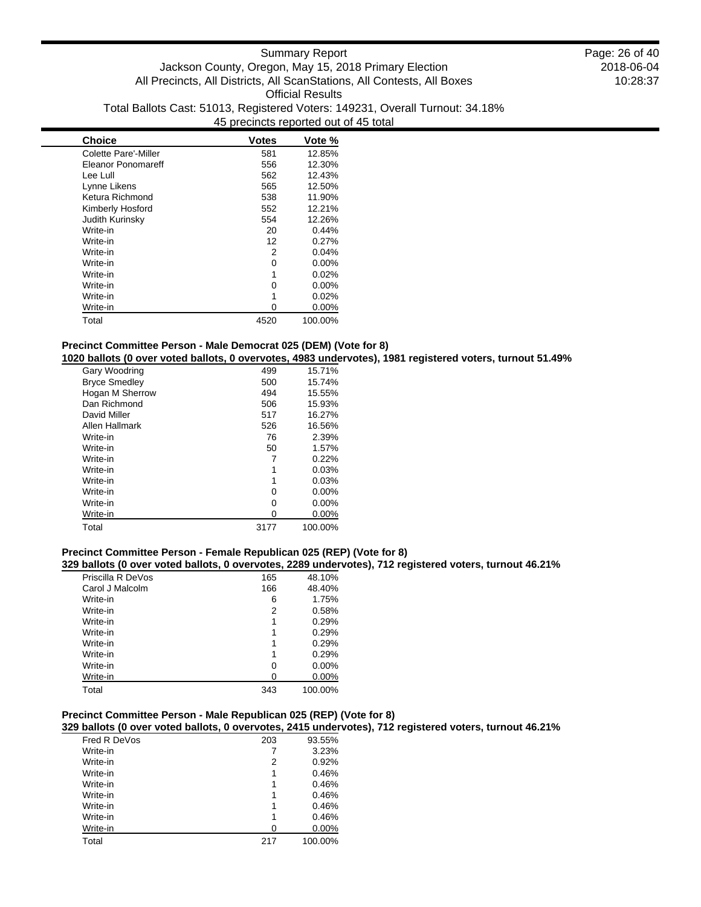| <b>Choice</b>               | <b>Votes</b> | Vote %   |
|-----------------------------|--------------|----------|
| <b>Colette Pare'-Miller</b> | 581          | 12.85%   |
| <b>Eleanor Ponomareff</b>   | 556          | 12.30%   |
| Lee Lull                    | 562          | 12.43%   |
| Lynne Likens                | 565          | 12.50%   |
| Ketura Richmond             | 538          | 11.90%   |
| Kimberly Hosford            | 552          | 12.21%   |
| Judith Kurinsky             | 554          | 12.26%   |
| Write-in                    | 20           | 0.44%    |
| Write-in                    | 12           | 0.27%    |
| Write-in                    | 2            | 0.04%    |
| Write-in                    | 0            | $0.00\%$ |
| Write-in                    | 1            | 0.02%    |
| Write-in                    | 0            | 0.00%    |
| Write-in                    | 1            | 0.02%    |
| Write-in                    | O            | 0.00%    |
| Total                       | 4520         | 100.00%  |

## **Precinct Committee Person - Male Democrat 025 (DEM) (Vote for 8)**

**1020 ballots (0 over voted ballots, 0 overvotes, 4983 undervotes), 1981 registered voters, turnout 51.49%**

| Gary Woodring        | 499  | 15.71%   |
|----------------------|------|----------|
| <b>Bryce Smedley</b> | 500  | 15.74%   |
| Hogan M Sherrow      | 494  | 15.55%   |
| Dan Richmond         | 506  | 15.93%   |
| David Miller         | 517  | 16.27%   |
| Allen Hallmark       | 526  | 16.56%   |
| Write-in             | 76   | 2.39%    |
| Write-in             | 50   | 1.57%    |
| Write-in             |      | 0.22%    |
| Write-in             | 1    | 0.03%    |
| Write-in             | 1    | 0.03%    |
| Write-in             | 0    | $0.00\%$ |
| Write-in             | 0    | $0.00\%$ |
| Write-in             | ი    | $0.00\%$ |
| Total                | 3177 | 100.00%  |

## **Precinct Committee Person - Female Republican 025 (REP) (Vote for 8)**

**329 ballots (0 over voted ballots, 0 overvotes, 2289 undervotes), 712 registered voters, turnout 46.21%**

| Priscilla R DeVos | 165 | 48.10%   |
|-------------------|-----|----------|
| Carol J Malcolm   | 166 | 48.40%   |
| Write-in          | 6   | 1.75%    |
| Write-in          | 2   | 0.58%    |
| Write-in          | 1   | 0.29%    |
| Write-in          |     | 0.29%    |
| Write-in          | 1   | 0.29%    |
| Write-in          | 1   | 0.29%    |
| Write-in          | 0   | $0.00\%$ |
| Write-in          | 0   | $0.00\%$ |
| Total             | 343 | 100.00%  |

## **Precinct Committee Person - Male Republican 025 (REP) (Vote for 8)**

**329 ballots (0 over voted ballots, 0 overvotes, 2415 undervotes), 712 registered voters, turnout 46.21%**

| Fred R DeVos | 203 | 93.55%  |
|--------------|-----|---------|
| Write-in     | 7   | 3.23%   |
| Write-in     | 2   | 0.92%   |
| Write-in     | 1   | 0.46%   |
| Write-in     | 1   | 0.46%   |
| Write-in     | 1   | 0.46%   |
| Write-in     | 1   | 0.46%   |
| Write-in     | 1   | 0.46%   |
| Write-in     | ი   | 0.00%   |
| Total        | 217 | 100.00% |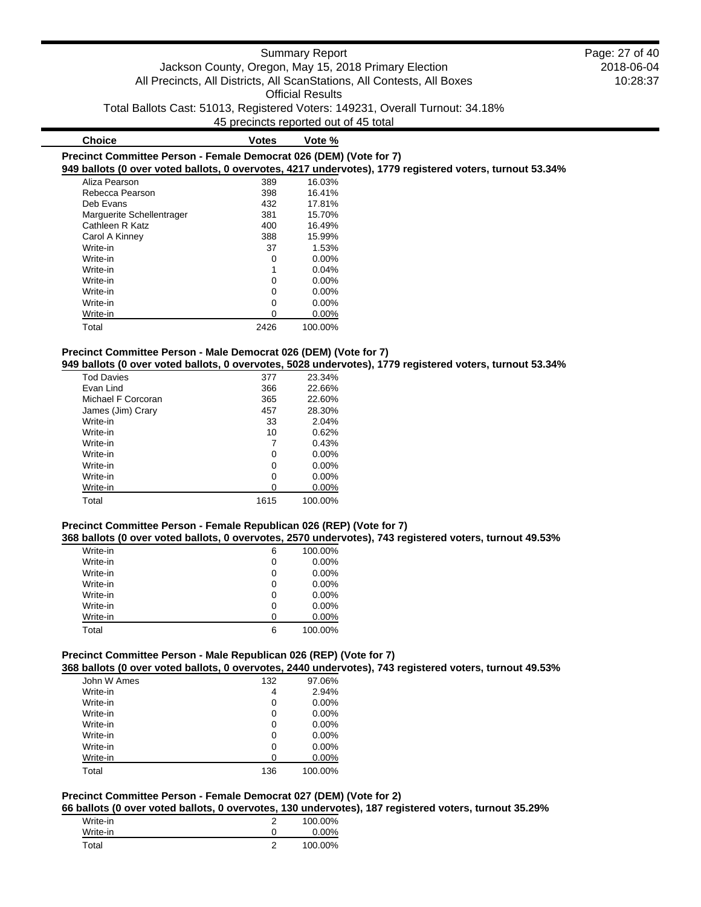| <b>Choice</b>                                                      | <b>Votes</b> | Vote %   |                                                                                                          |
|--------------------------------------------------------------------|--------------|----------|----------------------------------------------------------------------------------------------------------|
| Precinct Committee Person - Female Democrat 026 (DEM) (Vote for 7) |              |          |                                                                                                          |
|                                                                    |              |          | 949 ballots (0 over voted ballots, 0 overvotes, 4217 undervotes), 1779 registered voters, turnout 53.34% |
| Aliza Pearson                                                      | 389          | 16.03%   |                                                                                                          |
| Rebecca Pearson                                                    | 398          | 16.41%   |                                                                                                          |
| Deb Evans                                                          | 432          | 17.81%   |                                                                                                          |
| Marquerite Schellentrager                                          | 381          | 15.70%   |                                                                                                          |
| Cathleen R Katz                                                    | 400          | 16.49%   |                                                                                                          |
| Carol A Kinney                                                     | 388          | 15.99%   |                                                                                                          |
| Write-in                                                           | 37           | 1.53%    |                                                                                                          |
| Write-in                                                           | 0            | $0.00\%$ |                                                                                                          |
| Write-in                                                           |              | 0.04%    |                                                                                                          |
| Write-in                                                           | 0            | $0.00\%$ |                                                                                                          |
| Write-in                                                           | 0            | $0.00\%$ |                                                                                                          |

## **Precinct Committee Person - Male Democrat 026 (DEM) (Vote for 7)**

**949 ballots (0 over voted ballots, 0 overvotes, 5028 undervotes), 1779 registered voters, turnout 53.34%**

| <b>Tod Davies</b>  | 377  | 23.34%   |
|--------------------|------|----------|
| Fvan Lind          | 366  | 22.66%   |
| Michael F Corcoran | 365  | 22.60%   |
| James (Jim) Crary  | 457  | 28.30%   |
| Write-in           | 33   | 2.04%    |
| Write-in           | 10   | 0.62%    |
| Write-in           |      | 0.43%    |
| Write-in           | 0    | $0.00\%$ |
| Write-in           | 0    | $0.00\%$ |
| Write-in           | 0    | $0.00\%$ |
| Write-in           | O    | $0.00\%$ |
| Total              | 1615 | 100.00%  |

Write-in 0 0.00% Write-in 0 0.00% Total 2426 100.00%

#### **Precinct Committee Person - Female Republican 026 (REP) (Vote for 7)**

**368 ballots (0 over voted ballots, 0 overvotes, 2570 undervotes), 743 registered voters, turnout 49.53%**

| Write-in | 6 | 100.00%  |
|----------|---|----------|
| Write-in | 0 | $0.00\%$ |
| Write-in | 0 | $0.00\%$ |
| Write-in | 0 | $0.00\%$ |
| Write-in | 0 | $0.00\%$ |
| Write-in | 0 | $0.00\%$ |
| Write-in | n | 0.00%    |
| Total    | 6 | 100.00%  |

### **Precinct Committee Person - Male Republican 026 (REP) (Vote for 7)**

**368 ballots (0 over voted ballots, 0 overvotes, 2440 undervotes), 743 registered voters, turnout 49.53%**

| John W Ames | 132 | 97.06%  |
|-------------|-----|---------|
| Write-in    | 4   | 2.94%   |
| Write-in    | 0   | 0.00%   |
| Write-in    | 0   | 0.00%   |
| Write-in    | 0   | 0.00%   |
| Write-in    | 0   | 0.00%   |
| Write-in    | 0   | 0.00%   |
| Write-in    | ი   | 0.00%   |
| Total       | 136 | 100.00% |

## **Precinct Committee Person - Female Democrat 027 (DEM) (Vote for 2)**

**66 ballots (0 over voted ballots, 0 overvotes, 130 undervotes), 187 registered voters, turnout 35.29%**

|          | . |          |
|----------|---|----------|
| Write-in |   | 100.00%  |
| Write-in |   | $0.00\%$ |
| Total    | ◠ | 100.00%  |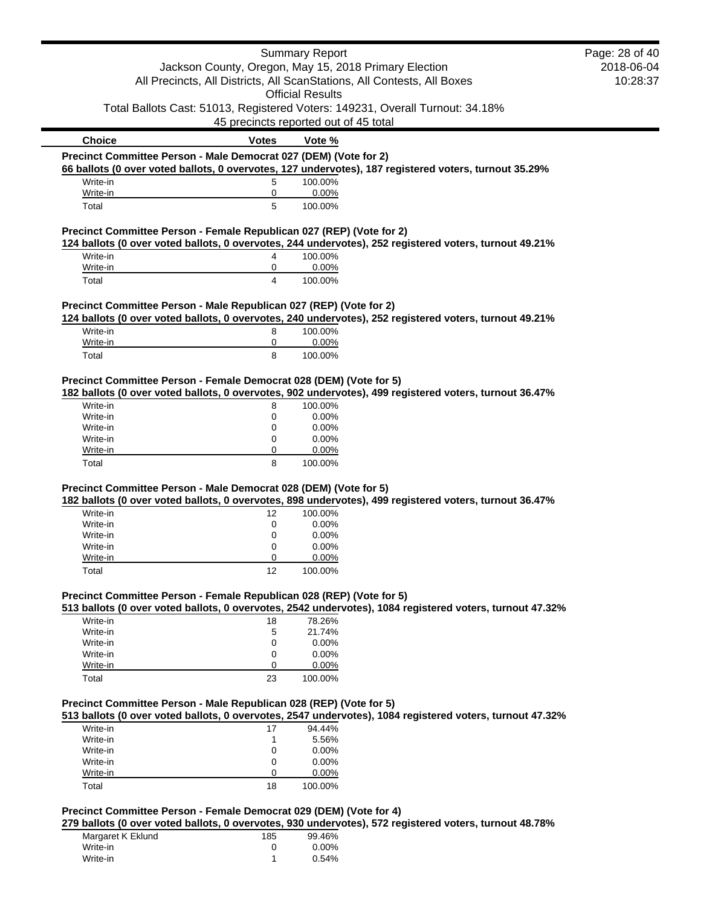|                                                                      |                                       | <b>Summary Report</b>   |                                                                                                          | Page: 28 of 40 |
|----------------------------------------------------------------------|---------------------------------------|-------------------------|----------------------------------------------------------------------------------------------------------|----------------|
|                                                                      |                                       |                         | Jackson County, Oregon, May 15, 2018 Primary Election                                                    | 2018-06-04     |
|                                                                      |                                       |                         | All Precincts, All Districts, All ScanStations, All Contests, All Boxes                                  | 10:28:37       |
|                                                                      |                                       | <b>Official Results</b> |                                                                                                          |                |
|                                                                      |                                       |                         | Total Ballots Cast: 51013, Registered Voters: 149231, Overall Turnout: 34.18%                            |                |
|                                                                      | 45 precincts reported out of 45 total |                         |                                                                                                          |                |
| <b>Choice</b>                                                        | <b>Votes</b>                          | Vote %                  |                                                                                                          |                |
| Precinct Committee Person - Male Democrat 027 (DEM) (Vote for 2)     |                                       |                         |                                                                                                          |                |
|                                                                      |                                       |                         | 66 ballots (0 over voted ballots, 0 overvotes, 127 undervotes), 187 registered voters, turnout 35.29%    |                |
| Write-in                                                             | 5                                     | 100.00%                 |                                                                                                          |                |
| Write-in                                                             | 0                                     | 0.00%                   |                                                                                                          |                |
| Total                                                                | 5                                     | 100.00%                 |                                                                                                          |                |
| Precinct Committee Person - Female Republican 027 (REP) (Vote for 2) |                                       |                         |                                                                                                          |                |
|                                                                      |                                       |                         | 124 ballots (0 over voted ballots, 0 overvotes, 244 undervotes), 252 registered voters, turnout 49.21%   |                |
| Write-in                                                             | 4                                     | 100.00%                 |                                                                                                          |                |
| Write-in                                                             | 0                                     | 0.00%                   |                                                                                                          |                |
| Total                                                                | 4                                     | 100.00%                 |                                                                                                          |                |
| Precinct Committee Person - Male Republican 027 (REP) (Vote for 2)   |                                       |                         |                                                                                                          |                |
|                                                                      |                                       |                         | 124 ballots (0 over voted ballots, 0 overvotes, 240 undervotes), 252 registered voters, turnout 49.21%   |                |
| Write-in                                                             | 8                                     | 100.00%                 |                                                                                                          |                |
| Write-in                                                             | 0                                     | 0.00%                   |                                                                                                          |                |
| Total                                                                | 8                                     | 100.00%                 |                                                                                                          |                |
|                                                                      |                                       |                         |                                                                                                          |                |
| Precinct Committee Person - Female Democrat 028 (DEM) (Vote for 5)   |                                       |                         |                                                                                                          |                |
|                                                                      |                                       |                         | 182 ballots (0 over voted ballots, 0 overvotes, 902 undervotes), 499 registered voters, turnout 36.47%   |                |
| Write-in                                                             | 8                                     | 100.00%                 |                                                                                                          |                |
| Write-in                                                             | 0                                     | 0.00%                   |                                                                                                          |                |
| Write-in                                                             | 0                                     | 0.00%                   |                                                                                                          |                |
| Write-in                                                             | 0                                     | 0.00%                   |                                                                                                          |                |
| Write-in                                                             | 0                                     | 0.00%                   |                                                                                                          |                |
| Total                                                                | 8                                     | 100.00%                 |                                                                                                          |                |
| Precinct Committee Person - Male Democrat 028 (DEM) (Vote for 5)     |                                       |                         |                                                                                                          |                |
|                                                                      |                                       |                         | 182 ballots (0 over voted ballots, 0 overvotes, 898 undervotes), 499 registered voters, turnout 36.47%   |                |
| Write-in                                                             | 12                                    | 100.00%                 |                                                                                                          |                |
| Write-in                                                             | 0                                     | 0.00%                   |                                                                                                          |                |
| Write-in                                                             | 0                                     | 0.00%                   |                                                                                                          |                |
| Write-in                                                             | 0                                     | 0.00%                   |                                                                                                          |                |
| Write-in                                                             | 0                                     | 0.00%                   |                                                                                                          |                |
| Total                                                                | 12                                    | 100.00%                 |                                                                                                          |                |
|                                                                      |                                       |                         |                                                                                                          |                |
| Precinct Committee Person - Female Republican 028 (REP) (Vote for 5) |                                       |                         |                                                                                                          |                |
|                                                                      |                                       |                         | 513 ballots (0 over voted ballots, 0 overvotes, 2542 undervotes), 1084 registered voters, turnout 47.32% |                |
| Write-in                                                             | 18                                    | 78.26%                  |                                                                                                          |                |
| Write-in                                                             | 5                                     | 21.74%                  |                                                                                                          |                |
| Write-in                                                             | 0                                     | 0.00%                   |                                                                                                          |                |
| Write-in                                                             | 0                                     | 0.00%                   |                                                                                                          |                |
| Write-in                                                             | 0                                     | 0.00%                   |                                                                                                          |                |
| Total                                                                | 23                                    | 100.00%                 |                                                                                                          |                |
| Precinct Committee Person - Male Republican 028 (REP) (Vote for 5)   |                                       |                         |                                                                                                          |                |
|                                                                      |                                       |                         | 513 ballots (0 over voted ballots, 0 overvotes, 2547 undervotes), 1084 registered voters, turnout 47.32% |                |
| Write-in                                                             | 17                                    | 94.44%                  |                                                                                                          |                |
| Write-in                                                             | 1                                     | 5.56%                   |                                                                                                          |                |
| Write-in                                                             | 0                                     | 0.00%                   |                                                                                                          |                |
| Write-in                                                             | 0                                     | 0.00%                   |                                                                                                          |                |
| Write-in                                                             | 0                                     | 0.00%                   |                                                                                                          |                |
| Total                                                                | 18                                    | 100.00%                 |                                                                                                          |                |
|                                                                      |                                       |                         |                                                                                                          |                |
| Precinct Committee Person - Female Democrat 029 (DEM) (Vote for 4)   |                                       |                         |                                                                                                          |                |
|                                                                      |                                       |                         | 279 ballots (0 over voted ballots, 0 overvotes, 930 undervotes), 572 registered voters, turnout 48.78%   |                |
| Margaret K Eklund                                                    | 185                                   | 99.46%                  |                                                                                                          |                |
| Write-in                                                             | 0                                     | 0.00%                   |                                                                                                          |                |
| Write-in                                                             | 1                                     | 0.54%                   |                                                                                                          |                |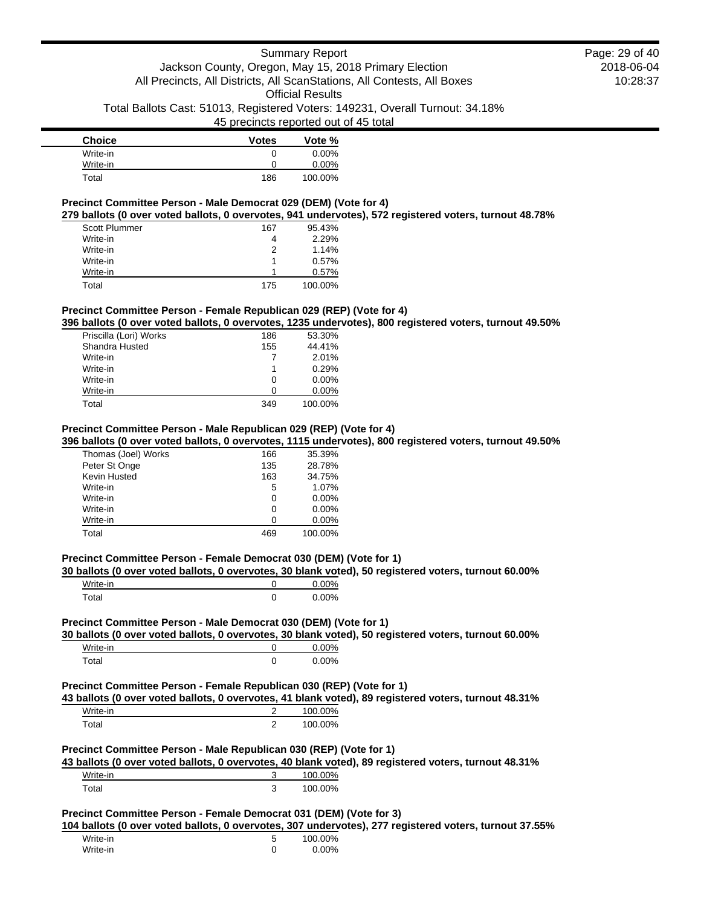| <b>Choice</b> | <b>Votes</b> | Vote %  |
|---------------|--------------|---------|
| Write-in      | 0            | 0.00%   |
| Write-in      | 0            | 0.00%   |
| Total         | 186          | 100.00% |

## **Precinct Committee Person - Male Democrat 029 (DEM) (Vote for 4)**

**279 ballots (0 over voted ballots, 0 overvotes, 941 undervotes), 572 registered voters, turnout 48.78%**

| 167 | 95.43%  |
|-----|---------|
|     | 2.29%   |
| 2   | 1.14%   |
|     | 0.57%   |
|     | 0.57%   |
| 175 | 100.00% |
|     |         |

## **Precinct Committee Person - Female Republican 029 (REP) (Vote for 4)**

**396 ballots (0 over voted ballots, 0 overvotes, 1235 undervotes), 800 registered voters, turnout 49.50%**

| Priscilla (Lori) Works | 186 | 53.30%   |
|------------------------|-----|----------|
| Shandra Husted         | 155 | 44.41%   |
| Write-in               |     | 2.01%    |
| Write-in               |     | 0.29%    |
| Write-in               | 0   | $0.00\%$ |
| Write-in               |     | $0.00\%$ |
| Total                  | 349 | 100.00%  |

#### **Precinct Committee Person - Male Republican 029 (REP) (Vote for 4)**

**396 ballots (0 over voted ballots, 0 overvotes, 1115 undervotes), 800 registered voters, turnout 49.50%**

| Thomas (Joel) Works | 166 | 35.39%   |
|---------------------|-----|----------|
| Peter St Onge       | 135 | 28.78%   |
| Kevin Husted        | 163 | 34.75%   |
| Write-in            | 5   | 1.07%    |
| Write-in            | 0   | $0.00\%$ |
| Write-in            | 0   | $0.00\%$ |
| Write-in            | O   | $0.00\%$ |
| Total               | 469 | 100.00%  |

#### **Precinct Committee Person - Female Democrat 030 (DEM) (Vote for 1)**

**30 ballots (0 over voted ballots, 0 overvotes, 30 blank voted), 50 registered voters, turnout 60.00%**

| Write-in | $0.00\%$ |
|----------|----------|
| Total    | 0.00%    |

### **Precinct Committee Person - Male Democrat 030 (DEM) (Vote for 1)**

**30 ballots (0 over voted ballots, 0 overvotes, 30 blank voted), 50 registered voters, turnout 60.00%**

| Write-in | $00\%$ |
|----------|--------|
| otal     | 00%    |

#### **Precinct Committee Person - Female Republican 030 (REP) (Vote for 1)**

**43 ballots (0 over voted ballots, 0 overvotes, 41 blank voted), 89 registered voters, turnout 48.31%**

| Write-in | 100.00% |
|----------|---------|
| Total    | 100.00% |

#### **Precinct Committee Person - Male Republican 030 (REP) (Vote for 1)**

**43 ballots (0 over voted ballots, 0 overvotes, 40 blank voted), 89 registered voters, turnout 48.31%**

| Write-in    | w | 100.00% |
|-------------|---|---------|
| $\tau$ otal | w | 100.00% |

### **Precinct Committee Person - Female Democrat 031 (DEM) (Vote for 3)**

**104 ballots (0 over voted ballots, 0 overvotes, 307 undervotes), 277 registered voters, turnout 37.55%**

| Write-in | 100.00% |
|----------|---------|
| Write-in | 0.00%   |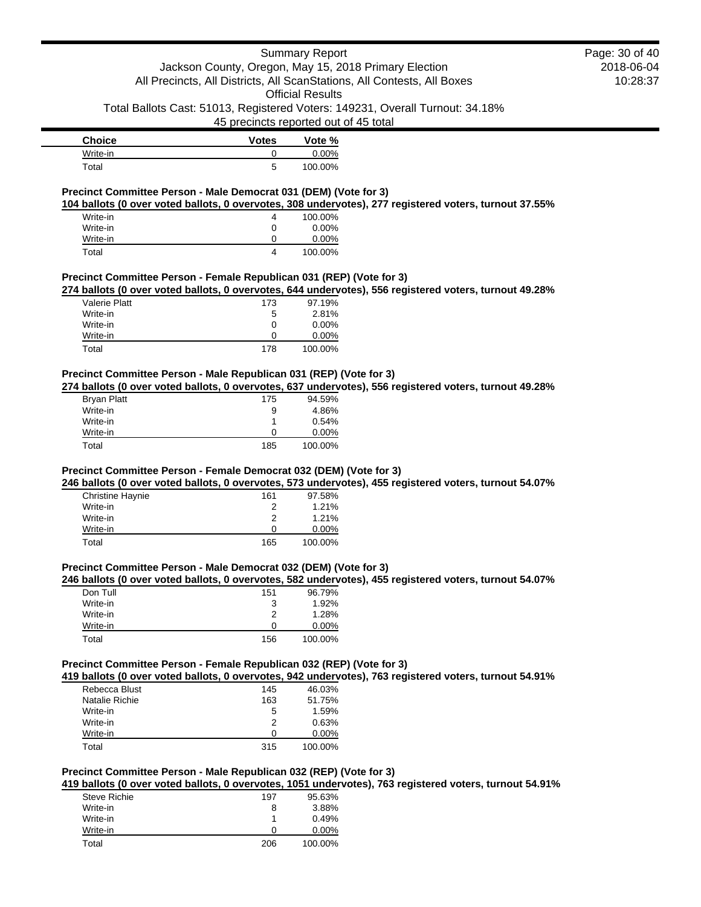45 precincts reported out of 45 total

| <b>Choice</b> | <b>Votes</b> | Vote %   |
|---------------|--------------|----------|
| Write-in      |              | $0.00\%$ |
| Total         | 5            | 100.00%  |

## **Precinct Committee Person - Male Democrat 031 (DEM) (Vote for 3)**

**104 ballots (0 over voted ballots, 0 overvotes, 308 undervotes), 277 registered voters, turnout 37.55%**

| Write-in | 4 | 100.00%  |
|----------|---|----------|
| Write-in | O | $0.00\%$ |
| Write-in |   | $0.00\%$ |
| Total    | 4 | 100.00%  |

### **Precinct Committee Person - Female Republican 031 (REP) (Vote for 3)**

**274 ballots (0 over voted ballots, 0 overvotes, 644 undervotes), 556 registered voters, turnout 49.28%**

| Valerie Platt | 173 | 97.19%   |
|---------------|-----|----------|
| Write-in      | 5   | 2.81%    |
| Write-in      | 0   | $0.00\%$ |
| Write-in      | 0   | $0.00\%$ |
| Total         | 178 | 100.00%  |

## **Precinct Committee Person - Male Republican 031 (REP) (Vote for 3)**

**274 ballots (0 over voted ballots, 0 overvotes, 637 undervotes), 556 registered voters, turnout 49.28%**

| Bryan Platt | 175 | 94.59%   |
|-------------|-----|----------|
| Write-in    | 9   | 4.86%    |
| Write-in    |     | 0.54%    |
| Write-in    | O   | $0.00\%$ |
| Total       | 185 | 100.00%  |

#### **Precinct Committee Person - Female Democrat 032 (DEM) (Vote for 3)**

**246 ballots (0 over voted ballots, 0 overvotes, 573 undervotes), 455 registered voters, turnout 54.07%**

| <b>Christine Haynie</b> | 161 | 97.58%   |
|-------------------------|-----|----------|
| Write-in                |     | 1.21%    |
| Write-in                | 2   | 1.21%    |
| Write-in                | O   | $0.00\%$ |
| Total                   | 165 | 100.00%  |

### **Precinct Committee Person - Male Democrat 032 (DEM) (Vote for 3)**

#### **246 ballots (0 over voted ballots, 0 overvotes, 582 undervotes), 455 registered voters, turnout 54.07%**

| Don Tull | 151 | 96.79%   |
|----------|-----|----------|
| Write-in | 3   | 1.92%    |
| Write-in | 2   | 1.28%    |
| Write-in | 0   | $0.00\%$ |
| Total    | 156 | 100.00%  |

#### **Precinct Committee Person - Female Republican 032 (REP) (Vote for 3)**

**419 ballots (0 over voted ballots, 0 overvotes, 942 undervotes), 763 registered voters, turnout 54.91%**

| Rebecca Blust  | 145 | 46.03%   |
|----------------|-----|----------|
| Natalie Richie | 163 | 51.75%   |
| Write-in       | 5   | 1.59%    |
| Write-in       | 2   | 0.63%    |
| Write-in       | O   | $0.00\%$ |
| Total          | 315 | 100.00%  |

## **Precinct Committee Person - Male Republican 032 (REP) (Vote for 3)**

**419 ballots (0 over voted ballots, 0 overvotes, 1051 undervotes), 763 registered voters, turnout 54.91%**

| <b>Steve Richie</b> | 197 | 95.63%   |
|---------------------|-----|----------|
| Write-in            | 8   | 3.88%    |
| Write-in            |     | 0.49%    |
| Write-in            | O   | $0.00\%$ |
| Total               | 206 | 100.00%  |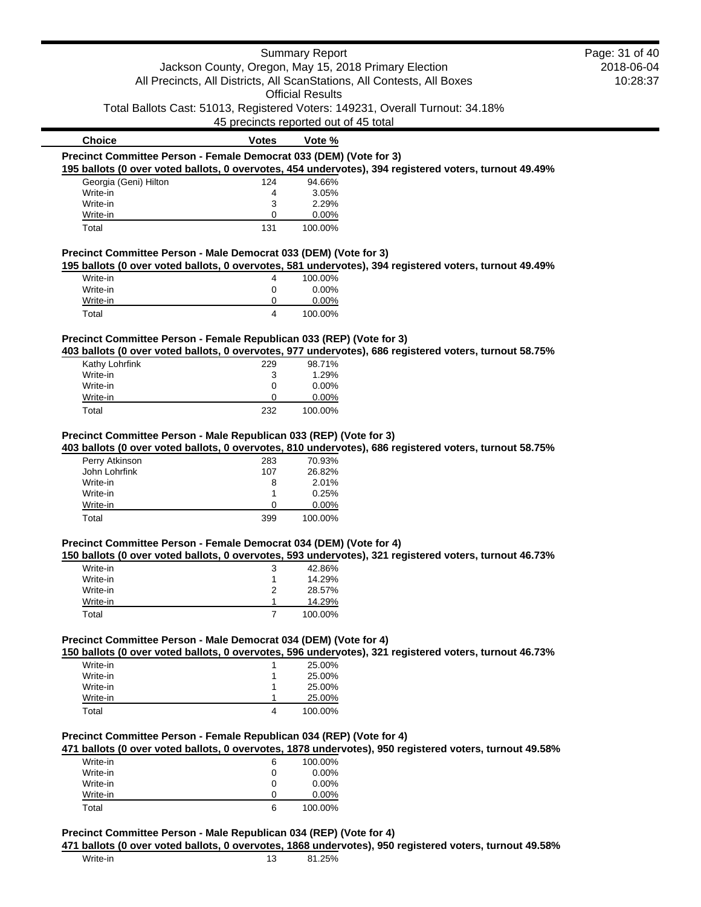|                                                                      |                | <b>Summary Report</b>                                                   |                                                                                                         | Page: 31 of 40 |
|----------------------------------------------------------------------|----------------|-------------------------------------------------------------------------|---------------------------------------------------------------------------------------------------------|----------------|
|                                                                      |                | Jackson County, Oregon, May 15, 2018 Primary Election                   |                                                                                                         | 2018-06-04     |
|                                                                      |                | All Precincts, All Districts, All ScanStations, All Contests, All Boxes |                                                                                                         | 10:28:37       |
|                                                                      |                | <b>Official Results</b>                                                 |                                                                                                         |                |
|                                                                      |                |                                                                         | Total Ballots Cast: 51013, Registered Voters: 149231, Overall Turnout: 34.18%                           |                |
|                                                                      |                | 45 precincts reported out of 45 total                                   |                                                                                                         |                |
| <b>Choice</b>                                                        | <b>Votes</b>   | Vote %                                                                  |                                                                                                         |                |
| Precinct Committee Person - Female Democrat 033 (DEM) (Vote for 3)   |                |                                                                         |                                                                                                         |                |
|                                                                      |                |                                                                         | 195 ballots (0 over voted ballots, 0 overvotes, 454 undervotes), 394 registered voters, turnout 49.49%  |                |
| Georgia (Geni) Hilton                                                | 124            | 94.66%                                                                  |                                                                                                         |                |
| Write-in                                                             | 4              | 3.05%                                                                   |                                                                                                         |                |
| Write-in                                                             | 3              | 2.29%                                                                   |                                                                                                         |                |
| Write-in                                                             | 0              | 0.00%                                                                   |                                                                                                         |                |
| Total                                                                | 131            | 100.00%                                                                 |                                                                                                         |                |
| Precinct Committee Person - Male Democrat 033 (DEM) (Vote for 3)     |                |                                                                         |                                                                                                         |                |
|                                                                      |                |                                                                         | 195 ballots (0 over voted ballots, 0 overvotes, 581 undervotes), 394 registered voters, turnout 49.49%  |                |
| Write-in                                                             | 4              | 100.00%                                                                 |                                                                                                         |                |
| Write-in                                                             | 0              | 0.00%                                                                   |                                                                                                         |                |
| Write-in                                                             | 0              | 0.00%                                                                   |                                                                                                         |                |
| Total                                                                | 4              | 100.00%                                                                 |                                                                                                         |                |
|                                                                      |                |                                                                         |                                                                                                         |                |
| Precinct Committee Person - Female Republican 033 (REP) (Vote for 3) |                |                                                                         | 403 ballots (0 over voted ballots, 0 overvotes, 977 undervotes), 686 registered voters, turnout 58.75%  |                |
| Kathy Lohrfink                                                       | 229            | 98.71%                                                                  |                                                                                                         |                |
| Write-in                                                             | 3              | 1.29%                                                                   |                                                                                                         |                |
| Write-in                                                             | 0              | 0.00%                                                                   |                                                                                                         |                |
| Write-in                                                             | 0              | 0.00%                                                                   |                                                                                                         |                |
| Total                                                                | 232            | 100.00%                                                                 |                                                                                                         |                |
|                                                                      |                | Precinct Committee Person - Male Republican 033 (REP) (Vote for 3)      | 403 ballots (0 over voted ballots, 0 overvotes, 810 undervotes), 686 registered voters, turnout 58.75%  |                |
| Perry Atkinson                                                       | 283            | 70.93%                                                                  |                                                                                                         |                |
| John Lohrfink                                                        | 107            | 26.82%                                                                  |                                                                                                         |                |
| Write-in                                                             | 8              | 2.01%                                                                   |                                                                                                         |                |
| Write-in<br>Write-in                                                 | 1<br>0         | 0.25%<br>0.00%                                                          |                                                                                                         |                |
| Total                                                                | 399            | 100.00%                                                                 |                                                                                                         |                |
|                                                                      |                |                                                                         |                                                                                                         |                |
| Precinct Committee Person - Female Democrat 034 (DEM) (Vote for 4)   |                |                                                                         |                                                                                                         |                |
|                                                                      |                |                                                                         | 150 ballots (0 over voted ballots, 0 overvotes, 593 undervotes), 321 registered voters, turnout 46.73%  |                |
| Write-in                                                             | 3              | 42.86%                                                                  |                                                                                                         |                |
| Write-in                                                             | 1              | 14.29%                                                                  |                                                                                                         |                |
| Write-in                                                             | 2<br>1         | 28.57%                                                                  |                                                                                                         |                |
| Write-in<br>Total                                                    | $\overline{7}$ | 14.29%<br>100.00%                                                       |                                                                                                         |                |
|                                                                      |                |                                                                         |                                                                                                         |                |
|                                                                      |                |                                                                         |                                                                                                         |                |
| Precinct Committee Person - Male Democrat 034 (DEM) (Vote for 4)     |                |                                                                         | 150 ballots (0 over voted ballots, 0 overvotes, 596 undervotes), 321 registered voters, turnout 46.73%  |                |
| Write-in                                                             |                | 25.00%                                                                  |                                                                                                         |                |
| Write-in                                                             |                | 25.00%                                                                  |                                                                                                         |                |
| Write-in                                                             | 1              | 25.00%                                                                  |                                                                                                         |                |
| Write-in<br>Total                                                    | 1<br>4         | 25.00%<br>100.00%                                                       |                                                                                                         |                |
|                                                                      |                |                                                                         |                                                                                                         |                |
|                                                                      |                |                                                                         |                                                                                                         |                |
| Precinct Committee Person - Female Republican 034 (REP) (Vote for 4) |                |                                                                         | 471 ballots (0 over voted ballots, 0 overvotes, 1878 undervotes), 950 registered voters, turnout 49.58% |                |
| Write-in                                                             | 6              | 100.00%                                                                 |                                                                                                         |                |
| Write-in                                                             | 0              | 0.00%                                                                   |                                                                                                         |                |
| Write-in<br>Write-in                                                 | 0<br>0         | 0.00%<br>0.00%                                                          |                                                                                                         |                |

## **Precinct Committee Person - Male Republican 034 (REP) (Vote for 4)**

**471 ballots (0 over voted ballots, 0 overvotes, 1868 undervotes), 950 registered voters, turnout 49.58%**

 $\blacksquare$  $\overline{\phantom{a}}$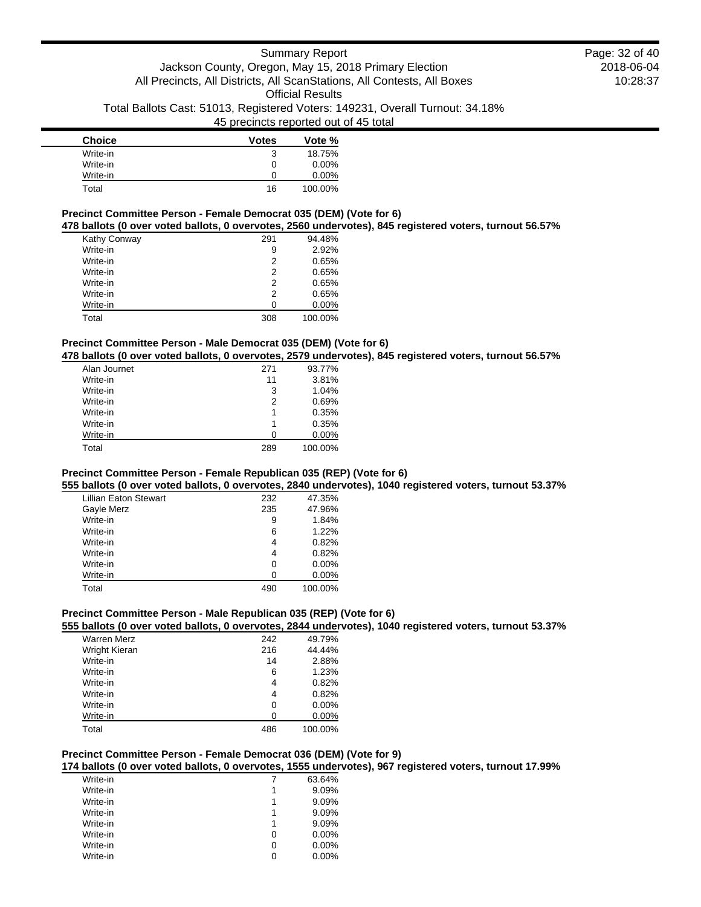| <b>Choice</b> | <b>Votes</b> | Vote %   |
|---------------|--------------|----------|
| Write-in      | 3            | 18.75%   |
| Write-in      | 0            | $0.00\%$ |
| Write-in      | O            | $0.00\%$ |
| Total         | 16           | 100.00%  |

#### **Precinct Committee Person - Female Democrat 035 (DEM) (Vote for 6)**

**478 ballots (0 over voted ballots, 0 overvotes, 2560 undervotes), 845 registered voters, turnout 56.57%**

| Kathy Conway | 291 | 94.48%   |
|--------------|-----|----------|
| Write-in     | 9   | 2.92%    |
| Write-in     | 2   | 0.65%    |
| Write-in     | 2   | 0.65%    |
| Write-in     | 2   | 0.65%    |
| Write-in     | 2   | 0.65%    |
| Write-in     | O   | $0.00\%$ |
| Total        | 308 | 100.00%  |

## **Precinct Committee Person - Male Democrat 035 (DEM) (Vote for 6)**

**478 ballots (0 over voted ballots, 0 overvotes, 2579 undervotes), 845 registered voters, turnout 56.57%**

| Alan Journet | 271 | 93.77%   |
|--------------|-----|----------|
| Write-in     | 11  | 3.81%    |
| Write-in     | 3   | 1.04%    |
| Write-in     | 2   | 0.69%    |
| Write-in     | 1   | 0.35%    |
| Write-in     | 1   | 0.35%    |
| Write-in     | O   | $0.00\%$ |
| Total        | 289 | 100.00%  |

## **Precinct Committee Person - Female Republican 035 (REP) (Vote for 6)**

**555 ballots (0 over voted ballots, 0 overvotes, 2840 undervotes), 1040 registered voters, turnout 53.37%**

| <b>Lillian Eaton Stewart</b> | 232 | 47.35%  |
|------------------------------|-----|---------|
| Gayle Merz                   | 235 | 47.96%  |
| Write-in                     | 9   | 1.84%   |
| Write-in                     | 6   | 1.22%   |
| Write-in                     | 4   | 0.82%   |
| Write-in                     | 4   | 0.82%   |
| Write-in                     | 0   | 0.00%   |
| Write-in                     | 0   | 0.00%   |
| Total                        | 490 | 100.00% |

## **Precinct Committee Person - Male Republican 035 (REP) (Vote for 6)**

### **555 ballots (0 over voted ballots, 0 overvotes, 2844 undervotes), 1040 registered voters, turnout 53.37%**

| <b>Warren Merz</b> | 242 | 49.79%  |
|--------------------|-----|---------|
| Wright Kieran      | 216 | 44.44%  |
| Write-in           | 14  | 2.88%   |
| Write-in           | 6   | 1.23%   |
| Write-in           | 4   | 0.82%   |
| Write-in           | 4   | 0.82%   |
| Write-in           | 0   | 0.00%   |
| Write-in           | ∩   | 0.00%   |
| Total              | 486 | 100.00% |

### **Precinct Committee Person - Female Democrat 036 (DEM) (Vote for 9)**

**174 ballots (0 over voted ballots, 0 overvotes, 1555 undervotes), 967 registered voters, turnout 17.99%**

| Write-in |   | 63.64%   |
|----------|---|----------|
| Write-in | 1 | 9.09%    |
| Write-in |   | 9.09%    |
| Write-in | 1 | 9.09%    |
| Write-in |   | 9.09%    |
| Write-in | 0 | $0.00\%$ |
| Write-in | 0 | $0.00\%$ |
| Write-in | O | $0.00\%$ |
|          |   |          |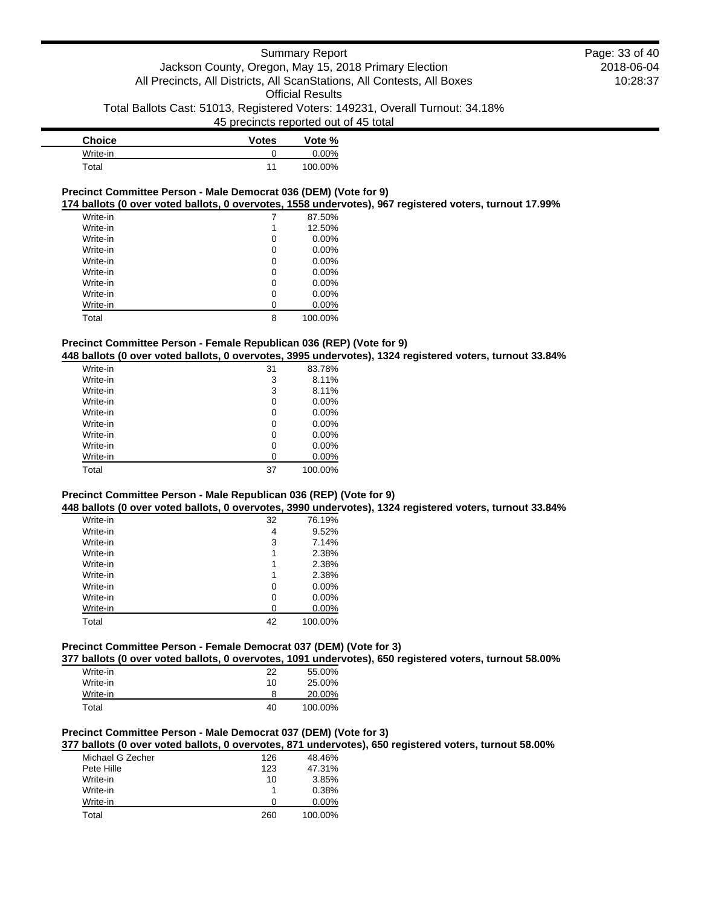| <b>Choice</b> | <b>Votes</b> | Vote %   |
|---------------|--------------|----------|
| Write-in      |              | $0.00\%$ |
| Total         |              | 100.00%  |

### **Precinct Committee Person - Male Democrat 036 (DEM) (Vote for 9)**

**174 ballots (0 over voted ballots, 0 overvotes, 1558 undervotes), 967 registered voters, turnout 17.99%**

| Write-in |   | 87.50%   |
|----------|---|----------|
| Write-in | 1 | 12.50%   |
| Write-in | 0 | $0.00\%$ |
| Write-in | 0 | $0.00\%$ |
| Write-in | 0 | $0.00\%$ |
| Write-in | 0 | $0.00\%$ |
| Write-in | 0 | $0.00\%$ |
| Write-in | 0 | $0.00\%$ |
| Write-in | U | 0.00%    |
| Total    | 8 | 100.00%  |

## **Precinct Committee Person - Female Republican 036 (REP) (Vote for 9)**

**448 ballots (0 over voted ballots, 0 overvotes, 3995 undervotes), 1324 registered voters, turnout 33.84%**

| Write-in | 31 | 83.78%   |
|----------|----|----------|
| Write-in | 3  | 8.11%    |
| Write-in | 3  | 8.11%    |
| Write-in | 0  | $0.00\%$ |
| Write-in | 0  | 0.00%    |
| Write-in | 0  | 0.00%    |
| Write-in | 0  | $0.00\%$ |
| Write-in | 0  | 0.00%    |
| Write-in | 0  | 0.00%    |
| Total    | 37 | 100.00%  |

## **Precinct Committee Person - Male Republican 036 (REP) (Vote for 9)**

**448 ballots (0 over voted ballots, 0 overvotes, 3990 undervotes), 1324 registered voters, turnout 33.84%**

| Write-in | 32 | 76.19%  |
|----------|----|---------|
| Write-in | 4  | 9.52%   |
| Write-in | 3  | 7.14%   |
| Write-in | 1  | 2.38%   |
| Write-in | 1  | 2.38%   |
| Write-in | 1  | 2.38%   |
| Write-in | 0  | 0.00%   |
| Write-in | 0  | 0.00%   |
| Write-in | U  | 0.00%   |
| Total    | 42 | 100.00% |

## **Precinct Committee Person - Female Democrat 037 (DEM) (Vote for 3)**

**377 ballots (0 over voted ballots, 0 overvotes, 1091 undervotes), 650 registered voters, turnout 58.00%**

| Write-in | 22 | 55.00%  |
|----------|----|---------|
| Write-in | 10 | 25.00%  |
| Write-in | 8  | 20.00%  |
| Total    | 40 | 100.00% |

## **Precinct Committee Person - Male Democrat 037 (DEM) (Vote for 3)**

**377 ballots (0 over voted ballots, 0 overvotes, 871 undervotes), 650 registered voters, turnout 58.00%**

| Michael G Zecher | 126 | 48.46%   |
|------------------|-----|----------|
| Pete Hille       | 123 | 47.31%   |
| Write-in         | 10  | 3.85%    |
| Write-in         |     | 0.38%    |
| Write-in         | O   | $0.00\%$ |
| Total            | 260 | 100.00%  |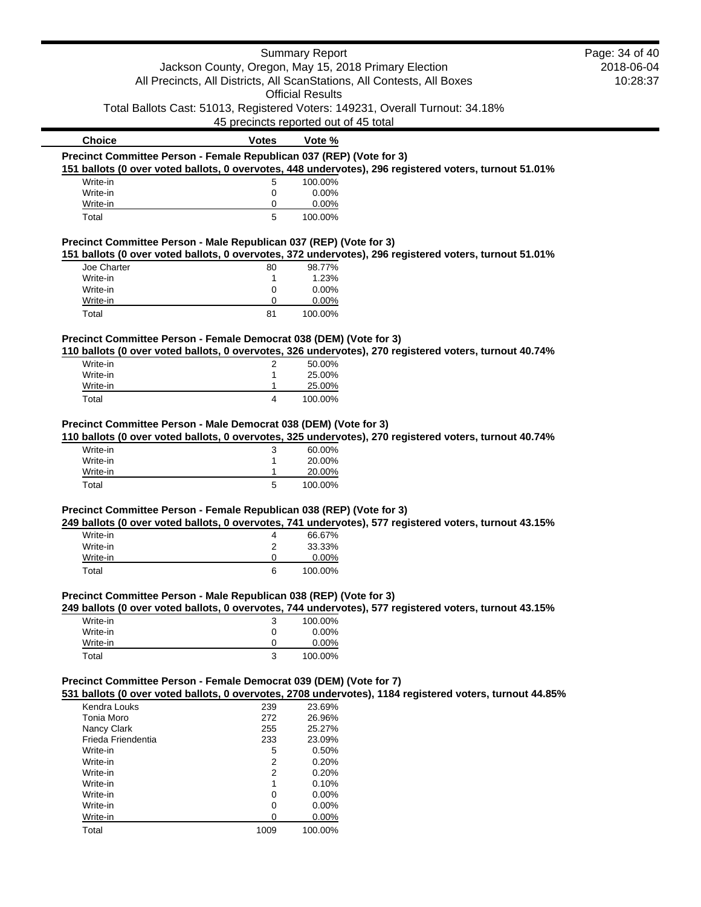|                                                                      |                | <b>Summary Report</b>                                                                                    | Page: 34 of 40 |
|----------------------------------------------------------------------|----------------|----------------------------------------------------------------------------------------------------------|----------------|
|                                                                      |                | Jackson County, Oregon, May 15, 2018 Primary Election                                                    | 2018-06-04     |
|                                                                      |                | All Precincts, All Districts, All ScanStations, All Contests, All Boxes                                  | 10:28:37       |
|                                                                      |                |                                                                                                          |                |
|                                                                      |                | <b>Official Results</b>                                                                                  |                |
|                                                                      |                | Total Ballots Cast: 51013, Registered Voters: 149231, Overall Turnout: 34.18%                            |                |
|                                                                      |                | 45 precincts reported out of 45 total                                                                    |                |
| <b>Choice</b>                                                        | <b>Votes</b>   | Vote %                                                                                                   |                |
| Precinct Committee Person - Female Republican 037 (REP) (Vote for 3) |                |                                                                                                          |                |
|                                                                      |                | 151 ballots (0 over voted ballots, 0 overvotes, 448 undervotes), 296 registered voters, turnout 51.01%   |                |
| Write-in                                                             | 5              | 100.00%                                                                                                  |                |
| Write-in                                                             | 0              | 0.00%                                                                                                    |                |
| Write-in                                                             | 0              | 0.00%                                                                                                    |                |
| Total                                                                | 5              | 100.00%                                                                                                  |                |
| Precinct Committee Person - Male Republican 037 (REP) (Vote for 3)   |                |                                                                                                          |                |
|                                                                      |                | 151 ballots (0 over voted ballots, 0 overvotes, 372 undervotes), 296 registered voters, turnout 51.01%   |                |
| Joe Charter                                                          | 80             | 98.77%                                                                                                   |                |
| Write-in                                                             | 1              | 1.23%                                                                                                    |                |
| Write-in                                                             | 0              | 0.00%                                                                                                    |                |
| Write-in                                                             | 0              | 0.00%                                                                                                    |                |
| Total                                                                | 81             | 100.00%                                                                                                  |                |
|                                                                      |                |                                                                                                          |                |
| Precinct Committee Person - Female Democrat 038 (DEM) (Vote for 3)   |                | 110 ballots (0 over voted ballots, 0 overvotes, 326 undervotes), 270 registered voters, turnout 40.74%   |                |
| Write-in                                                             | 2              | 50.00%                                                                                                   |                |
| Write-in                                                             | 1              | 25.00%                                                                                                   |                |
| Write-in                                                             | 1              | 25.00%                                                                                                   |                |
| Total                                                                | 4              | 100.00%                                                                                                  |                |
|                                                                      |                |                                                                                                          |                |
| Precinct Committee Person - Male Democrat 038 (DEM) (Vote for 3)     |                |                                                                                                          |                |
|                                                                      |                | 110 ballots (0 over voted ballots, 0 overvotes, 325 undervotes), 270 registered voters, turnout 40.74%   |                |
| Write-in                                                             | 3              | 60.00%                                                                                                   |                |
| Write-in                                                             | 1              | 20.00%                                                                                                   |                |
| Write-in                                                             |                | 20.00%                                                                                                   |                |
| Total                                                                | 5              | 100.00%                                                                                                  |                |
|                                                                      |                |                                                                                                          |                |
| Precinct Committee Person - Female Republican 038 (REP) (Vote for 3) |                |                                                                                                          |                |
|                                                                      |                | 249 ballots (0 over voted ballots, 0 overvotes, 741 undervotes), 577 registered voters, turnout 43.15%   |                |
| Write-in                                                             | 4              | 66.67%                                                                                                   |                |
| Write-in                                                             | 2              | 33.33%                                                                                                   |                |
| Write-in                                                             | 0              | 0.00%                                                                                                    |                |
| Total                                                                | 6              | 100.00%                                                                                                  |                |
| Precinct Committee Person - Male Republican 038 (REP) (Vote for 3)   |                |                                                                                                          |                |
|                                                                      |                | 249 ballots (0 over voted ballots, 0 overvotes, 744 undervotes), 577 registered voters, turnout 43.15%   |                |
| Write-in                                                             | 3              | 100.00%                                                                                                  |                |
| Write-in                                                             | 0              | 0.00%                                                                                                    |                |
| Write-in                                                             | 0              | 0.00%                                                                                                    |                |
| Total                                                                | 3              | 100.00%                                                                                                  |                |
|                                                                      |                |                                                                                                          |                |
| Precinct Committee Person - Female Democrat 039 (DEM) (Vote for 7)   |                | 531 ballots (0 over voted ballots, 0 overvotes, 2708 undervotes), 1184 registered voters, turnout 44.85% |                |
| Kendra Louks                                                         | 239            | 23.69%                                                                                                   |                |
| Tonia Moro                                                           | 272            | 26.96%                                                                                                   |                |
| Nancy Clark                                                          | 255            | 25.27%                                                                                                   |                |
|                                                                      |                |                                                                                                          |                |
| Frieda Friendentia                                                   | 233            | 23.09%                                                                                                   |                |
| Write-in                                                             | 5              | 0.50%                                                                                                    |                |
| Write-in                                                             | 2              | 0.20%                                                                                                    |                |
| Write-in                                                             | $\overline{2}$ | 0.20%                                                                                                    |                |
| Write-in                                                             | $\mathbf{1}$   | 0.10%                                                                                                    |                |
| Write-in                                                             | 0              | 0.00%                                                                                                    |                |
| Write-in                                                             | 0              | 0.00%                                                                                                    |                |

Write-in 0 0.00%<br>Write-in 0 0.00%

Total 1009 100.00%

Write-in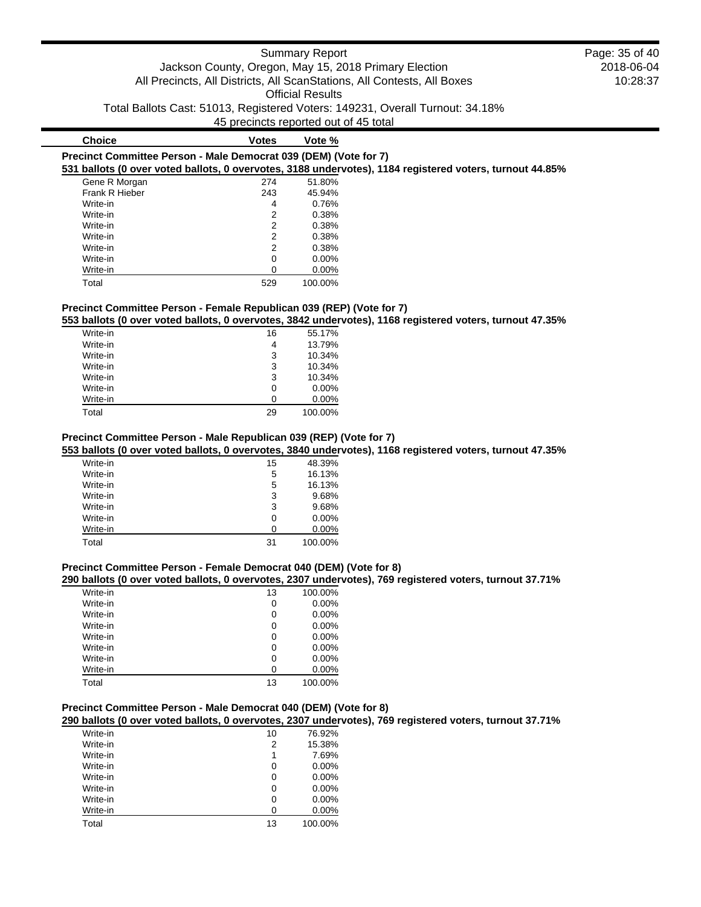## **Precinct Committee Person - Male Democrat 039 (DEM) (Vote for 7) 531 ballots (0 over voted ballots, 0 overvotes, 3188 undervotes), 1184 registered voters, turnout 44.85%**

| Gene R Morgan  |  | 274 | 51.80%   |
|----------------|--|-----|----------|
| Frank R Hieber |  | 243 | 45.94%   |
| Write-in       |  | 4   | 0.76%    |
| Write-in       |  | 2   | 0.38%    |
| Write-in       |  | 2   | 0.38%    |
| Write-in       |  | 2   | 0.38%    |
| Write-in       |  | 2   | 0.38%    |
| Write-in       |  | 0   | $0.00\%$ |
| Write-in       |  | 0   | $0.00\%$ |
| Total          |  | 529 | 100.00%  |

**Choice Votes Votes Vote %** 

## **Precinct Committee Person - Female Republican 039 (REP) (Vote for 7)**

**553 ballots (0 over voted ballots, 0 overvotes, 3842 undervotes), 1168 registered voters, turnout 47.35%**

| Write-in | 16 | 55.17%   |
|----------|----|----------|
| Write-in | 4  | 13.79%   |
| Write-in | 3  | 10.34%   |
| Write-in | 3  | 10.34%   |
| Write-in | 3  | 10.34%   |
| Write-in | 0  | $0.00\%$ |
| Write-in | U  | $0.00\%$ |
| Total    | 29 | 100.00%  |

## **Precinct Committee Person - Male Republican 039 (REP) (Vote for 7)**

**553 ballots (0 over voted ballots, 0 overvotes, 3840 undervotes), 1168 registered voters, turnout 47.35%**

| Write-in | 15 | 48.39%   |
|----------|----|----------|
| Write-in | 5  | 16.13%   |
| Write-in | 5  | 16.13%   |
| Write-in | 3  | 9.68%    |
| Write-in | 3  | 9.68%    |
| Write-in | 0  | $0.00\%$ |
| Write-in | 0  | $0.00\%$ |
| Total    | 31 | 100.00%  |

### **Precinct Committee Person - Female Democrat 040 (DEM) (Vote for 8)**

### **290 ballots (0 over voted ballots, 0 overvotes, 2307 undervotes), 769 registered voters, turnout 37.71%**

| Write-in | 13 | 100.00%  |
|----------|----|----------|
| Write-in | 0  | 0.00%    |
| Write-in | 0  | 0.00%    |
| Write-in | 0  | 0.00%    |
| Write-in | 0  | 0.00%    |
| Write-in | 0  | 0.00%    |
| Write-in | 0  | $0.00\%$ |
| Write-in | ი  | 0.00%    |
| Total    | 13 | 100.00%  |

#### **Precinct Committee Person - Male Democrat 040 (DEM) (Vote for 8)**

**290 ballots (0 over voted ballots, 0 overvotes, 2307 undervotes), 769 registered voters, turnout 37.71%**

| Write-in | 10 | 76.92%   |
|----------|----|----------|
| Write-in | 2  | 15.38%   |
| Write-in | 1  | 7.69%    |
| Write-in | 0  | $0.00\%$ |
| Write-in | 0  | $0.00\%$ |
| Write-in | 0  | $0.00\%$ |
| Write-in | 0  | $0.00\%$ |
| Write-in | U  | 0.00%    |
| Total    | 13 | 100.00%  |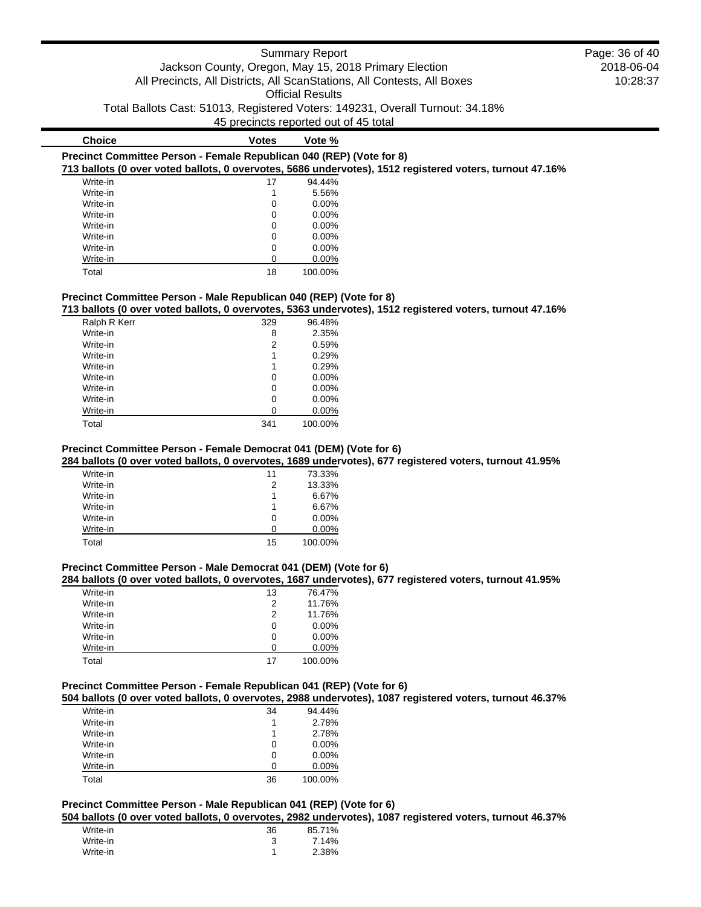|                                                                                                    | Jackson County, Oregon, May 15, 2018 Primary Election<br>45 precincts reported out of 45 total | <b>Summary Report</b><br><b>Official Results</b> | All Precincts, All Districts, All ScanStations, All Contests, All Boxes<br>Total Ballots Cast: 51013, Registered Voters: 149231, Overall Turnout: 34.18% | Page: 36 of 40<br>2018-06-04<br>10:28:37 |
|----------------------------------------------------------------------------------------------------|------------------------------------------------------------------------------------------------|--------------------------------------------------|----------------------------------------------------------------------------------------------------------------------------------------------------------|------------------------------------------|
| <b>Choice</b>                                                                                      | <b>Votes</b>                                                                                   | Vote %                                           |                                                                                                                                                          |                                          |
| Precinct Committee Person - Female Republican 040 (REP) (Vote for 8)                               |                                                                                                |                                                  | 713 ballots (0 over voted ballots, 0 overvotes, 5686 undervotes), 1512 registered voters, turnout 47.16%                                                 |                                          |
| Write-in                                                                                           | 17                                                                                             | 94.44%                                           |                                                                                                                                                          |                                          |
| Write-in                                                                                           |                                                                                                | 5.56%                                            |                                                                                                                                                          |                                          |
| Write-in                                                                                           |                                                                                                | $0.00\%$                                         |                                                                                                                                                          |                                          |
| Write-in                                                                                           |                                                                                                | $0.00\%$                                         |                                                                                                                                                          |                                          |
| Write-in                                                                                           |                                                                                                | 0.00%                                            |                                                                                                                                                          |                                          |
| Write-in                                                                                           |                                                                                                | 0.00%                                            |                                                                                                                                                          |                                          |
| Write-in                                                                                           |                                                                                                | 0.00%                                            |                                                                                                                                                          |                                          |
| Write-in                                                                                           |                                                                                                | $0.00\%$                                         |                                                                                                                                                          |                                          |
| Total                                                                                              | 18                                                                                             | 100.00%                                          |                                                                                                                                                          |                                          |
| Precinct Committee Person - Male Republican 040 (REP) (Vote for 8)<br><b>D</b> - L - L - D - L / - |                                                                                                |                                                  | 713 ballots (0 over voted ballots, 0 overvotes, 5363 undervotes), 1512 registered voters, turnout 47.16%                                                 |                                          |

| Ralph R Kerr | 329 | 96.48%   |
|--------------|-----|----------|
|              |     |          |
| Write-in     | 8   | 2.35%    |
| Write-in     | 2   | 0.59%    |
| Write-in     | 1   | 0.29%    |
| Write-in     | 1   | 0.29%    |
| Write-in     | 0   | $0.00\%$ |
| Write-in     | 0   | $0.00\%$ |
| Write-in     | 0   | 0.00%    |
| Write-in     | 0   | $0.00\%$ |
| Total        | 341 | 100.00%  |
|              |     |          |

## **Precinct Committee Person - Female Democrat 041 (DEM) (Vote for 6)**

**284 ballots (0 over voted ballots, 0 overvotes, 1689 undervotes), 677 registered voters, turnout 41.95%**

| 11 | 73.33%   |
|----|----------|
| 2  | 13.33%   |
| 1  | 6.67%    |
| 1  | 6.67%    |
| 0  | $0.00\%$ |
|    | 0.00%    |
| 15 | 100.00%  |
|    |          |

## **Precinct Committee Person - Male Democrat 041 (DEM) (Vote for 6)**

## **284 ballots (0 over voted ballots, 0 overvotes, 1687 undervotes), 677 registered voters, turnout 41.95%**

| Write-in | 13 | 76.47%   |
|----------|----|----------|
| Write-in | 2  | 11.76%   |
| Write-in | 2  | 11.76%   |
| Write-in | 0  | $0.00\%$ |
| Write-in | 0  | $0.00\%$ |
| Write-in | ∩  | $0.00\%$ |
| Total    | 17 | 100.00%  |

## **Precinct Committee Person - Female Republican 041 (REP) (Vote for 6)**

**504 ballots (0 over voted ballots, 0 overvotes, 2988 undervotes), 1087 registered voters, turnout 46.37%**

| Write-in | 34 | 94.44%   |
|----------|----|----------|
| Write-in |    | 2.78%    |
| Write-in | 1  | 2.78%    |
| Write-in | 0  | $0.00\%$ |
| Write-in | 0  | $0.00\%$ |
| Write-in | 0  | $0.00\%$ |
| Total    | 36 | 100.00%  |

## **Precinct Committee Person - Male Republican 041 (REP) (Vote for 6)**

**504 ballots (0 over voted ballots, 0 overvotes, 2982 undervotes), 1087 registered voters, turnout 46.37%**

| Write-in | 36 | 85.71% |
|----------|----|--------|
| Write-in |    | 7.14%  |
| Write-in |    | 2.38%  |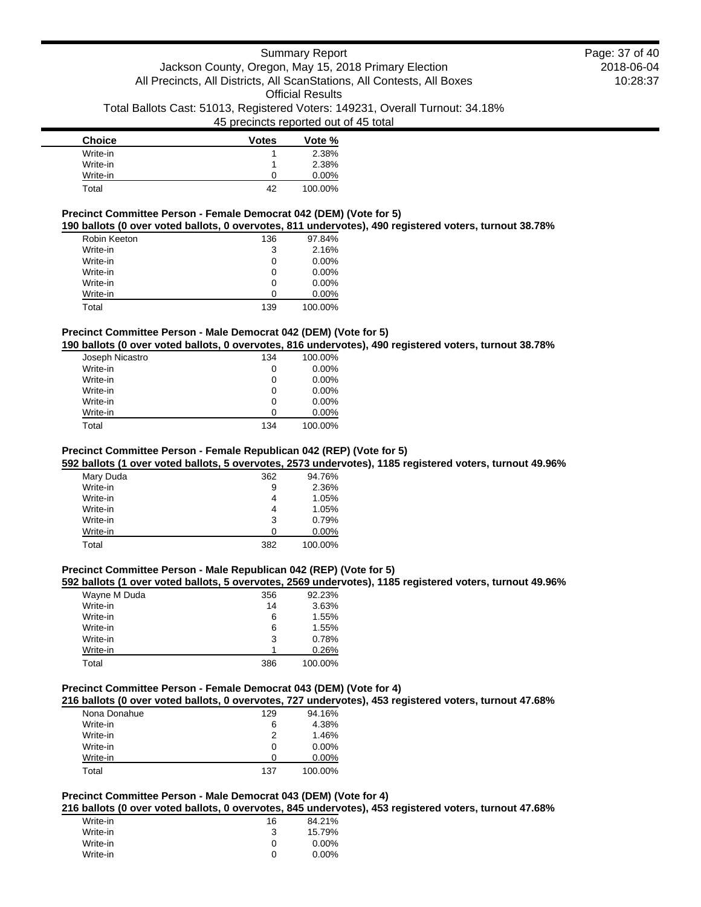| <b>Choice</b> | <b>Votes</b> | Vote %   |
|---------------|--------------|----------|
| Write-in      |              | 2.38%    |
| Write-in      |              | 2.38%    |
| Write-in      | O            | $0.00\%$ |
| Total         | 42           | 100.00%  |

#### **Precinct Committee Person - Female Democrat 042 (DEM) (Vote for 5)**

**190 ballots (0 over voted ballots, 0 overvotes, 811 undervotes), 490 registered voters, turnout 38.78%**

| Robin Keeton | 136 | 97.84%   |
|--------------|-----|----------|
| Write-in     | 3   | 2.16%    |
| Write-in     | 0   | $0.00\%$ |
| Write-in     | 0   | $0.00\%$ |
| Write-in     | 0   | $0.00\%$ |
| Write-in     | O   | $0.00\%$ |
| Total        | 139 | 100.00%  |

## **Precinct Committee Person - Male Democrat 042 (DEM) (Vote for 5)**

**190 ballots (0 over voted ballots, 0 overvotes, 816 undervotes), 490 registered voters, turnout 38.78%**

| Joseph Nicastro | 134 | 100.00%  |
|-----------------|-----|----------|
| Write-in        | 0   | $0.00\%$ |
| Write-in        | 0   | $0.00\%$ |
| Write-in        | 0   | $0.00\%$ |
| Write-in        | 0   | $0.00\%$ |
| Write-in        | O   | $0.00\%$ |
| Total           | 134 | 100.00%  |

#### **Precinct Committee Person - Female Republican 042 (REP) (Vote for 5)**

**592 ballots (1 over voted ballots, 5 overvotes, 2573 undervotes), 1185 registered voters, turnout 49.96%**

| Mary Duda | 362 | 94.76%   |
|-----------|-----|----------|
| Write-in  | 9   | 2.36%    |
| Write-in  | 4   | 1.05%    |
| Write-in  | 4   | 1.05%    |
| Write-in  | 3   | 0.79%    |
| Write-in  | O   | $0.00\%$ |
| Total     | 382 | 100.00%  |

#### **Precinct Committee Person - Male Republican 042 (REP) (Vote for 5)**

#### **592 ballots (1 over voted ballots, 5 overvotes, 2569 undervotes), 1185 registered voters, turnout 49.96%**

| Wayne M Duda | 356 | 92.23%  |
|--------------|-----|---------|
| Write-in     | 14  | 3.63%   |
| Write-in     | 6   | 1.55%   |
| Write-in     | 6   | 1.55%   |
| Write-in     | 3   | 0.78%   |
| Write-in     |     | 0.26%   |
| Total        | 386 | 100.00% |

## **Precinct Committee Person - Female Democrat 043 (DEM) (Vote for 4)**

**216 ballots (0 over voted ballots, 0 overvotes, 727 undervotes), 453 registered voters, turnout 47.68%**

| Nona Donahue | 129 | 94.16%   |
|--------------|-----|----------|
| Write-in     | 6   | 4.38%    |
| Write-in     | 2   | 1.46%    |
| Write-in     | 0   | $0.00\%$ |
| Write-in     | O   | $0.00\%$ |
| Total        | 137 | 100.00%  |

## **Precinct Committee Person - Male Democrat 043 (DEM) (Vote for 4)**

**216 ballots (0 over voted ballots, 0 overvotes, 845 undervotes), 453 registered voters, turnout 47.68%**

| Write-in | 16 | 84.21%   |
|----------|----|----------|
| Write-in | 3  | 15.79%   |
| Write-in | O  | $0.00\%$ |
| Write-in | O  | $0.00\%$ |
|          |    |          |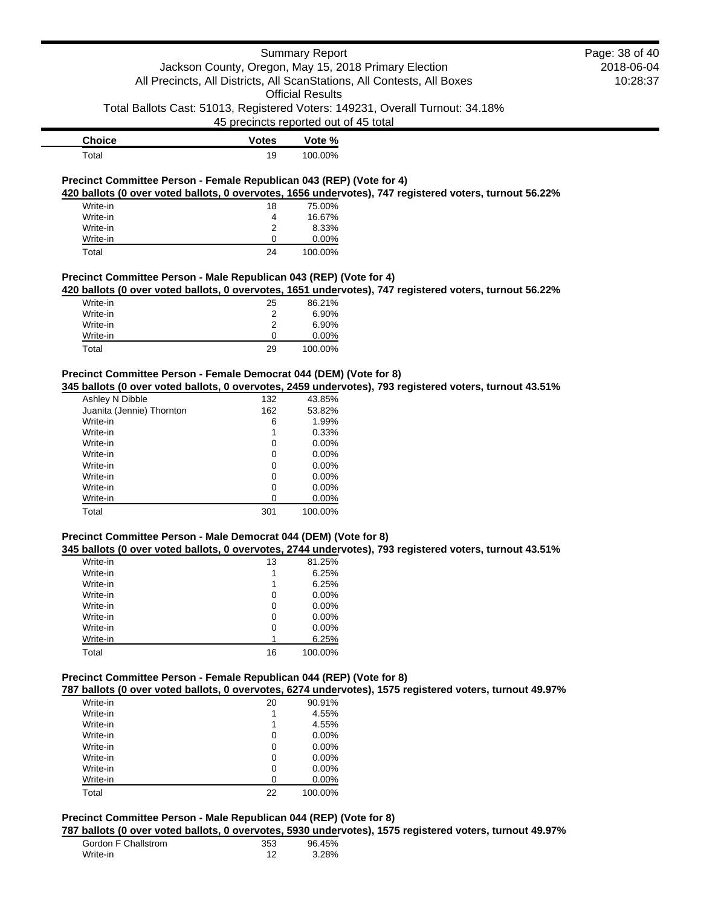|                                                                      |                                       | <b>Summary Report</b>   |                                                                                                          | Page: 38 of 40 |
|----------------------------------------------------------------------|---------------------------------------|-------------------------|----------------------------------------------------------------------------------------------------------|----------------|
|                                                                      |                                       |                         | Jackson County, Oregon, May 15, 2018 Primary Election                                                    | 2018-06-04     |
|                                                                      |                                       |                         | All Precincts, All Districts, All ScanStations, All Contests, All Boxes                                  | 10:28:37       |
|                                                                      |                                       |                         |                                                                                                          |                |
|                                                                      |                                       | <b>Official Results</b> |                                                                                                          |                |
|                                                                      |                                       |                         | Total Ballots Cast: 51013, Registered Voters: 149231, Overall Turnout: 34.18%                            |                |
|                                                                      | 45 precincts reported out of 45 total |                         |                                                                                                          |                |
| <b>Choice</b>                                                        | <b>Votes</b>                          | Vote %                  |                                                                                                          |                |
|                                                                      |                                       |                         |                                                                                                          |                |
| Total                                                                | 19                                    | 100.00%                 |                                                                                                          |                |
|                                                                      |                                       |                         |                                                                                                          |                |
| Precinct Committee Person - Female Republican 043 (REP) (Vote for 4) |                                       |                         |                                                                                                          |                |
|                                                                      |                                       |                         | 420 ballots (0 over voted ballots, 0 overvotes, 1656 undervotes), 747 registered voters, turnout 56.22%  |                |
| Write-in                                                             | 18                                    | 75.00%                  |                                                                                                          |                |
| Write-in                                                             | 4                                     | 16.67%                  |                                                                                                          |                |
| Write-in                                                             | 2                                     | 8.33%                   |                                                                                                          |                |
| Write-in                                                             | 0                                     | 0.00%                   |                                                                                                          |                |
| Total                                                                | 24                                    | 100.00%                 |                                                                                                          |                |
|                                                                      |                                       |                         |                                                                                                          |                |
| Precinct Committee Person - Male Republican 043 (REP) (Vote for 4)   |                                       |                         |                                                                                                          |                |
|                                                                      |                                       |                         | 420 ballots (0 over voted ballots, 0 overvotes, 1651 undervotes), 747 registered voters, turnout 56.22%  |                |
| Write-in                                                             | 25                                    | 86.21%                  |                                                                                                          |                |
| Write-in                                                             | 2                                     | 6.90%                   |                                                                                                          |                |
| Write-in                                                             | 2                                     | 6.90%                   |                                                                                                          |                |
| Write-in                                                             | 0                                     | 0.00%                   |                                                                                                          |                |
|                                                                      |                                       |                         |                                                                                                          |                |
| Total                                                                | 29                                    | 100.00%                 |                                                                                                          |                |
|                                                                      |                                       |                         |                                                                                                          |                |
| Precinct Committee Person - Female Democrat 044 (DEM) (Vote for 8)   |                                       |                         |                                                                                                          |                |
|                                                                      |                                       |                         | 345 ballots (0 over voted ballots, 0 overvotes, 2459 undervotes), 793 registered voters, turnout 43.51%  |                |
| Ashley N Dibble                                                      | 132                                   | 43.85%                  |                                                                                                          |                |
| Juanita (Jennie) Thornton                                            | 162                                   | 53.82%                  |                                                                                                          |                |
| Write-in                                                             | 6                                     | 1.99%                   |                                                                                                          |                |
| Write-in                                                             | 1                                     | 0.33%                   |                                                                                                          |                |
| Write-in                                                             | 0                                     | $0.00\%$                |                                                                                                          |                |
| Write-in                                                             | 0                                     | 0.00%                   |                                                                                                          |                |
| Write-in                                                             | 0                                     | $0.00\%$                |                                                                                                          |                |
| Write-in                                                             | 0                                     | 0.00%                   |                                                                                                          |                |
| Write-in                                                             | 0                                     | 0.00%                   |                                                                                                          |                |
| Write-in                                                             | 0                                     | 0.00%                   |                                                                                                          |                |
| Total                                                                | 301                                   | 100.00%                 |                                                                                                          |                |
|                                                                      |                                       |                         |                                                                                                          |                |
|                                                                      |                                       |                         |                                                                                                          |                |
| Precinct Committee Person - Male Democrat 044 (DEM) (Vote for 8)     |                                       |                         |                                                                                                          |                |
|                                                                      |                                       |                         | 345 ballots (0 over voted ballots, 0 overvotes, 2744 undervotes), 793 registered voters, turnout 43.51%  |                |
| Write-in                                                             | 13                                    | 81.25%                  |                                                                                                          |                |
| Write-in                                                             | 1                                     | 6.25%                   |                                                                                                          |                |
| Write-in                                                             | 1                                     | 6.25%                   |                                                                                                          |                |
| Write-in                                                             | 0                                     | 0.00%                   |                                                                                                          |                |
| Write-in                                                             | 0                                     | 0.00%                   |                                                                                                          |                |
| Write-in                                                             | 0                                     | 0.00%                   |                                                                                                          |                |
| Write-in                                                             | 0                                     | 0.00%                   |                                                                                                          |                |
| Write-in                                                             | 1                                     | 6.25%                   |                                                                                                          |                |
| Total                                                                | 16                                    | 100.00%                 |                                                                                                          |                |
|                                                                      |                                       |                         |                                                                                                          |                |
| Precinct Committee Person - Female Republican 044 (REP) (Vote for 8) |                                       |                         |                                                                                                          |                |
|                                                                      |                                       |                         |                                                                                                          |                |
|                                                                      |                                       |                         | 787 ballots (0 over voted ballots, 0 overvotes, 6274 undervotes), 1575 registered voters, turnout 49.97% |                |
| Write-in                                                             | 20                                    | 90.91%                  |                                                                                                          |                |
| Write-in                                                             | 1                                     | 4.55%                   |                                                                                                          |                |
| Write-in                                                             | 1                                     | 4.55%                   |                                                                                                          |                |
| Write-in                                                             | 0                                     | 0.00%                   |                                                                                                          |                |
| Write-in                                                             | 0                                     | 0.00%                   |                                                                                                          |                |
| Write-in                                                             | 0                                     | 0.00%                   |                                                                                                          |                |

| Write-in |    | $0.00\%$ |
|----------|----|----------|
| Write-in |    | $0.00\%$ |
| Write-in |    | $0.00\%$ |
| Total    | 22 | 100.00%  |

## **Precinct Committee Person - Male Republican 044 (REP) (Vote for 8)**

**787 ballots (0 over voted ballots, 0 overvotes, 5930 undervotes), 1575 registered voters, turnout 49.97%**

| Gordon F Challstrom | 353 | 96.45% |
|---------------------|-----|--------|
| Write-in            |     | 3.28%  |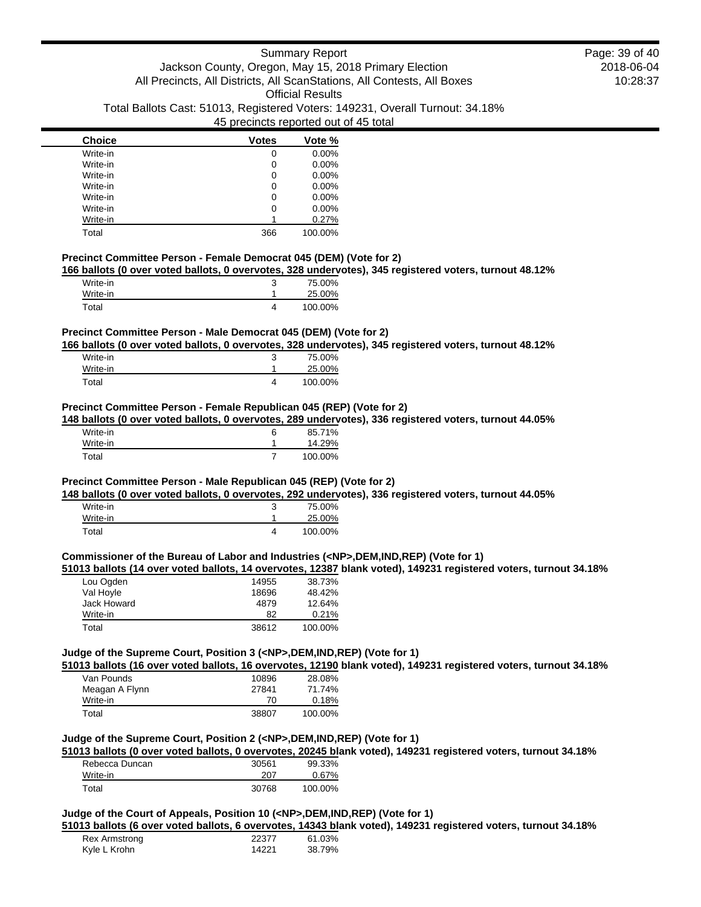| <b>Choice</b> | <b>Votes</b> | Vote %  |
|---------------|--------------|---------|
| Write-in      | 0            | 0.00%   |
| Write-in      | 0            | 0.00%   |
| Write-in      | 0            | 0.00%   |
| Write-in      | 0            | 0.00%   |
| Write-in      | 0            | 0.00%   |
| Write-in      | 0            | 0.00%   |
| Write-in      |              | 0.27%   |
| Total         | 366          | 100.00% |

#### **Precinct Committee Person - Female Democrat 045 (DEM) (Vote for 2)**

**166 ballots (0 over voted ballots, 0 overvotes, 328 undervotes), 345 registered voters, turnout 48.12%**

| Write-in | 75.00%  |
|----------|---------|
| Write-in | 25.00%  |
| Total    | 100.00% |

#### **Precinct Committee Person - Male Democrat 045 (DEM) (Vote for 2)**

**166 ballots (0 over voted ballots, 0 overvotes, 328 undervotes), 345 registered voters, turnout 48.12%**

| Write-in | ◠ | 75.00%  |
|----------|---|---------|
| Write-in |   | 25.00%  |
| Total    |   | 100.00% |

#### **Precinct Committee Person - Female Republican 045 (REP) (Vote for 2)**

**148 ballots (0 over voted ballots, 0 overvotes, 289 undervotes), 336 registered voters, turnout 44.05%**

| Write-in | 6 | 85.71%  |
|----------|---|---------|
| Write-in |   | 14.29%  |
| Total    |   | 100.00% |

#### **Precinct Committee Person - Male Republican 045 (REP) (Vote for 2)**

**148 ballots (0 over voted ballots, 0 overvotes, 292 undervotes), 336 registered voters, turnout 44.05%**

| Write-in | 75.00%  |
|----------|---------|
| Write-in | 25.00%  |
| Total    | 100.00% |

#### **Commissioner of the Bureau of Labor and Industries (<NP>,DEM,IND,REP) (Vote for 1)**

**51013 ballots (14 over voted ballots, 14 overvotes, 12387 blank voted), 149231 registered voters, turnout 34.18%**

| Lou Ogden   | 14955 | 38.73%  |
|-------------|-------|---------|
| Val Hoyle   | 18696 | 48.42%  |
| Jack Howard | 4879  | 12.64%  |
| Write-in    | 82    | 0.21%   |
| Total       | 38612 | 100.00% |

### **Judge of the Supreme Court, Position 3 (<NP>,DEM,IND,REP) (Vote for 1)**

**51013 ballots (16 over voted ballots, 16 overvotes, 12190 blank voted), 149231 registered voters, turnout 34.18%**

| Van Pounds     | 10896 | 28.08%  |
|----------------|-------|---------|
| Meagan A Flynn | 27841 | 71.74%  |
| Write-in       | 70    | 0.18%   |
| Total          | 38807 | 100.00% |

## **Judge of the Supreme Court, Position 2 (<NP>,DEM,IND,REP) (Vote for 1)**

**51013 ballots (0 over voted ballots, 0 overvotes, 20245 blank voted), 149231 registered voters, turnout 34.18%**

| Rebecca Duncan | 30561 | 99.33%   |
|----------------|-------|----------|
| Write-in       | 207   | $0.67\%$ |
| Total          | 30768 | 100.00%  |

## **Judge of the Court of Appeals, Position 10 (<NP>,DEM,IND,REP) (Vote for 1)**

**51013 ballots (6 over voted ballots, 6 overvotes, 14343 blank voted), 149231 registered voters, turnout 34.18%**

| Rex Armstrong | 22377 | 61.03% |
|---------------|-------|--------|
| Kyle L Krohn  | 14221 | 38.79% |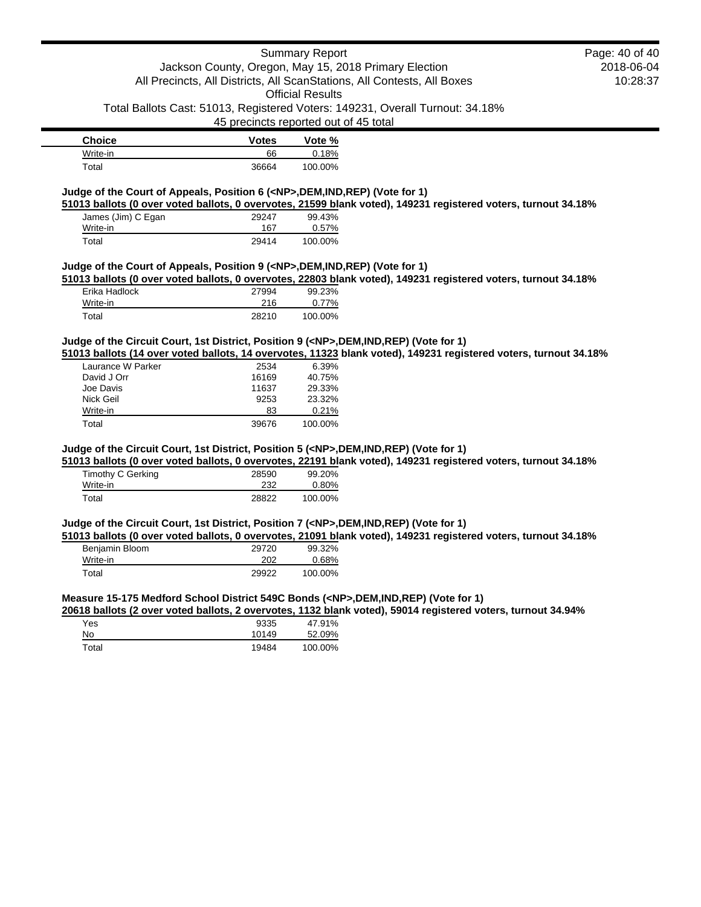## Summary Report

## Jackson County, Oregon, May 15, 2018 Primary Election All Precincts, All Districts, All ScanStations, All Contests, All Boxes

Official Results

Total Ballots Cast: 51013, Registered Voters: 149231, Overall Turnout: 34.18%

45 precincts reported out of 45 total

| <b>Choice</b> | <b>Votes</b> | Vote %  |
|---------------|--------------|---------|
| Write-in      | 66           | 0.18%   |
| Total         | 36664        | 100.00% |

### **Judge of the Court of Appeals, Position 6 (<NP>,DEM,IND,REP) (Vote for 1)**

**51013 ballots (0 over voted ballots, 0 overvotes, 21599 blank voted), 149231 registered voters, turnout 34.18%**

| James (Jim) C Egan | 29247 | 99.43%  |
|--------------------|-------|---------|
| Write-in           | 167   | 0.57%   |
| Total              | 29414 | 100.00% |

#### **Judge of the Court of Appeals, Position 9 (<NP>,DEM,IND,REP) (Vote for 1)**

**51013 ballots (0 over voted ballots, 0 overvotes, 22803 blank voted), 149231 registered voters, turnout 34.18%**

| Erika Hadlock | 27994 | 99.23%  |
|---------------|-------|---------|
| Write-in      | 216   | 0.77%   |
| Total         | 28210 | 100.00% |

## **Judge of the Circuit Court, 1st District, Position 9 (<NP>,DEM,IND,REP) (Vote for 1)**

**51013 ballots (14 over voted ballots, 14 overvotes, 11323 blank voted), 149231 registered voters, turnout 34.18%**

| 2534  | 6.39%   |
|-------|---------|
| 16169 | 40.75%  |
| 11637 | 29.33%  |
| 9253  | 23.32%  |
| 83    | 0.21%   |
| 39676 | 100.00% |
|       |         |

## **Judge of the Circuit Court, 1st District, Position 5 (<NP>,DEM,IND,REP) (Vote for 1)**

**51013 ballots (0 over voted ballots, 0 overvotes, 22191 blank voted), 149231 registered voters, turnout 34.18%**

| Timothy C Gerking | 28590 | 99.20%   |
|-------------------|-------|----------|
| Write-in          | 232   | $0.80\%$ |
| Total             | 28822 | 100.00%  |

### **Judge of the Circuit Court, 1st District, Position 7 (<NP>,DEM,IND,REP) (Vote for 1)**

**51013 ballots (0 over voted ballots, 0 overvotes, 21091 blank voted), 149231 registered voters, turnout 34.18%**

| Benjamin Bloom | 29720 | 99.32%  |
|----------------|-------|---------|
| Write-in       | 202   | 0.68%   |
| Total          | 29922 | 100.00% |

### **Measure 15-175 Medford School District 549C Bonds (<NP>,DEM,IND,REP) (Vote for 1)**

**20618 ballots (2 over voted ballots, 2 overvotes, 1132 blank voted), 59014 registered voters, turnout 34.94%**

| Yes   | 9335  | 47.91%  |
|-------|-------|---------|
| No    | 10149 | 52.09%  |
| Total | 19484 | 100.00% |